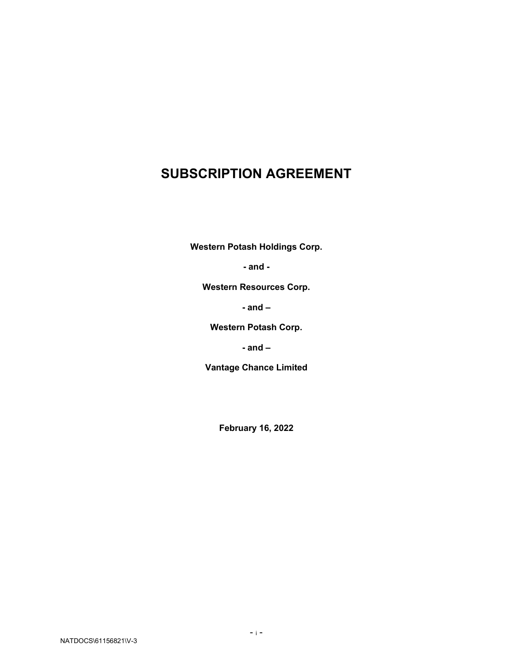# **SUBSCRIPTION AGREEMENT**

**Western Potash Holdings Corp.**

**- and -**

**Western Resources Corp.** 

**- and –**

**Western Potash Corp.** 

**- and –**

**Vantage Chance Limited** 

**February 16, 2022**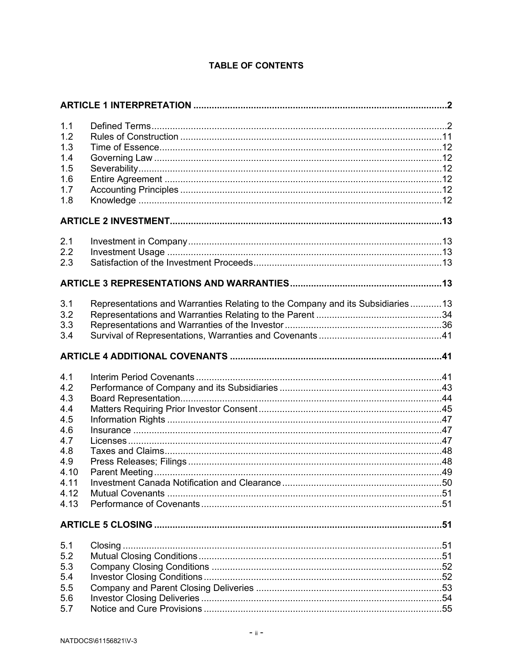# **TABLE OF CONTENTS**

| 1.1<br>1.2<br>1.3<br>1.4<br>1.5<br>1.6<br>1.7<br>1.8 |                                                                               |  |  |
|------------------------------------------------------|-------------------------------------------------------------------------------|--|--|
|                                                      |                                                                               |  |  |
| 2.1<br>2.2<br>2.3                                    |                                                                               |  |  |
|                                                      |                                                                               |  |  |
| 3.1                                                  | Representations and Warranties Relating to the Company and its Subsidiaries13 |  |  |
| 3.2<br>3.3                                           |                                                                               |  |  |
| 3.4                                                  |                                                                               |  |  |
|                                                      |                                                                               |  |  |
| 4.1                                                  |                                                                               |  |  |
| 4.2                                                  |                                                                               |  |  |
| 4.3                                                  |                                                                               |  |  |
| 4.4                                                  |                                                                               |  |  |
| 4.5                                                  |                                                                               |  |  |
| 4.6                                                  |                                                                               |  |  |
| 4.7                                                  |                                                                               |  |  |
| 4.8                                                  |                                                                               |  |  |
| 4.9                                                  |                                                                               |  |  |
| 4.10                                                 |                                                                               |  |  |
| 4.11                                                 |                                                                               |  |  |
| 4.12                                                 |                                                                               |  |  |
| 4.13                                                 |                                                                               |  |  |
|                                                      |                                                                               |  |  |
| 5.1                                                  |                                                                               |  |  |
| 5.2                                                  |                                                                               |  |  |
| 5.3                                                  |                                                                               |  |  |
| 5.4                                                  |                                                                               |  |  |
| 5.5                                                  |                                                                               |  |  |
| 5.6                                                  |                                                                               |  |  |
| 5.7                                                  |                                                                               |  |  |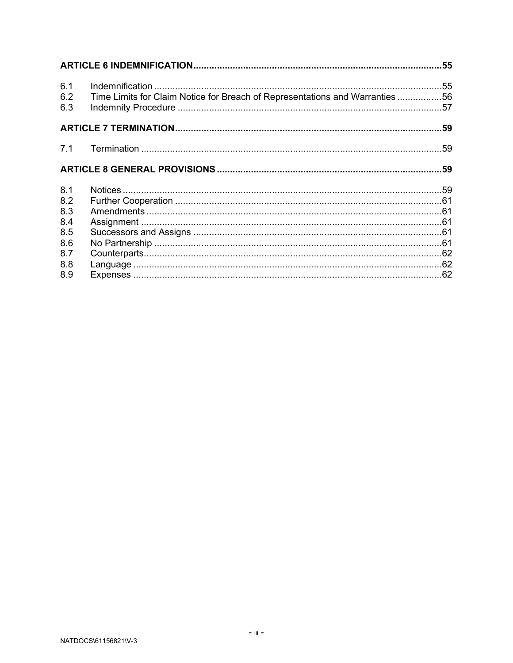| 6.1<br>6.2<br>6.3 | Time Limits for Claim Notice for Breach of Representations and Warranties56 |  |
|-------------------|-----------------------------------------------------------------------------|--|
|                   |                                                                             |  |
|                   |                                                                             |  |
|                   |                                                                             |  |
| 8.1               |                                                                             |  |
| 8.2               |                                                                             |  |
| 8.3               |                                                                             |  |
| 8.4               |                                                                             |  |
| 8.5               |                                                                             |  |
| 8.6               |                                                                             |  |
| 8.7               |                                                                             |  |
| 8.8               |                                                                             |  |
| 8.9               |                                                                             |  |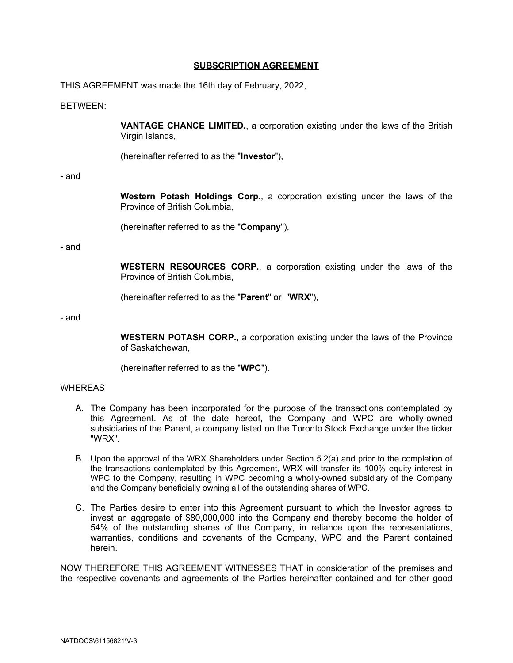#### **SUBSCRIPTION AGREEMENT**

THIS AGREEMENT was made the 16th day of February, 2022,

#### BETWEEN:

**VANTAGE CHANCE LIMITED.**, a corporation existing under the laws of the British Virgin Islands,

(hereinafter referred to as the "**Investor**"),

#### - and

**Western Potash Holdings Corp.**, a corporation existing under the laws of the Province of British Columbia,

(hereinafter referred to as the "**Company**"),

- and

**WESTERN RESOURCES CORP.**, a corporation existing under the laws of the Province of British Columbia,

(hereinafter referred to as the "**Parent**" or "**WRX**"),

- and

**WESTERN POTASH CORP.**, a corporation existing under the laws of the Province of Saskatchewan,

(hereinafter referred to as the "**WPC**").

#### **WHEREAS**

- A. The Company has been incorporated for the purpose of the transactions contemplated by this Agreement. As of the date hereof, the Company and WPC are wholly-owned subsidiaries of the Parent, a company listed on the Toronto Stock Exchange under the ticker "WRX".
- B. Upon the approval of the WRX Shareholders under Section 5.2(a) and prior to the completion of the transactions contemplated by this Agreement, WRX will transfer its 100% equity interest in WPC to the Company, resulting in WPC becoming a wholly-owned subsidiary of the Company and the Company beneficially owning all of the outstanding shares of WPC.
- C. The Parties desire to enter into this Agreement pursuant to which the Investor agrees to invest an aggregate of \$80,000,000 into the Company and thereby become the holder of 54% of the outstanding shares of the Company, in reliance upon the representations, warranties, conditions and covenants of the Company, WPC and the Parent contained herein.

NOW THEREFORE THIS AGREEMENT WITNESSES THAT in consideration of the premises and the respective covenants and agreements of the Parties hereinafter contained and for other good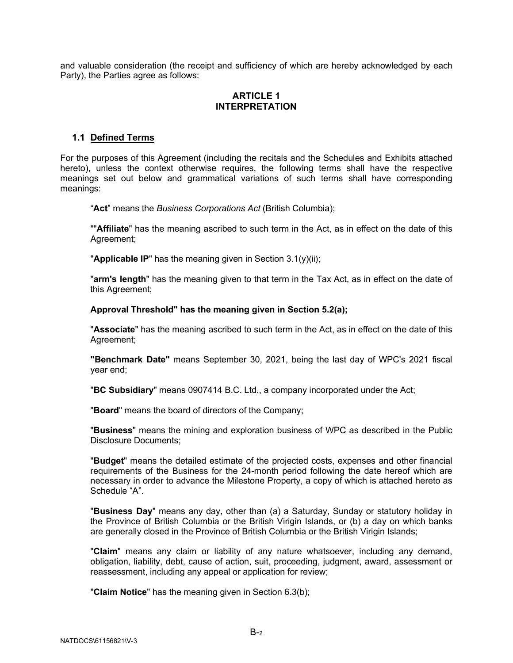and valuable consideration (the receipt and sufficiency of which are hereby acknowledged by each Party), the Parties agree as follows:

# **ARTICLE 1 INTERPRETATION**

# <span id="page-4-1"></span><span id="page-4-0"></span>**1.1 Defined Terms**

For the purposes of this Agreement (including the recitals and the Schedules and Exhibits attached hereto), unless the context otherwise requires, the following terms shall have the respective meanings set out below and grammatical variations of such terms shall have corresponding meanings:

"**Act**" means the *Business Corporations Act* (British Columbia);

""**Affiliate**" has the meaning ascribed to such term in the Act, as in effect on the date of this Agreement;

"**Applicable IP**" has the meaning given in Section [3.1\(y\)\(](#page-25-0)ii);

"**arm's length**" has the meaning given to that term in the Tax Act, as in effect on the date of this Agreement;

#### **Approval Threshold" has the meaning given in Section [5.2\(a\);](#page-53-5)**

"**Associate**" has the meaning ascribed to such term in the Act, as in effect on the date of this Agreement;

**"Benchmark Date"** means September 30, 2021, being the last day of WPC's 2021 fiscal year end;

"**BC Subsidiary**" means 0907414 B.C. Ltd., a company incorporated under the Act;

"**Board**" means the board of directors of the Company;

"**Business**" means the mining and exploration business of WPC as described in the Public Disclosure Documents;

"**Budget**" means the detailed estimate of the projected costs, expenses and other financial requirements of the Business for the 24-month period following the date hereof which are necessary in order to advance the Milestone Property, a copy of which is attached hereto as Schedule "A".

"**Business Day**" means any day, other than (a) a Saturday, Sunday or statutory holiday in the Province of British Columbia or the British Virigin Islands, or (b) a day on which banks are generally closed in the Province of British Columbia or the British Virigin Islands;

"**Claim**" means any claim or liability of any nature whatsoever, including any demand, obligation, liability, debt, cause of action, suit, proceeding, judgment, award, assessment or reassessment, including any appeal or application for review;

"**Claim Notice**" has the meaning given in Section [6.3\(](#page-59-0)b);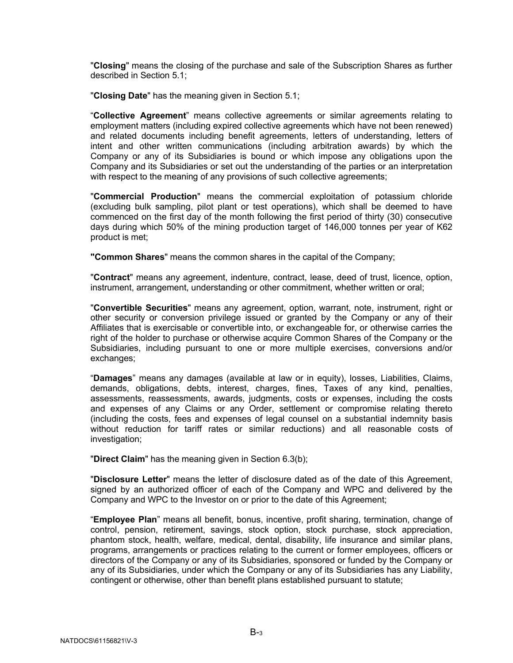"**Closing**" means the closing of the purchase and sale of the Subscription Shares as further described in Section [5.1;](#page-53-3)

"**Closing Date**" has the meaning given in Section [5.1;](#page-53-3)

"**Collective Agreement**" means collective agreements or similar agreements relating to employment matters (including expired collective agreements which have not been renewed) and related documents including benefit agreements, letters of understanding, letters of intent and other written communications (including arbitration awards) by which the Company or any of its Subsidiaries is bound or which impose any obligations upon the Company and its Subsidiaries or set out the understanding of the parties or an interpretation with respect to the meaning of any provisions of such collective agreements;

"**Commercial Production**" means the commercial exploitation of potassium chloride (excluding bulk sampling, pilot plant or test operations), which shall be deemed to have commenced on the first day of the month following the first period of thirty (30) consecutive days during which 50% of the mining production target of 146,000 tonnes per year of K62 product is met;

**"Common Shares**" means the common shares in the capital of the Company;

"**Contract**" means any agreement, indenture, contract, lease, deed of trust, licence, option, instrument, arrangement, understanding or other commitment, whether written or oral;

"**Convertible Securities**" means any agreement, option, warrant, note, instrument, right or other security or conversion privilege issued or granted by the Company or any of their Affiliates that is exercisable or convertible into, or exchangeable for, or otherwise carries the right of the holder to purchase or otherwise acquire Common Shares of the Company or the Subsidiaries, including pursuant to one or more multiple exercises, conversions and/or exchanges;

"**Damages**" means any damages (available at law or in equity), losses, Liabilities, Claims, demands, obligations, debts, interest, charges, fines, Taxes of any kind, penalties, assessments, reassessments, awards, judgments, costs or expenses, including the costs and expenses of any Claims or any Order, settlement or compromise relating thereto (including the costs, fees and expenses of legal counsel on a substantial indemnity basis without reduction for tariff rates or similar reductions) and all reasonable costs of investigation;

"**Direct Claim**" has the meaning given in Section [6.3\(](#page-59-0)b);

"**Disclosure Letter**" means the letter of disclosure dated as of the date of this Agreement, signed by an authorized officer of each of the Company and WPC and delivered by the Company and WPC to the Investor on or prior to the date of this Agreement;

"**Employee Plan**" means all benefit, bonus, incentive, profit sharing, termination, change of control, pension, retirement, savings, stock option, stock purchase, stock appreciation, phantom stock, health, welfare, medical, dental, disability, life insurance and similar plans, programs, arrangements or practices relating to the current or former employees, officers or directors of the Company or any of its Subsidiaries, sponsored or funded by the Company or any of its Subsidiaries, under which the Company or any of its Subsidiaries has any Liability, contingent or otherwise, other than benefit plans established pursuant to statute;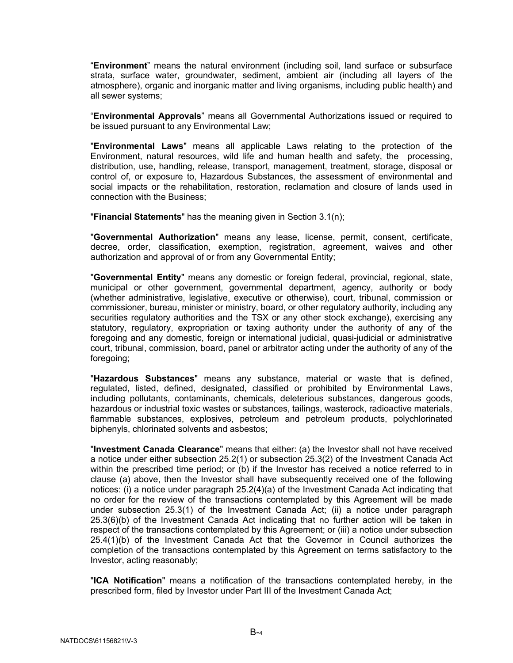"**Environment**" means the natural environment (including soil, land surface or subsurface strata, surface water, groundwater, sediment, ambient air (including all layers of the atmosphere), organic and inorganic matter and living organisms, including public health) and all sewer systems;

"**Environmental Approvals**" means all Governmental Authorizations issued or required to be issued pursuant to any Environmental Law;

"**Environmental Laws**" means all applicable Laws relating to the protection of the Environment, natural resources, wild life and human health and safety, the processing, distribution, use, handling, release, transport, management, treatment, storage, disposal or control of, or exposure to, Hazardous Substances, the assessment of environmental and social impacts or the rehabilitation, restoration, reclamation and closure of lands used in connection with the Business;

"**Financial Statements**" has the meaning given in Section [3.1\(n\);](#page-19-0)

"**Governmental Authorization**" means any lease, license, permit, consent, certificate, decree, order, classification, exemption, registration, agreement, waives and other authorization and approval of or from any Governmental Entity;

"**Governmental Entity**" means any domestic or foreign federal, provincial, regional, state, municipal or other government, governmental department, agency, authority or body (whether administrative, legislative, executive or otherwise), court, tribunal, commission or commissioner, bureau, minister or ministry, board, or other regulatory authority, including any securities regulatory authorities and the TSX or any other stock exchange), exercising any statutory, regulatory, expropriation or taxing authority under the authority of any of the foregoing and any domestic, foreign or international judicial, quasi-judicial or administrative court, tribunal, commission, board, panel or arbitrator acting under the authority of any of the foregoing;

"**Hazardous Substances**" means any substance, material or waste that is defined, regulated, listed, defined, designated, classified or prohibited by Environmental Laws, including pollutants, contaminants, chemicals, deleterious substances, dangerous goods, hazardous or industrial toxic wastes or substances, tailings, wasterock, radioactive materials, flammable substances, explosives, petroleum and petroleum products, polychlorinated biphenyls, chlorinated solvents and asbestos;

"**Investment Canada Clearance**" means that either: (a) the Investor shall not have received a notice under either subsection 25.2(1) or subsection 25.3(2) of the Investment Canada Act within the prescribed time period; or (b) if the Investor has received a notice referred to in clause (a) above, then the Investor shall have subsequently received one of the following notices: (i) a notice under paragraph 25.2(4)(a) of the Investment Canada Act indicating that no order for the review of the transactions contemplated by this Agreement will be made under subsection 25.3(1) of the Investment Canada Act; (ii) a notice under paragraph 25.3(6)(b) of the Investment Canada Act indicating that no further action will be taken in respect of the transactions contemplated by this Agreement; or (iii) a notice under subsection 25.4(1)(b) of the Investment Canada Act that the Governor in Council authorizes the completion of the transactions contemplated by this Agreement on terms satisfactory to the Investor, acting reasonably;

"**ICA Notification**" means a notification of the transactions contemplated hereby, in the prescribed form, filed by Investor under Part III of the Investment Canada Act;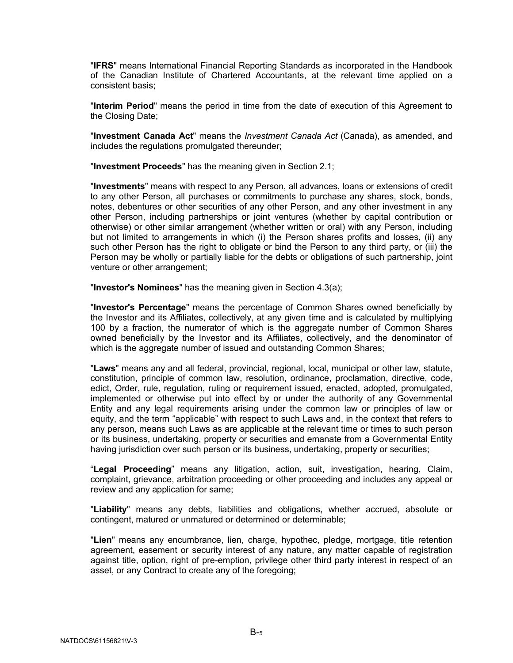"**IFRS**" means International Financial Reporting Standards as incorporated in the Handbook of the Canadian Institute of Chartered Accountants, at the relevant time applied on a consistent basis;

"**Interim Period**" means the period in time from the date of execution of this Agreement to the Closing Date;

"**Investment Canada Act**" means the *Investment Canada Act* (Canada), as amended, and includes the regulations promulgated thereunder;

"**Investment Proceeds**" has the meaning given in Section [2.1;](#page-15-1)

"**Investments**" means with respect to any Person, all advances, loans or extensions of credit to any other Person, all purchases or commitments to purchase any shares, stock, bonds, notes, debentures or other securities of any other Person, and any other investment in any other Person, including partnerships or joint ventures (whether by capital contribution or otherwise) or other similar arrangement (whether written or oral) with any Person, including but not limited to arrangements in which (i) the Person shares profits and losses, (ii) any such other Person has the right to obligate or bind the Person to any third party, or (iii) the Person may be wholly or partially liable for the debts or obligations of such partnership, joint venture or other arrangement;

"**Investor's Nominees**" has the meaning given in Section [4.3\(a\);](#page-46-1)

"**Investor's Percentage**" means the percentage of Common Shares owned beneficially by the Investor and its Affiliates, collectively, at any given time and is calculated by multiplying 100 by a fraction, the numerator of which is the aggregate number of Common Shares owned beneficially by the Investor and its Affiliates, collectively, and the denominator of which is the aggregate number of issued and outstanding Common Shares;

"**Laws**" means any and all federal, provincial, regional, local, municipal or other law, statute, constitution, principle of common law, resolution, ordinance, proclamation, directive, code, edict, Order, rule, regulation, ruling or requirement issued, enacted, adopted, promulgated, implemented or otherwise put into effect by or under the authority of any Governmental Entity and any legal requirements arising under the common law or principles of law or equity, and the term "applicable" with respect to such Laws and, in the context that refers to any person, means such Laws as are applicable at the relevant time or times to such person or its business, undertaking, property or securities and emanate from a Governmental Entity having jurisdiction over such person or its business, undertaking, property or securities;

"**Legal Proceeding**" means any litigation, action, suit, investigation, hearing, Claim, complaint, grievance, arbitration proceeding or other proceeding and includes any appeal or review and any application for same;

"**Liability**" means any debts, liabilities and obligations, whether accrued, absolute or contingent, matured or unmatured or determined or determinable;

"**Lien**" means any encumbrance, lien, charge, hypothec, pledge, mortgage, title retention agreement, easement or security interest of any nature, any matter capable of registration against title, option, right of pre-emption, privilege other third party interest in respect of an asset, or any Contract to create any of the foregoing;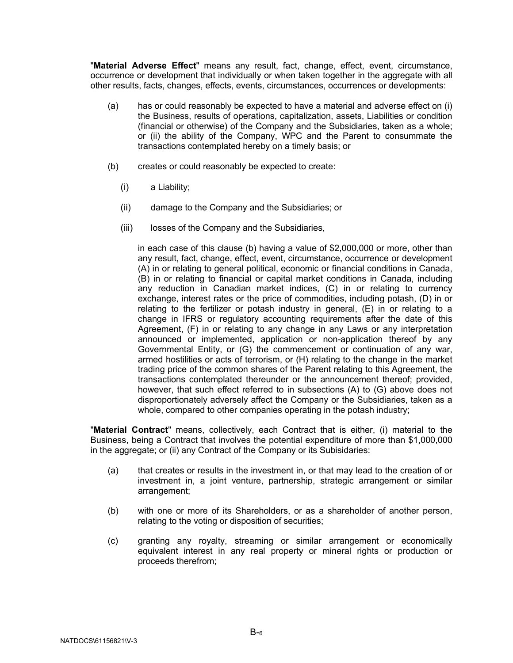"**Material Adverse Effect**" means any result, fact, change, effect, event, circumstance, occurrence or development that individually or when taken together in the aggregate with all other results, facts, changes, effects, events, circumstances, occurrences or developments:

- (a) has or could reasonably be expected to have a material and adverse effect on (i) the Business, results of operations, capitalization, assets, Liabilities or condition (financial or otherwise) of the Company and the Subsidiaries, taken as a whole; or (ii) the ability of the Company, WPC and the Parent to consummate the transactions contemplated hereby on a timely basis; or
- (b) creates or could reasonably be expected to create:
	- (i) a Liability;
	- (ii) damage to the Company and the Subsidiaries; or
	- (iii) losses of the Company and the Subsidiaries,

in each case of this clause (b) having a value of \$2,000,000 or more, other than any result, fact, change, effect, event, circumstance, occurrence or development (A) in or relating to general political, economic or financial conditions in Canada, (B) in or relating to financial or capital market conditions in Canada, including any reduction in Canadian market indices, (C) in or relating to currency exchange, interest rates or the price of commodities, including potash, (D) in or relating to the fertilizer or potash industry in general, (E) in or relating to a change in IFRS or regulatory accounting requirements after the date of this Agreement, (F) in or relating to any change in any Laws or any interpretation announced or implemented, application or non-application thereof by any Governmental Entity, or (G) the commencement or continuation of any war, armed hostilities or acts of terrorism, or (H) relating to the change in the market trading price of the common shares of the Parent relating to this Agreement, the transactions contemplated thereunder or the announcement thereof; provided, however, that such effect referred to in subsections (A) to (G) above does not disproportionately adversely affect the Company or the Subsidiaries, taken as a whole, compared to other companies operating in the potash industry;

"**Material Contract**" means, collectively, each Contract that is either, (i) material to the Business, being a Contract that involves the potential expenditure of more than \$1,000,000 in the aggregate; or (ii) any Contract of the Company or its Subisidaries:

- (a) that creates or results in the investment in, or that may lead to the creation of or investment in, a joint venture, partnership, strategic arrangement or similar arrangement;
- (b) with one or more of its Shareholders, or as a shareholder of another person, relating to the voting or disposition of securities;
- (c) granting any royalty, streaming or similar arrangement or economically equivalent interest in any real property or mineral rights or production or proceeds therefrom;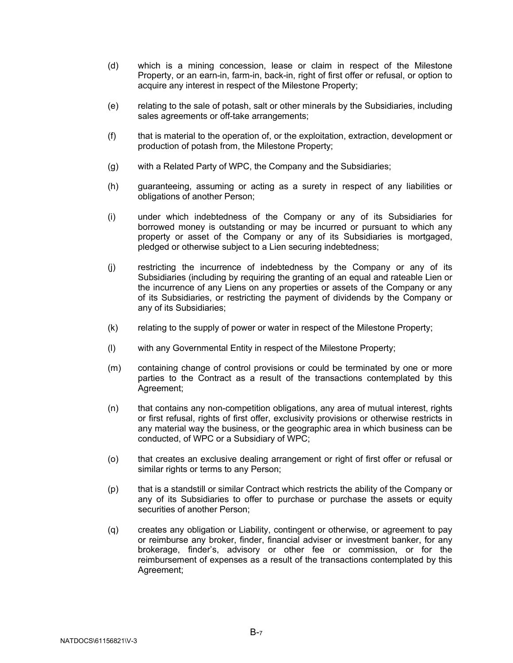- (d) which is a mining concession, lease or claim in respect of the Milestone Property, or an earn-in, farm-in, back-in, right of first offer or refusal, or option to acquire any interest in respect of the Milestone Property;
- (e) relating to the sale of potash, salt or other minerals by the Subsidiaries, including sales agreements or off-take arrangements;
- (f) that is material to the operation of, or the exploitation, extraction, development or production of potash from, the Milestone Property;
- (g) with a Related Party of WPC, the Company and the Subsidiaries;
- (h) guaranteeing, assuming or acting as a surety in respect of any liabilities or obligations of another Person;
- (i) under which indebtedness of the Company or any of its Subsidiaries for borrowed money is outstanding or may be incurred or pursuant to which any property or asset of the Company or any of its Subsidiaries is mortgaged, pledged or otherwise subject to a Lien securing indebtedness;
- (j) restricting the incurrence of indebtedness by the Company or any of its Subsidiaries (including by requiring the granting of an equal and rateable Lien or the incurrence of any Liens on any properties or assets of the Company or any of its Subsidiaries, or restricting the payment of dividends by the Company or any of its Subsidiaries;
- (k) relating to the supply of power or water in respect of the Milestone Property;
- (l) with any Governmental Entity in respect of the Milestone Property;
- (m) containing change of control provisions or could be terminated by one or more parties to the Contract as a result of the transactions contemplated by this Agreement;
- (n) that contains any non-competition obligations, any area of mutual interest, rights or first refusal, rights of first offer, exclusivity provisions or otherwise restricts in any material way the business, or the geographic area in which business can be conducted, of WPC or a Subsidiary of WPC;
- (o) that creates an exclusive dealing arrangement or right of first offer or refusal or similar rights or terms to any Person;
- (p) that is a standstill or similar Contract which restricts the ability of the Company or any of its Subsidiaries to offer to purchase or purchase the assets or equity securities of another Person;
- (q) creates any obligation or Liability, contingent or otherwise, or agreement to pay or reimburse any broker, finder, financial adviser or investment banker, for any brokerage, finder's, advisory or other fee or commission, or for the reimbursement of expenses as a result of the transactions contemplated by this Agreement;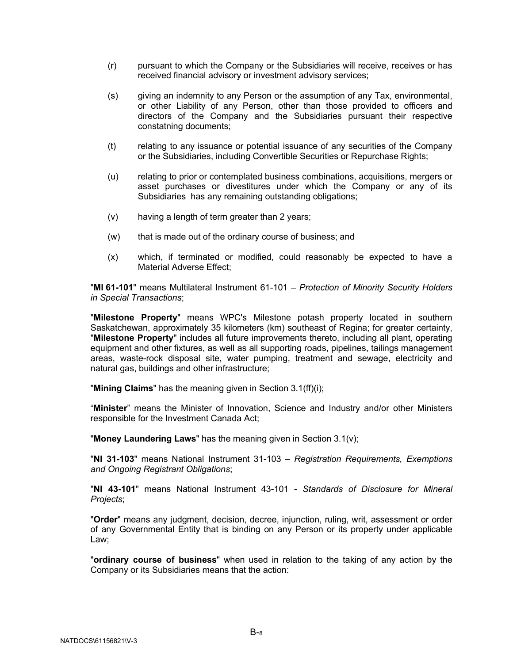- (r) pursuant to which the Company or the Subsidiaries will receive, receives or has received financial advisory or investment advisory services;
- (s) giving an indemnity to any Person or the assumption of any Tax, environmental, or other Liability of any Person, other than those provided to officers and directors of the Company and the Subsidiaries pursuant their respective constatning documents;
- (t) relating to any issuance or potential issuance of any securities of the Company or the Subsidiaries, including Convertible Securities or Repurchase Rights;
- (u) relating to prior or contemplated business combinations, acquisitions, mergers or asset purchases or divestitures under which the Company or any of its Subsidiaries has any remaining outstanding obligations;
- (v) having a length of term greater than 2 years;
- (w) that is made out of the ordinary course of business; and
- (x) which, if terminated or modified, could reasonably be expected to have a Material Adverse Effect;

"**MI 61-101**" means Multilateral Instrument 61-101 – *Protection of Minority Security Holders in Special Transactions*;

"**Milestone Property**" means WPC's Milestone potash property located in southern Saskatchewan, approximately 35 kilometers (km) southeast of Regina; for greater certainty, "**Milestone Property**" includes all future improvements thereto, including all plant, operating equipment and other fixtures, as well as all supporting roads, pipelines, tailings management areas, waste-rock disposal site, water pumping, treatment and sewage, electricity and natural gas, buildings and other infrastructure;

"**Mining Claims**" has the meaning given in Section [3.1\(ff\)\(i\);](#page-31-0)

"**Minister**" means the Minister of Innovation, Science and Industry and/or other Ministers responsible for the Investment Canada Act;

"**Money Laundering Laws**" has the meaning given in Section 3.[1\(v\);](#page-23-0)

"**NI 31-103**" means National Instrument 31-103 – *Registration Requirements, Exemptions and Ongoing Registrant Obligations*;

"**NI 43-101**" means National Instrument 43-101 - *Standards of Disclosure for Mineral Projects*;

"**Order**" means any judgment, decision, decree, injunction, ruling, writ, assessment or order of any Governmental Entity that is binding on any Person or its property under applicable Law;

"**ordinary course of business**" when used in relation to the taking of any action by the Company or its Subsidiaries means that the action: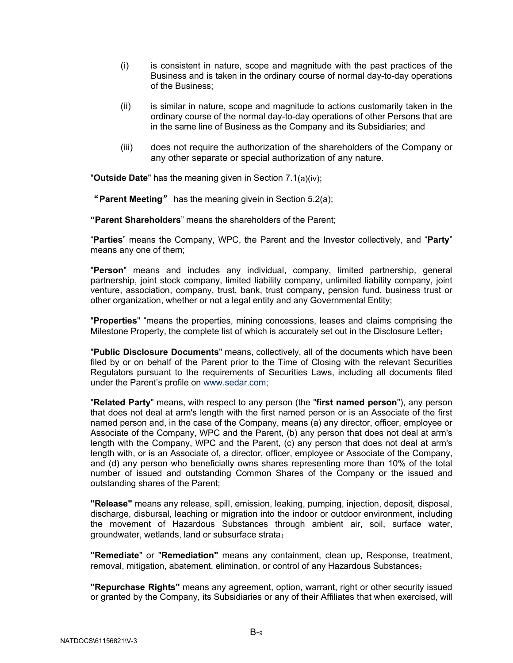- (i) is consistent in nature, scope and magnitude with the past practices of the Business and is taken in the ordinary course of normal day-to-day operations of the Business;
- (ii) is similar in nature, scope and magnitude to actions customarily taken in the ordinary course of the normal day-to-day operations of other Persons that are in the same line of Business as the Company and its Subsidiaries; and
- (iii) does not require the authorization of the shareholders of the Company or any other separate or special authorization of any nature.

"**Outside Date**" has the meaning given in Section [7.1\(](#page-61-1)a)(iv);

"**Parent Meeting**" has the meaning givein in Section 5.2(a);

**"Parent Shareholders**" means the shareholders of the Parent;

"**Parties**" means the Company, WPC, the Parent and the Investor collectively, and "**Party**" means any one of them;

"**Person**" means and includes any individual, company, limited partnership, general partnership, joint stock company, limited liability company, unlimited liability company, joint venture, association, company, trust, bank, trust company, pension fund, business trust or other organization, whether or not a legal entity and any Governmental Entity;

"**Properties**" "means the properties, mining concessions, leases and claims comprising the Milestone Property, the complete list of which is accurately set out in the Disclosure Letter;

"**Public Disclosure Documents**" means, collectively, all of the documents which have been filed by or on behalf of the Parent prior to the Time of Closing with the relevant Securities Regulators pursuant to the requirements of Securities Laws, including all documents filed under the Parent's profile on [www.sedar.com;](http://www.sedar.com;/)

"**Related Party**" means, with respect to any person (the "**first named person**"), any person that does not deal at arm's length with the first named person or is an Associate of the first named person and, in the case of the Company, means (a) any director, officer, employee or Associate of the Company, WPC and the Parent, (b) any person that does not deal at arm's length with the Company, WPC and the Parent, (c) any person that does not deal at arm's length with, or is an Associate of, a director, officer, employee or Associate of the Company, and (d) any person who beneficially owns shares representing more than 10% of the total number of issued and outstanding Common Shares of the Company or the issued and outstanding shares of the Parent;

**"Release"** means any release, spill, emission, leaking, pumping, injection, deposit, disposal, discharge, disbursal, leaching or migration into the indoor or outdoor environment, including the movement of Hazardous Substances through ambient air, soil, surface water, groundwater, wetlands, land or subsurface strata;

**"Remediate**" or "**Remediation"** means any containment, clean up, Response, treatment, removal, mitigation, abatement, elimination, or control of any Hazardous Substances;

**"Repurchase Rights"** means any agreement, option, warrant, right or other security issued or granted by the Company, its Subsidiaries or any of their Affiliates that when exercised, will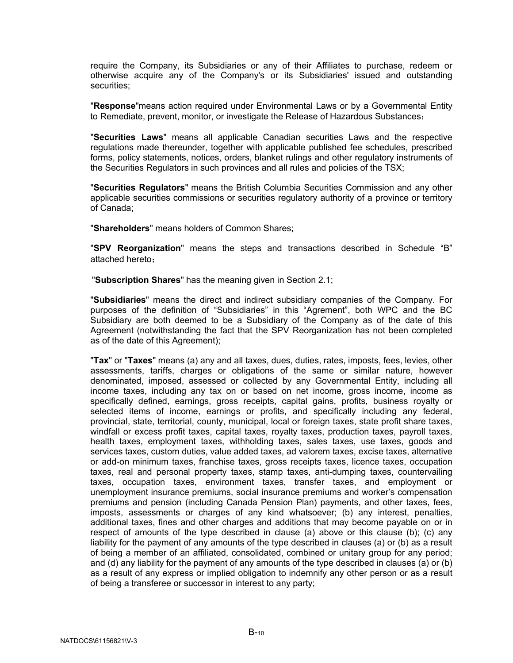require the Company, its Subsidiaries or any of their Affiliates to purchase, redeem or otherwise acquire any of the Company's or its Subsidiaries' issued and outstanding securities;

"**Response**"means action required under Environmental Laws or by a Governmental Entity to Remediate, prevent, monitor, or investigate the Release of Hazardous Substances;

"**Securities Laws**" means all applicable Canadian securities Laws and the respective regulations made thereunder, together with applicable published fee schedules, prescribed forms, policy statements, notices, orders, blanket rulings and other regulatory instruments of the Securities Regulators in such provinces and all rules and policies of the TSX;

"**Securities Regulators**" means the British Columbia Securities Commission and any other applicable securities commissions or securities regulatory authority of a province or territory of Canada;

"**Shareholders**" means holders of Common Shares;

"**SPV Reorganization**" means the steps and transactions described in Schedule "B" attached hereto;

"**Subscription Shares**" has the meaning given in Section [2.1;](#page-15-1)

"**Subsidiaries**" means the direct and indirect subsidiary companies of the Company. For purposes of the definition of "Subsidiaries" in this "Agrement", both WPC and the BC Subsidiary are both deemed to be a Subsidiary of the Company as of the date of this Agreement (notwithstanding the fact that the SPV Reorganization has not been completed as of the date of this Agreement);

"**Tax**" or "**Taxes**" means (a) any and all taxes, dues, duties, rates, imposts, fees, levies, other assessments, tariffs, charges or obligations of the same or similar nature, however denominated, imposed, assessed or collected by any Governmental Entity, including all income taxes, including any tax on or based on net income, gross income, income as specifically defined, earnings, gross receipts, capital gains, profits, business royalty or selected items of income, earnings or profits, and specifically including any federal, provincial, state, territorial, county, municipal, local or foreign taxes, state profit share taxes, windfall or excess profit taxes, capital taxes, royalty taxes, production taxes, payroll taxes, health taxes, employment taxes, withholding taxes, sales taxes, use taxes, goods and services taxes, custom duties, value added taxes, ad valorem taxes, excise taxes, alternative or add-on minimum taxes, franchise taxes, gross receipts taxes, licence taxes, occupation taxes, real and personal property taxes, stamp taxes, anti-dumping taxes, countervailing taxes, occupation taxes, environment taxes, transfer taxes, and employment or unemployment insurance premiums, social insurance premiums and worker's compensation premiums and pension (including Canada Pension Plan) payments, and other taxes, fees, imposts, assessments or charges of any kind whatsoever; (b) any interest, penalties, additional taxes, fines and other charges and additions that may become payable on or in respect of amounts of the type described in clause (a) above or this clause (b); (c) any liability for the payment of any amounts of the type described in clauses (a) or (b) as a result of being a member of an affiliated, consolidated, combined or unitary group for any period; and (d) any liability for the payment of any amounts of the type described in clauses (a) or (b) as a result of any express or implied obligation to indemnify any other person or as a result of being a transferee or successor in interest to any party;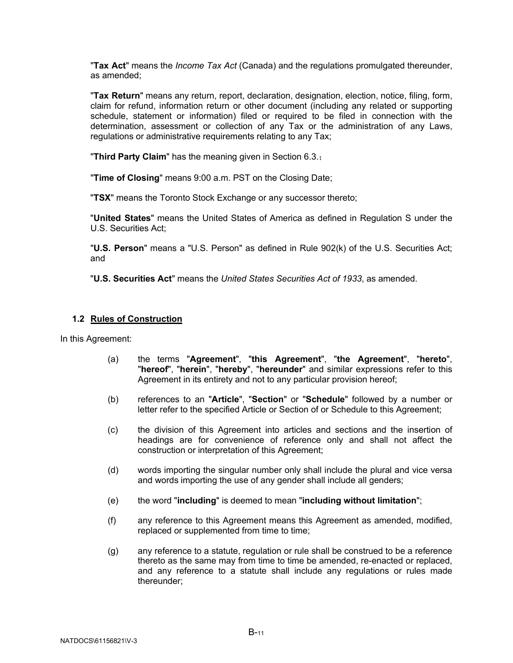"**Tax Act**" means the *Income Tax Act* (Canada) and the regulations promulgated thereunder, as amended;

"**Tax Return**" means any return, report, declaration, designation, election, notice, filing, form, claim for refund, information return or other document (including any related or supporting schedule, statement or information) filed or required to be filed in connection with the determination, assessment or collection of any Tax or the administration of any Laws, regulations or administrative requirements relating to any Tax;

"**Third Party Claim**" has the meaning given in Section [6.3.](#page-59-0);

"**Time of Closing**" means 9:00 a.m. PST on the Closing Date;

"**TSX**" means the Toronto Stock Exchange or any successor thereto;

"**United States**" means the United States of America as defined in Regulation S under the U.S. Securities Act;

"**U.S. Person**" means a "U.S. Person" as defined in Rule 902(k) of the U.S. Securities Act; and

"**U.S. Securities Act**" means the *United States Securities Act of 1933*, as amended.

## <span id="page-13-0"></span>**1.2 Rules of Construction**

In this Agreement:

- (a) the terms "**Agreement**", "**this Agreement**", "**the Agreement**", "**hereto**", "**hereof**", "**herein**", "**hereby**", "**hereunder**" and similar expressions refer to this Agreement in its entirety and not to any particular provision hereof;
- (b) references to an "**Article**", "**Section**" or "**Schedule**" followed by a number or letter refer to the specified Article or Section of or Schedule to this Agreement;
- (c) the division of this Agreement into articles and sections and the insertion of headings are for convenience of reference only and shall not affect the construction or interpretation of this Agreement;
- (d) words importing the singular number only shall include the plural and vice versa and words importing the use of any gender shall include all genders;
- (e) the word "**including**" is deemed to mean "**including without limitation**";
- (f) any reference to this Agreement means this Agreement as amended, modified, replaced or supplemented from time to time;
- (g) any reference to a statute, regulation or rule shall be construed to be a reference thereto as the same may from time to time be amended, re-enacted or replaced, and any reference to a statute shall include any regulations or rules made thereunder;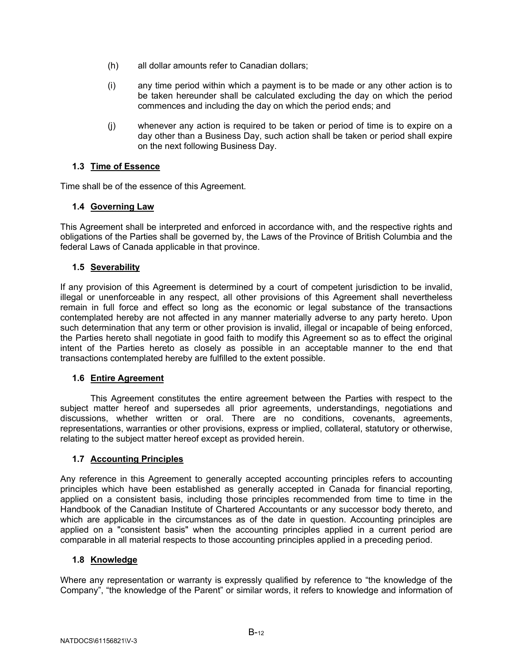- (h) all dollar amounts refer to Canadian dollars;
- (i) any time period within which a payment is to be made or any other action is to be taken hereunder shall be calculated excluding the day on which the period commences and including the day on which the period ends; and
- (j) whenever any action is required to be taken or period of time is to expire on a day other than a Business Day, such action shall be taken or period shall expire on the next following Business Day.

# <span id="page-14-0"></span>**1.3 Time of Essence**

Time shall be of the essence of this Agreement.

# <span id="page-14-1"></span>**1.4 Governing Law**

This Agreement shall be interpreted and enforced in accordance with, and the respective rights and obligations of the Parties shall be governed by, the Laws of the Province of British Columbia and the federal Laws of Canada applicable in that province.

# <span id="page-14-2"></span>**1.5 Severability**

If any provision of this Agreement is determined by a court of competent jurisdiction to be invalid, illegal or unenforceable in any respect, all other provisions of this Agreement shall nevertheless remain in full force and effect so long as the economic or legal substance of the transactions contemplated hereby are not affected in any manner materially adverse to any party hereto. Upon such determination that any term or other provision is invalid, illegal or incapable of being enforced, the Parties hereto shall negotiate in good faith to modify this Agreement so as to effect the original intent of the Parties hereto as closely as possible in an acceptable manner to the end that transactions contemplated hereby are fulfilled to the extent possible.

# <span id="page-14-3"></span>**1.6 Entire Agreement**

This Agreement constitutes the entire agreement between the Parties with respect to the subject matter hereof and supersedes all prior agreements, understandings, negotiations and discussions, whether written or oral. There are no conditions, covenants, agreements, representations, warranties or other provisions, express or implied, collateral, statutory or otherwise, relating to the subject matter hereof except as provided herein.

## <span id="page-14-4"></span>**1.7 Accounting Principles**

Any reference in this Agreement to generally accepted accounting principles refers to accounting principles which have been established as generally accepted in Canada for financial reporting, applied on a consistent basis, including those principles recommended from time to time in the Handbook of the Canadian Institute of Chartered Accountants or any successor body thereto, and which are applicable in the circumstances as of the date in question. Accounting principles are applied on a "consistent basis" when the accounting principles applied in a current period are comparable in all material respects to those accounting principles applied in a preceding period.

## <span id="page-14-5"></span>**1.8 Knowledge**

Where any representation or warranty is expressly qualified by reference to "the knowledge of the Company", "the knowledge of the Parent" or similar words, it refers to knowledge and information of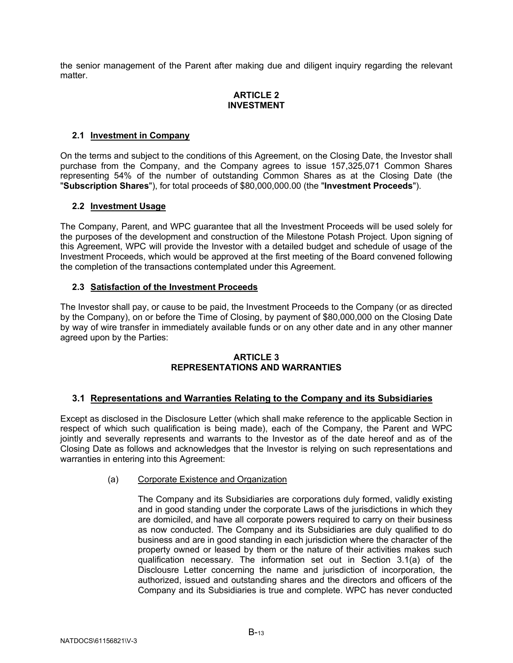the senior management of the Parent after making due and diligent inquiry regarding the relevant matter.

# **ARTICLE 2 INVESTMENT**

# <span id="page-15-1"></span><span id="page-15-0"></span>**2.1 Investment in Company**

On the terms and subject to the conditions of this Agreement, on the Closing Date, the Investor shall purchase from the Company, and the Company agrees to issue 157,325,071 Common Shares representing 54% of the number of outstanding Common Shares as at the Closing Date (the "**Subscription Shares**"), for total proceeds of \$80,000,000.00 (the "**Investment Proceeds**").

# <span id="page-15-2"></span>**2.2 Investment Usage**

The Company, Parent, and WPC guarantee that all the Investment Proceeds will be used solely for the purposes of the development and construction of the Milestone Potash Project. Upon signing of this Agreement, WPC will provide the Investor with a detailed budget and schedule of usage of the Investment Proceeds, which would be approved at the first meeting of the Board convened following the completion of the transactions contemplated under this Agreement.

# <span id="page-15-3"></span>**2.3 Satisfaction of the Investment Proceeds**

The Investor shall pay, or cause to be paid, the Investment Proceeds to the Company (or as directed by the Company), on or before the Time of Closing, by payment of \$80,000,000 on the Closing Date by way of wire transfer in immediately available funds or on any other date and in any other manner agreed upon by the Parties:

# **ARTICLE 3 REPRESENTATIONS AND WARRANTIES**

# <span id="page-15-5"></span><span id="page-15-4"></span>**3.1 Representations and Warranties Relating to the Company and its Subsidiaries**

Except as disclosed in the Disclosure Letter (which shall make reference to the applicable Section in respect of which such qualification is being made), each of the Company, the Parent and WPC jointly and severally represents and warrants to the Investor as of the date hereof and as of the Closing Date as follows and acknowledges that the Investor is relying on such representations and warranties in entering into this Agreement:

## <span id="page-15-6"></span>(a) Corporate Existence and Organization

The Company and its Subsidiaries are corporations duly formed, validly existing and in good standing under the corporate Laws of the jurisdictions in which they are domiciled, and have all corporate powers required to carry on their business as now conducted. The Company and its Subsidiaries are duly qualified to do business and are in good standing in each jurisdiction where the character of the property owned or leased by them or the nature of their activities makes such qualification necessary. The information set out in Section [3.1\(a\)](#page-15-6) of the Disclousre Letter concerning the name and jurisdiction of incorporation, the authorized, issued and outstanding shares and the directors and officers of the Company and its Subsidiaries is true and complete. WPC has never conducted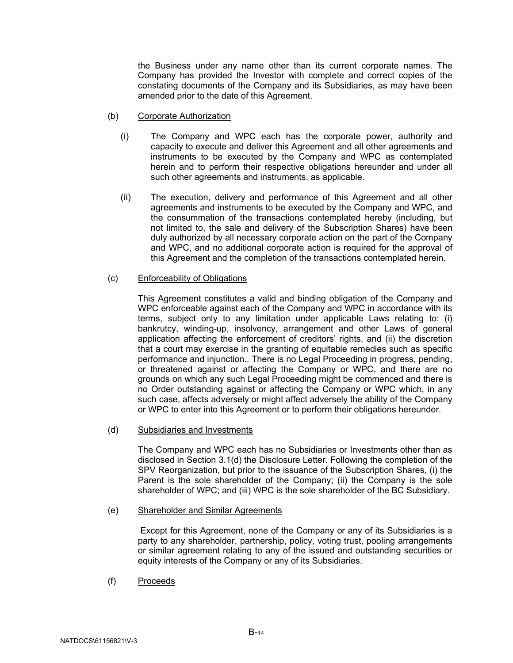the Business under any name other than its current corporate names. The Company has provided the Investor with complete and correct copies of the constating documents of the Company and its Subsidiaries, as may have been amended prior to the date of this Agreement.

- <span id="page-16-1"></span>(b) Corporate Authorization
	- (i) The Company and WPC each has the corporate power, authority and capacity to execute and deliver this Agreement and all other agreements and instruments to be executed by the Company and WPC as contemplated herein and to perform their respective obligations hereunder and under all such other agreements and instruments, as applicable.
	- (ii) The execution, delivery and performance of this Agreement and all other agreements and instruments to be executed by the Company and WPC, and the consummation of the transactions contemplated hereby (including, but not limited to, the sale and delivery of the Subscription Shares) have been duly authorized by all necessary corporate action on the part of the Company and WPC, and no additional corporate action is required for the approval of this Agreement and the completion of the transactions contemplated herein.

## <span id="page-16-2"></span>(c) Enforceability of Obligations

This Agreement constitutes a valid and binding obligation of the Company and WPC enforceable against each of the Company and WPC in accordance with its terms, subject only to any limitation under applicable Laws relating to: (i) bankrutcy, winding-up, insolvency, arrangement and other Laws of general application affecting the enforcement of creditors' rights, and (ii) the discretion that a court may exercise in the granting of equitable remedies such as specific performance and injunction.. There is no Legal Proceeding in progress, pending, or threatened against or affecting the Company or WPC, and there are no grounds on which any such Legal Proceeding might be commenced and there is no Order outstanding against or affecting the Company or WPC which, in any such case, affects adversely or might affect adversely the ability of the Company or WPC to enter into this Agreement or to perform their obligations hereunder.

<span id="page-16-0"></span>(d) Subsidiaries and Investments

The Company and WPC each has no Subsidiaries or Investments other than as disclosed in Section [3.1\(d\)](#page-16-0) the Disclosure Letter. Following the completion of the SPV Reorganization, but prior to the issuance of the Subscription Shares, (i) the Parent is the sole shareholder of the Company; (ii) the Company is the sole shareholder of WPC; and (iii) WPC is the sole shareholder of the BC Subsidiary.

(e) Shareholder and Similar Agreements

Except for this Agreement, none of the Company or any of its Subsidiaries is a party to any shareholder, partnership, policy, voting trust, pooling arrangements or similar agreement relating to any of the issued and outstanding securities or equity interests of the Company or any of its Subsidiaries.

(f) Proceeds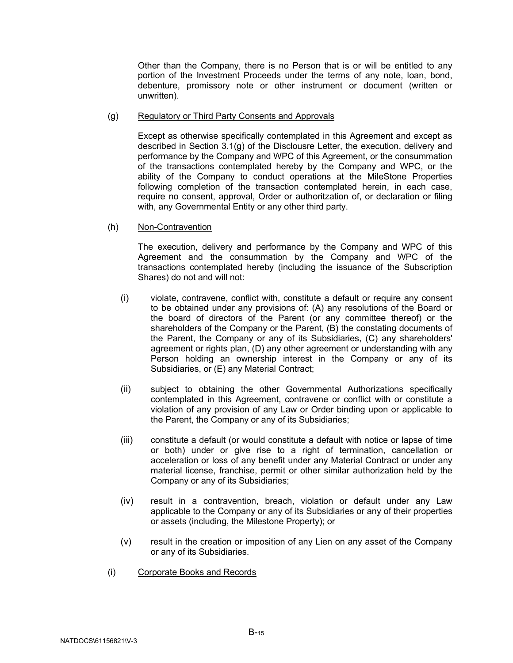Other than the Company, there is no Person that is or will be entitled to any portion of the Investment Proceeds under the terms of any note, loan, bond, debenture, promissory note or other instrument or document (written or unwritten).

#### <span id="page-17-0"></span>(g) Regulatory or Third Party Consents and Approvals

Except as otherwise specifically contemplated in this Agreement and except as described in Section [3.1\(g\)](#page-17-0) of the Disclousre Letter, the execution, delivery and performance by the Company and WPC of this Agreement, or the consummation of the transactions contemplated hereby by the Company and WPC, or the ability of the Company to conduct operations at the MileStone Properties following completion of the transaction contemplated herein, in each case, require no consent, approval, Order or authoritzation of, or declaration or filing with, any Governmental Entity or any other third party.

## <span id="page-17-1"></span>(h) Non-Contravention

The execution, delivery and performance by the Company and WPC of this Agreement and the consummation by the Company and WPC of the transactions contemplated hereby (including the issuance of the Subscription Shares) do not and will not:

- (i) violate, contravene, conflict with, constitute a default or require any consent to be obtained under any provisions of: (A) any resolutions of the Board or the board of directors of the Parent (or any committee thereof) or the shareholders of the Company or the Parent, (B) the constating documents of the Parent, the Company or any of its Subsidiaries, (C) any shareholders' agreement or rights plan, (D) any other agreement or understanding with any Person holding an ownership interest in the Company or any of its Subsidiaries, or (E) any Material Contract;
- (ii) subject to obtaining the other Governmental Authorizations specifically contemplated in this Agreement, contravene or conflict with or constitute a violation of any provision of any Law or Order binding upon or applicable to the Parent, the Company or any of its Subsidiaries;
- (iii) constitute a default (or would constitute a default with notice or lapse of time or both) under or give rise to a right of termination, cancellation or acceleration or loss of any benefit under any Material Contract or under any material license, franchise, permit or other similar authorization held by the Company or any of its Subsidiaries;
- (iv) result in a contravention, breach, violation or default under any Law applicable to the Company or any of its Subsidiaries or any of their properties or assets (including, the Milestone Property); or
- (v) result in the creation or imposition of any Lien on any asset of the Company or any of its Subsidiaries.
- (i) Corporate Books and Records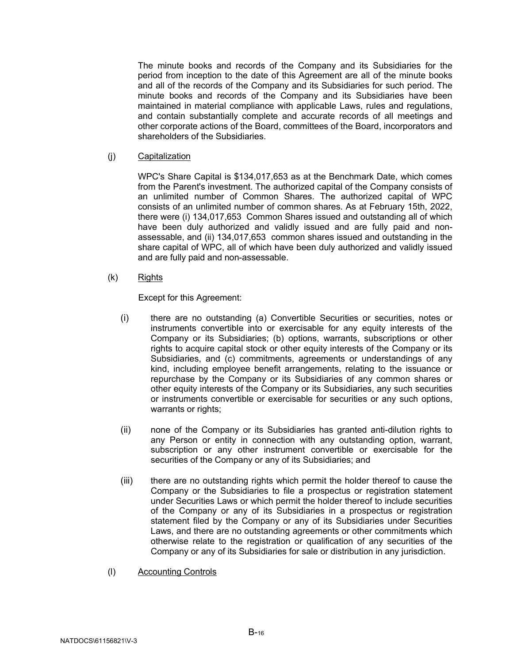The minute books and records of the Company and its Subsidiaries for the period from inception to the date of this Agreement are all of the minute books and all of the records of the Company and its Subsidiaries for such period. The minute books and records of the Company and its Subsidiaries have been maintained in material compliance with applicable Laws, rules and regulations, and contain substantially complete and accurate records of all meetings and other corporate actions of the Board, committees of the Board, incorporators and shareholders of the Subsidiaries.

<span id="page-18-0"></span>(j) Capitalization

WPC's Share Capital is \$134,017,653 as at the Benchmark Date, which comes from the Parent's investment. The authorized capital of the Company consists of an unlimited number of Common Shares. The authorized capital of WPC consists of an unlimited number of common shares. As at February 15th, 2022, there were (i) 134,017,653 Common Shares issued and outstanding all of which have been duly authorized and validly issued and are fully paid and nonassessable, and (ii) 134,017,653 common shares issued and outstanding in the share capital of WPC, all of which have been duly authorized and validly issued and are fully paid and non-assessable.

<span id="page-18-1"></span>(k) Rights

Except for this Agreement:

- (i) there are no outstanding (a) Convertible Securities or securities, notes or instruments convertible into or exercisable for any equity interests of the Company or its Subsidiaries; (b) options, warrants, subscriptions or other rights to acquire capital stock or other equity interests of the Company or its Subsidiaries, and (c) commitments, agreements or understandings of any kind, including employee benefit arrangements, relating to the issuance or repurchase by the Company or its Subsidiaries of any common shares or other equity interests of the Company or its Subsidiaries, any such securities or instruments convertible or exercisable for securities or any such options, warrants or rights;
- (ii) none of the Company or its Subsidiaries has granted anti-dilution rights to any Person or entity in connection with any outstanding option, warrant, subscription or any other instrument convertible or exercisable for the securities of the Company or any of its Subsidiaries; and
- (iii) there are no outstanding rights which permit the holder thereof to cause the Company or the Subsidiaries to file a prospectus or registration statement under Securities Laws or which permit the holder thereof to include securities of the Company or any of its Subsidiaries in a prospectus or registration statement filed by the Company or any of its Subsidiaries under Securities Laws, and there are no outstanding agreements or other commitments which otherwise relate to the registration or qualification of any securities of the Company or any of its Subsidiaries for sale or distribution in any jurisdiction.
- (l) Accounting Controls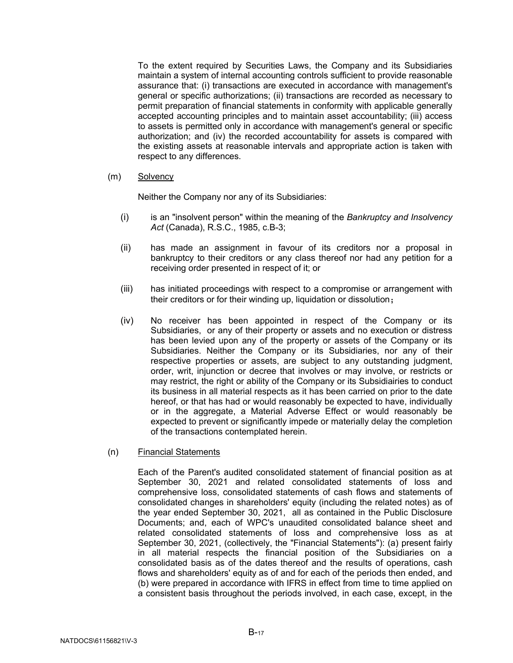To the extent required by Securities Laws, the Company and its Subsidiaries maintain a system of internal accounting controls sufficient to provide reasonable assurance that: (i) transactions are executed in accordance with management's general or specific authorizations; (ii) transactions are recorded as necessary to permit preparation of financial statements in conformity with applicable generally accepted accounting principles and to maintain asset accountability; (iii) access to assets is permitted only in accordance with management's general or specific authorization; and (iv) the recorded accountability for assets is compared with the existing assets at reasonable intervals and appropriate action is taken with respect to any differences.

#### (m) Solvency

Neither the Company nor any of its Subsidiaries:

- (i) is an "insolvent person" within the meaning of the *Bankruptcy and Insolvency Act* (Canada), R.S.C., 1985, c.B-3;
- (ii) has made an assignment in favour of its creditors nor a proposal in bankruptcy to their creditors or any class thereof nor had any petition for a receiving order presented in respect of it; or
- (iii) has initiated proceedings with respect to a compromise or arrangement with their creditors or for their winding up, liquidation or dissolution;
- (iv) No receiver has been appointed in respect of the Company or its Subsidiaries, or any of their property or assets and no execution or distress has been levied upon any of the property or assets of the Company or its Subsidiaries. Neither the Company or its Subsidiaries, nor any of their respective properties or assets, are subject to any outstanding judgment, order, writ, injunction or decree that involves or may involve, or restricts or may restrict, the right or ability of the Company or its Subsidiairies to conduct its business in all material respects as it has been carried on prior to the date hereof, or that has had or would reasonably be expected to have, individually or in the aggregate, a Material Adverse Effect or would reasonably be expected to prevent or significantly impede or materially delay the completion of the transactions contemplated herein.
- <span id="page-19-0"></span>(n) Financial Statements

Each of the Parent's audited consolidated statement of financial position as at September 30, 2021 and related consolidated statements of loss and comprehensive loss, consolidated statements of cash flows and statements of consolidated changes in shareholders' equity (including the related notes) as of the year ended September 30, 2021, all as contained in the Public Disclosure Documents; and, each of WPC's unaudited consolidated balance sheet and related consolidated statements of loss and comprehensive loss as at September 30, 2021, (collectively, the "Financial Statements"): (a) present fairly in all material respects the financial position of the Subsidiaries on a consolidated basis as of the dates thereof and the results of operations, cash flows and shareholders' equity as of and for each of the periods then ended, and (b) were prepared in accordance with IFRS in effect from time to time applied on a consistent basis throughout the periods involved, in each case, except, in the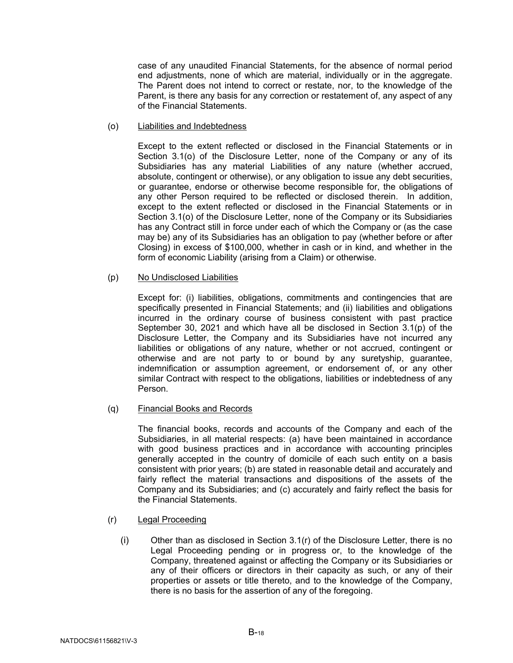case of any unaudited Financial Statements, for the absence of normal period end adjustments, none of which are material, individually or in the aggregate. The Parent does not intend to correct or restate, nor, to the knowledge of the Parent, is there any basis for any correction or restatement of, any aspect of any of the Financial Statements.

<span id="page-20-0"></span>(o) Liabilities and Indebtedness

Except to the extent reflected or disclosed in the Financial Statements or in Section [3.1\(o\)](#page-20-0) of the Disclosure Letter, none of the Company or any of its Subsidiaries has any material Liabilities of any nature (whether accrued, absolute, contingent or otherwise), or any obligation to issue any debt securities, or guarantee, endorse or otherwise become responsible for, the obligations of any other Person required to be reflected or disclosed therein. In addition, except to the extent reflected or disclosed in the Financial Statements or in Section [3.1\(o\)](#page-20-0) of the Disclosure Letter, none of the Company or its Subsidiaries has any Contract still in force under each of which the Company or (as the case may be) any of its Subsidiaries has an obligation to pay (whether before or after Closing) in excess of \$100,000, whether in cash or in kind, and whether in the form of economic Liability (arising from a Claim) or otherwise.

#### <span id="page-20-1"></span>(p) No Undisclosed Liabilities

Except for: (i) liabilities, obligations, commitments and contingencies that are specifically presented in Financial Statements; and (ii) liabilities and obligations incurred in the ordinary course of business consistent with past practice September 30, 2021 and which have all be disclosed in Section [3.1\(p\)](#page-20-1) of the Disclosure Letter, the Company and its Subsidiaries have not incurred any liabilities or obligations of any nature, whether or not accrued, contingent or otherwise and are not party to or bound by any suretyship, guarantee, indemnification or assumption agreement, or endorsement of, or any other similar Contract with respect to the obligations, liabilities or indebtedness of any Person.

## (q) Financial Books and Records

The financial books, records and accounts of the Company and each of the Subsidiaries, in all material respects: (a) have been maintained in accordance with good business practices and in accordance with accounting principles generally accepted in the country of domicile of each such entity on a basis consistent with prior years; (b) are stated in reasonable detail and accurately and fairly reflect the material transactions and dispositions of the assets of the Company and its Subsidiaries; and (c) accurately and fairly reflect the basis for the Financial Statements.

- <span id="page-20-2"></span>(r) Legal Proceeding
	- $(i)$  Other than as disclosed in Section [3.1\(r\)](#page-20-2) of the Disclosure Letter, there is no Legal Proceeding pending or in progress or, to the knowledge of the Company, threatened against or affecting the Company or its Subsidiaries or any of their officers or directors in their capacity as such, or any of their properties or assets or title thereto, and to the knowledge of the Company, there is no basis for the assertion of any of the foregoing.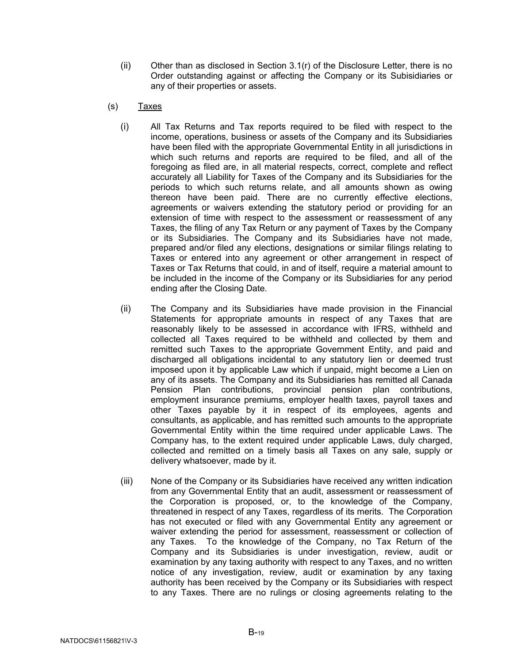- $(i)$  Other than as disclosed in Section [3.1\(r\)](#page-20-2) of the Disclosure Letter, there is no Order outstanding against or affecting the Company or its Subisidiaries or any of their properties or assets.
- <span id="page-21-0"></span>(s) Taxes
	- (i) All Tax Returns and Tax reports required to be filed with respect to the income, operations, business or assets of the Company and its Subsidiaries have been filed with the appropriate Governmental Entity in all jurisdictions in which such returns and reports are required to be filed, and all of the foregoing as filed are, in all material respects, correct, complete and reflect accurately all Liability for Taxes of the Company and its Subsidiaries for the periods to which such returns relate, and all amounts shown as owing thereon have been paid. There are no currently effective elections, agreements or waivers extending the statutory period or providing for an extension of time with respect to the assessment or reassessment of any Taxes, the filing of any Tax Return or any payment of Taxes by the Company or its Subsidiaries. The Company and its Subsidiaries have not made, prepared and/or filed any elections, designations or similar filings relating to Taxes or entered into any agreement or other arrangement in respect of Taxes or Tax Returns that could, in and of itself, require a material amount to be included in the income of the Company or its Subsidiaries for any period ending after the Closing Date.
	- (ii) The Company and its Subsidiaries have made provision in the Financial Statements for appropriate amounts in respect of any Taxes that are reasonably likely to be assessed in accordance with IFRS, withheld and collected all Taxes required to be withheld and collected by them and remitted such Taxes to the appropriate Government Entity, and paid and discharged all obligations incidental to any statutory lien or deemed trust imposed upon it by applicable Law which if unpaid, might become a Lien on any of its assets. The Company and its Subsidiaries has remitted all Canada Pension Plan contributions, provincial pension plan contributions, employment insurance premiums, employer health taxes, payroll taxes and other Taxes payable by it in respect of its employees, agents and consultants, as applicable, and has remitted such amounts to the appropriate Governmental Entity within the time required under applicable Laws. The Company has, to the extent required under applicable Laws, duly charged, collected and remitted on a timely basis all Taxes on any sale, supply or delivery whatsoever, made by it.
	- (iii) None of the Company or its Subsidiaries have received any written indication from any Governmental Entity that an audit, assessment or reassessment of the Corporation is proposed, or, to the knowledge of the Company, threatened in respect of any Taxes, regardless of its merits. The Corporation has not executed or filed with any Governmental Entity any agreement or waiver extending the period for assessment, reassessment or collection of any Taxes. To the knowledge of the Company, no Tax Return of the Company and its Subsidiaries is under investigation, review, audit or examination by any taxing authority with respect to any Taxes, and no written notice of any investigation, review, audit or examination by any taxing authority has been received by the Company or its Subsidiaries with respect to any Taxes. There are no rulings or closing agreements relating to the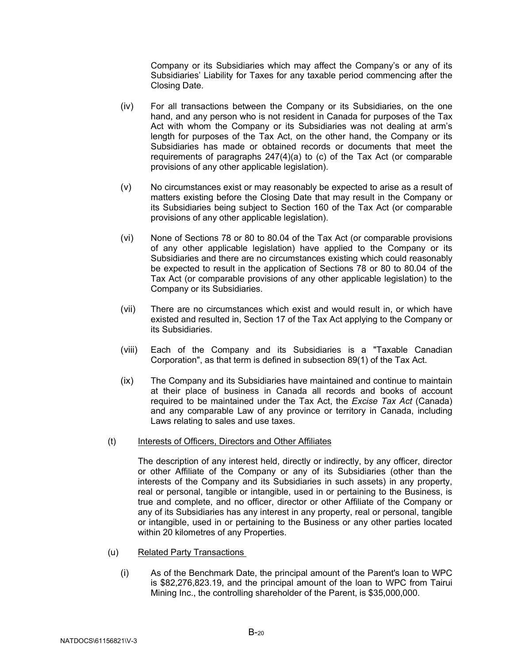Company or its Subsidiaries which may affect the Company's or any of its Subsidiaries' Liability for Taxes for any taxable period commencing after the Closing Date.

- (iv) For all transactions between the Company or its Subsidiaries, on the one hand, and any person who is not resident in Canada for purposes of the Tax Act with whom the Company or its Subsidiaries was not dealing at arm's length for purposes of the Tax Act, on the other hand, the Company or its Subsidiaries has made or obtained records or documents that meet the requirements of paragraphs 247(4)(a) to (c) of the Tax Act (or comparable provisions of any other applicable legislation).
- (v) No circumstances exist or may reasonably be expected to arise as a result of matters existing before the Closing Date that may result in the Company or its Subsidiaries being subject to Section 160 of the Tax Act (or comparable provisions of any other applicable legislation).
- (vi) None of Sections 78 or 80 to 80.04 of the Tax Act (or comparable provisions of any other applicable legislation) have applied to the Company or its Subsidiaries and there are no circumstances existing which could reasonably be expected to result in the application of Sections 78 or 80 to 80.04 of the Tax Act (or comparable provisions of any other applicable legislation) to the Company or its Subsidiaries.
- (vii) There are no circumstances which exist and would result in, or which have existed and resulted in, Section 17 of the Tax Act applying to the Company or its Subsidiaries.
- (viii) Each of the Company and its Subsidiaries is a "Taxable Canadian Corporation", as that term is defined in subsection 89(1) of the Tax Act.
- (ix) The Company and its Subsidiaries have maintained and continue to maintain at their place of business in Canada all records and books of account required to be maintained under the Tax Act, the *Excise Tax Act* (Canada) and any comparable Law of any province or territory in Canada, including Laws relating to sales and use taxes.
- (t) Interests of Officers, Directors and Other Affiliates

The description of any interest held, directly or indirectly, by any officer, director or other Affiliate of the Company or any of its Subsidiaries (other than the interests of the Company and its Subsidiaries in such assets) in any property, real or personal, tangible or intangible, used in or pertaining to the Business, is true and complete, and no officer, director or other Affiliate of the Company or any of its Subsidiaries has any interest in any property, real or personal, tangible or intangible, used in or pertaining to the Business or any other parties located within 20 kilometres of any Properties.

- <span id="page-22-0"></span>(u) Related Party Transactions
	- (i) As of the Benchmark Date, the principal amount of the Parent's loan to WPC is \$82,276,823.19, and the principal amount of the loan to WPC from Tairui Mining Inc., the controlling shareholder of the Parent, is \$35,000,000.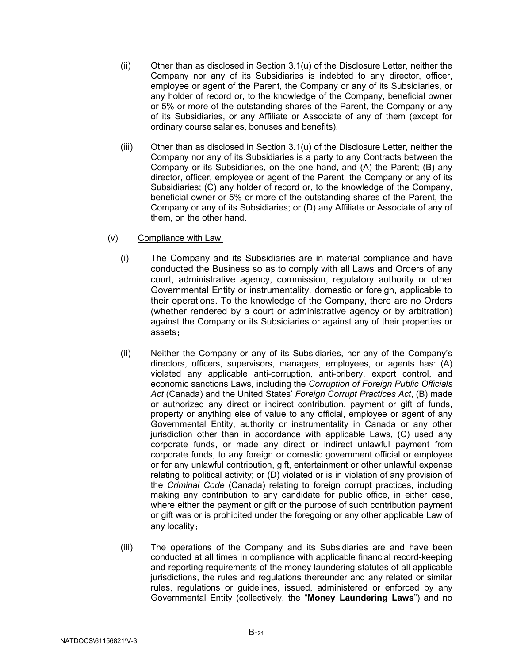- (ii) Other than as disclosed in Section [3.1\(u\)](#page-22-0) of the Disclosure Letter, neither the Company nor any of its Subsidiaries is indebted to any director, officer, employee or agent of the Parent, the Company or any of its Subsidiaries, or any holder of record or, to the knowledge of the Company, beneficial owner or 5% or more of the outstanding shares of the Parent, the Company or any of its Subsidiaries, or any Affiliate or Associate of any of them (except for ordinary course salaries, bonuses and benefits).
- (iii) Other than as disclosed in Section [3.1\(u\)](#page-22-0) of the Disclosure Letter, neither the Company nor any of its Subsidiaries is a party to any Contracts between the Company or its Subsidiaries, on the one hand, and (A) the Parent; (B) any director, officer, employee or agent of the Parent, the Company or any of its Subsidiaries; (C) any holder of record or, to the knowledge of the Company, beneficial owner or 5% or more of the outstanding shares of the Parent, the Company or any of its Subsidiaries; or (D) any Affiliate or Associate of any of them, on the other hand.
- <span id="page-23-0"></span>(v) Compliance with Law
	- (i) The Company and its Subsidiaries are in material compliance and have conducted the Business so as to comply with all Laws and Orders of any court, administrative agency, commission, regulatory authority or other Governmental Entity or instrumentality, domestic or foreign, applicable to their operations. To the knowledge of the Company, there are no Orders (whether rendered by a court or administrative agency or by arbitration) against the Company or its Subsidiaries or against any of their properties or assets;
	- (ii) Neither the Company or any of its Subsidiaries, nor any of the Company's directors, officers, supervisors, managers, employees, or agents has: (A) violated any applicable anti-corruption, anti-bribery, export control, and economic sanctions Laws, including the *Corruption of Foreign Public Officials Act* (Canada) and the United States' *Foreign Corrupt Practices Act*, (B) made or authorized any direct or indirect contribution, payment or gift of funds, property or anything else of value to any official, employee or agent of any Governmental Entity, authority or instrumentality in Canada or any other jurisdiction other than in accordance with applicable Laws, (C) used any corporate funds, or made any direct or indirect unlawful payment from corporate funds, to any foreign or domestic government official or employee or for any unlawful contribution, gift, entertainment or other unlawful expense relating to political activity; or (D) violated or is in violation of any provision of the *Criminal Code* (Canada) relating to foreign corrupt practices, including making any contribution to any candidate for public office, in either case, where either the payment or gift or the purpose of such contribution payment or gift was or is prohibited under the foregoing or any other applicable Law of any locality;
	- (iii) The operations of the Company and its Subsidiaries are and have been conducted at all times in compliance with applicable financial record-keeping and reporting requirements of the money laundering statutes of all applicable jurisdictions, the rules and regulations thereunder and any related or similar rules, regulations or guidelines, issued, administered or enforced by any Governmental Entity (collectively, the "**Money Laundering Laws**") and no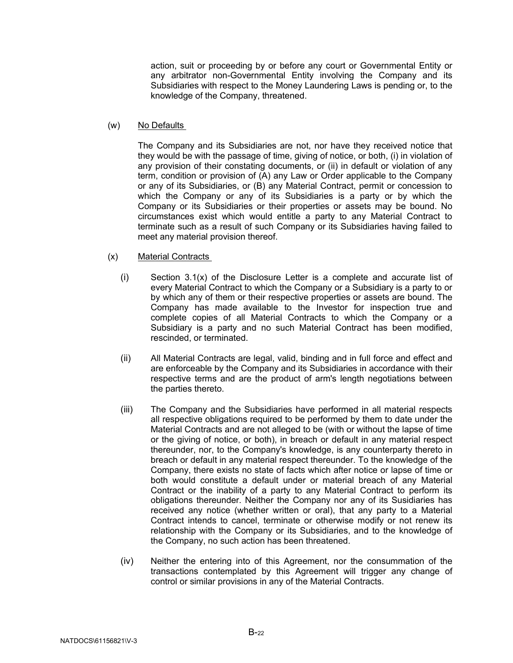action, suit or proceeding by or before any court or Governmental Entity or any arbitrator non-Governmental Entity involving the Company and its Subsidiaries with respect to the Money Laundering Laws is pending or, to the knowledge of the Company, threatened.

(w) No Defaults

The Company and its Subsidiaries are not, nor have they received notice that they would be with the passage of time, giving of notice, or both, (i) in violation of any provision of their constating documents, or (ii) in default or violation of any term, condition or provision of (A) any Law or Order applicable to the Company or any of its Subsidiaries, or (B) any Material Contract, permit or concession to which the Company or any of its Subsidiaries is a party or by which the Company or its Subsidiaries or their properties or assets may be bound. No circumstances exist which would entitle a party to any Material Contract to terminate such as a result of such Company or its Subsidiaries having failed to meet any material provision thereof.

- <span id="page-24-0"></span>(x) Material Contracts
	- $(i)$  Section [3.1\(x\)](#page-24-0) of the Disclosure Letter is a complete and accurate list of every Material Contract to which the Company or a Subsidiary is a party to or by which any of them or their respective properties or assets are bound. The Company has made available to the Investor for inspection true and complete copies of all Material Contracts to which the Company or a Subsidiary is a party and no such Material Contract has been modified, rescinded, or terminated.
	- (ii) All Material Contracts are legal, valid, binding and in full force and effect and are enforceable by the Company and its Subsidiaries in accordance with their respective terms and are the product of arm's length negotiations between the parties thereto.
	- (iii) The Company and the Subsidiaries have performed in all material respects all respective obligations required to be performed by them to date under the Material Contracts and are not alleged to be (with or without the lapse of time or the giving of notice, or both), in breach or default in any material respect thereunder, nor, to the Company's knowledge, is any counterparty thereto in breach or default in any material respect thereunder. To the knowledge of the Company, there exists no state of facts which after notice or lapse of time or both would constitute a default under or material breach of any Material Contract or the inability of a party to any Material Contract to perform its obligations thereunder. Neither the Company nor any of its Susidiaries has received any notice (whether written or oral), that any party to a Material Contract intends to cancel, terminate or otherwise modify or not renew its relationship with the Company or its Subsidiaries, and to the knowledge of the Company, no such action has been threatened.
	- (iv) Neither the entering into of this Agreement, nor the consummation of the transactions contemplated by this Agreement will trigger any change of control or similar provisions in any of the Material Contracts.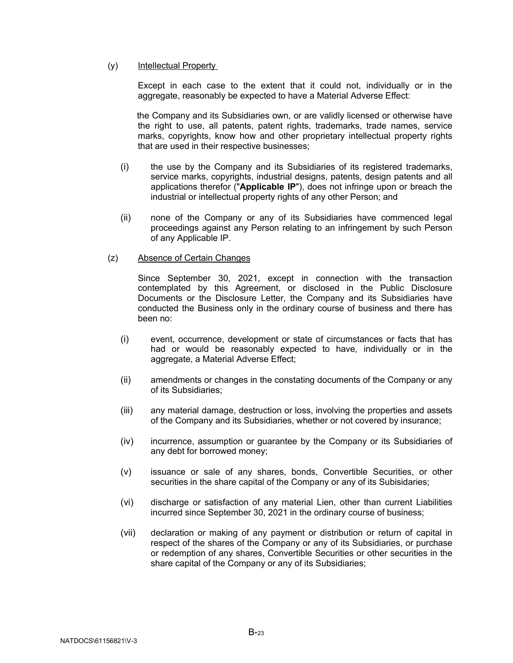#### <span id="page-25-0"></span>(y) Intellectual Property

Except in each case to the extent that it could not, individually or in the aggregate, reasonably be expected to have a Material Adverse Effect:

 the Company and its Subsidiaries own, or are validly licensed or otherwise have the right to use, all patents, patent rights, trademarks, trade names, service marks, copyrights, know how and other proprietary intellectual property rights that are used in their respective businesses;

- (i) the use by the Company and its Subsidiaries of its registered trademarks, service marks, copyrights, industrial designs, patents, design patents and all applications therefor ("**Applicable IP**"), does not infringe upon or breach the industrial or intellectual property rights of any other Person; and
- (ii) none of the Company or any of its Subsidiaries have commenced legal proceedings against any Person relating to an infringement by such Person of any Applicable IP.

#### (z) Absence of Certain Changes

Since September 30, 2021, except in connection with the transaction contemplated by this Agreement, or disclosed in the Public Disclosure Documents or the Disclosure Letter, the Company and its Subsidiaries have conducted the Business only in the ordinary course of business and there has been no:

- (i) event, occurrence, development or state of circumstances or facts that has had or would be reasonably expected to have, individually or in the aggregate, a Material Adverse Effect;
- (ii) amendments or changes in the constating documents of the Company or any of its Subsidiaries;
- (iii) any material damage, destruction or loss, involving the properties and assets of the Company and its Subsidiaries, whether or not covered by insurance;
- (iv) incurrence, assumption or guarantee by the Company or its Subsidiaries of any debt for borrowed money;
- (v) issuance or sale of any shares, bonds, Convertible Securities, or other securities in the share capital of the Company or any of its Subisidaries;
- (vi) discharge or satisfaction of any material Lien, other than current Liabilities incurred since September 30, 2021 in the ordinary course of business;
- (vii) declaration or making of any payment or distribution or return of capital in respect of the shares of the Company or any of its Subsidiaries, or purchase or redemption of any shares, Convertible Securities or other securities in the share capital of the Company or any of its Subsidiaries;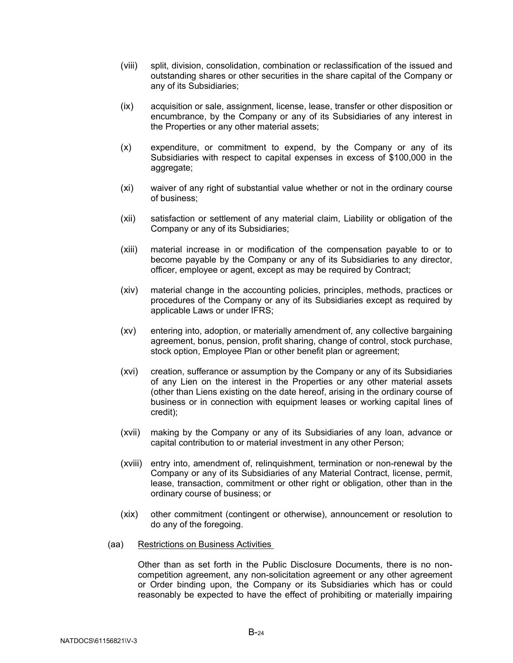- (viii) split, division, consolidation, combination or reclassification of the issued and outstanding shares or other securities in the share capital of the Company or any of its Subsidiaries;
- (ix) acquisition or sale, assignment, license, lease, transfer or other disposition or encumbrance, by the Company or any of its Subsidiaries of any interest in the Properties or any other material assets;
- (x) expenditure, or commitment to expend, by the Company or any of its Subsidiaries with respect to capital expenses in excess of \$100,000 in the aggregate;
- (xi) waiver of any right of substantial value whether or not in the ordinary course of business;
- (xii) satisfaction or settlement of any material claim, Liability or obligation of the Company or any of its Subsidiaries;
- (xiii) material increase in or modification of the compensation payable to or to become payable by the Company or any of its Subsidiaries to any director, officer, employee or agent, except as may be required by Contract;
- (xiv) material change in the accounting policies, principles, methods, practices or procedures of the Company or any of its Subsidiaries except as required by applicable Laws or under IFRS;
- (xv) entering into, adoption, or materially amendment of, any collective bargaining agreement, bonus, pension, profit sharing, change of control, stock purchase, stock option, Employee Plan or other benefit plan or agreement;
- (xvi) creation, sufferance or assumption by the Company or any of its Subsidiaries of any Lien on the interest in the Properties or any other material assets (other than Liens existing on the date hereof, arising in the ordinary course of business or in connection with equipment leases or working capital lines of credit);
- (xvii) making by the Company or any of its Subsidiaries of any loan, advance or capital contribution to or material investment in any other Person;
- (xviii) entry into, amendment of, relinquishment, termination or non-renewal by the Company or any of its Subsidiaries of any Material Contract, license, permit, lease, transaction, commitment or other right or obligation, other than in the ordinary course of business; or
- (xix) other commitment (contingent or otherwise), announcement or resolution to do any of the foregoing.
- (aa) Restrictions on Business Activities

Other than as set forth in the Public Disclosure Documents, there is no noncompetition agreement, any non-solicitation agreement or any other agreement or Order binding upon, the Company or its Subsidiaries which has or could reasonably be expected to have the effect of prohibiting or materially impairing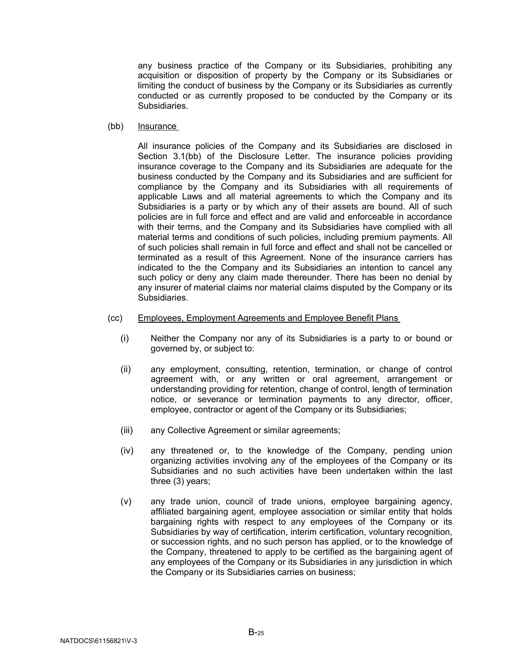any business practice of the Company or its Subsidiaries, prohibiting any acquisition or disposition of property by the Company or its Subsidiaries or limiting the conduct of business by the Company or its Subsidiaries as currently conducted or as currently proposed to be conducted by the Company or its Subsidiaries.

<span id="page-27-0"></span>(bb) Insurance

All insurance policies of the Company and its Subsidiaries are disclosed in Section [3.1\(bb\)](#page-27-0) of the Disclosure Letter. The insurance policies providing insurance coverage to the Company and its Subsidiaries are adequate for the business conducted by the Company and its Subsidiaries and are sufficient for compliance by the Company and its Subsidiaries with all requirements of applicable Laws and all material agreements to which the Company and its Subsidiaries is a party or by which any of their assets are bound. All of such policies are in full force and effect and are valid and enforceable in accordance with their terms, and the Company and its Subsidiaries have complied with all material terms and conditions of such policies, including premium payments. All of such policies shall remain in full force and effect and shall not be cancelled or terminated as a result of this Agreement. None of the insurance carriers has indicated to the the Company and its Subsidiaries an intention to cancel any such policy or deny any claim made thereunder. There has been no denial by any insurer of material claims nor material claims disputed by the Company or its Subsidiaries.

- <span id="page-27-1"></span>(cc) Employees, Employment Agreements and Employee Benefit Plans
	- (i) Neither the Company nor any of its Subsidiaries is a party to or bound or governed by, or subject to:
	- (ii) any employment, consulting, retention, termination, or change of control agreement with, or any written or oral agreement, arrangement or understanding providing for retention, change of control, length of termination notice, or severance or termination payments to any director, officer, employee, contractor or agent of the Company or its Subsidiaries;
	- (iii) any Collective Agreement or similar agreements;
	- (iv) any threatened or, to the knowledge of the Company, pending union organizing activities involving any of the employees of the Company or its Subsidiaries and no such activities have been undertaken within the last three (3) years;
	- (v) any trade union, council of trade unions, employee bargaining agency, affiliated bargaining agent, employee association or similar entity that holds bargaining rights with respect to any employees of the Company or its Subsidiaries by way of certification, interim certification, voluntary recognition, or succession rights, and no such person has applied, or to the knowledge of the Company, threatened to apply to be certified as the bargaining agent of any employees of the Company or its Subsidiaries in any jurisdiction in which the Company or its Subsidiaries carries on business;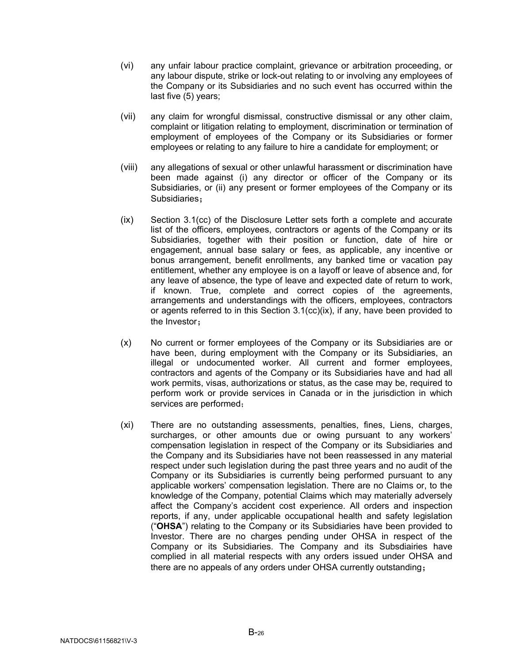- (vi) any unfair labour practice complaint, grievance or arbitration proceeding, or any labour dispute, strike or lock-out relating to or involving any employees of the Company or its Subsidiaries and no such event has occurred within the last five (5) years;
- (vii) any claim for wrongful dismissal, constructive dismissal or any other claim, complaint or litigation relating to employment, discrimination or termination of employment of employees of the Company or its Subsidiaries or former employees or relating to any failure to hire a candidate for employment; or
- (viii) any allegations of sexual or other unlawful harassment or discrimination have been made against (i) any director or officer of the Company or its Subsidiaries, or (ii) any present or former employees of the Company or its Subsidiaries;
- <span id="page-28-0"></span>(ix) Section [3.1\(cc\)](#page-27-1) of the Disclosure Letter sets forth a complete and accurate list of the officers, employees, contractors or agents of the Company or its Subsidiaries, together with their position or function, date of hire or engagement, annual base salary or fees, as applicable, any incentive or bonus arrangement, benefit enrollments, any banked time or vacation pay entitlement, whether any employee is on a layoff or leave of absence and, for any leave of absence, the type of leave and expected date of return to work, if known. True, complete and correct copies of the agreements, arrangements and understandings with the officers, employees, contractors or agents referred to in this Section  $3.1$ (cc[\)\(ix\),](#page-28-0) if any, have been provided to the Investor;
- (x) No current or former employees of the Company or its Subsidiaries are or have been, during employment with the Company or its Subsidiaries, an illegal or undocumented worker. All current and former employees, contractors and agents of the Company or its Subsidiaries have and had all work permits, visas, authorizations or status, as the case may be, required to perform work or provide services in Canada or in the jurisdiction in which services are performed;
- (xi) There are no outstanding assessments, penalties, fines, Liens, charges, surcharges, or other amounts due or owing pursuant to any workers' compensation legislation in respect of the Company or its Subsidiaries and the Company and its Subsidiaries have not been reassessed in any material respect under such legislation during the past three years and no audit of the Company or its Subsidiaries is currently being performed pursuant to any applicable workers' compensation legislation. There are no Claims or, to the knowledge of the Company, potential Claims which may materially adversely affect the Company's accident cost experience. All orders and inspection reports, if any, under applicable occupational health and safety legislation ("**OHSA**") relating to the Company or its Subsidiaries have been provided to Investor. There are no charges pending under OHSA in respect of the Company or its Subsidiaries. The Company and its Subsdiairies have complied in all material respects with any orders issued under OHSA and there are no appeals of any orders under OHSA currently outstanding;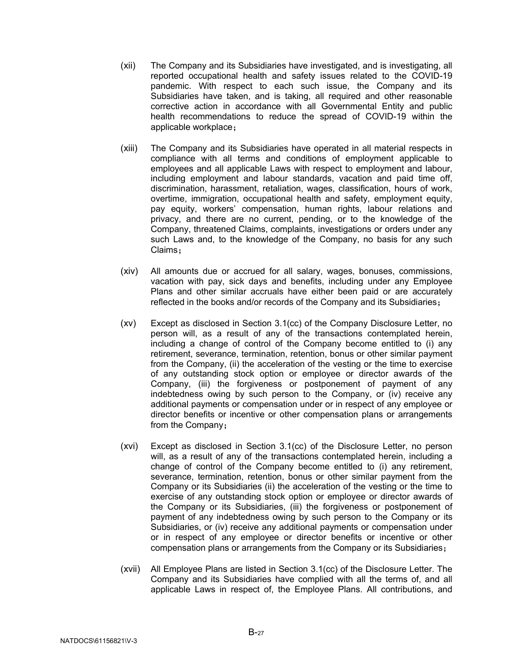- (xii) The Company and its Subsidiaries have investigated, and is investigating, all reported occupational health and safety issues related to the COVID-19 pandemic. With respect to each such issue, the Company and its Subsidiaries have taken, and is taking, all required and other reasonable corrective action in accordance with all Governmental Entity and public health recommendations to reduce the spread of COVID-19 within the applicable workplace;
- (xiii) The Company and its Subsidiaries have operated in all material respects in compliance with all terms and conditions of employment applicable to employees and all applicable Laws with respect to employment and labour, including employment and labour standards, vacation and paid time off, discrimination, harassment, retaliation, wages, classification, hours of work, overtime, immigration, occupational health and safety, employment equity, pay equity, workers' compensation, human rights, labour relations and privacy, and there are no current, pending, or to the knowledge of the Company, threatened Claims, complaints, investigations or orders under any such Laws and, to the knowledge of the Company, no basis for any such Claims;
- (xiv) All amounts due or accrued for all salary, wages, bonuses, commissions, vacation with pay, sick days and benefits, including under any Employee Plans and other similar accruals have either been paid or are accurately reflected in the books and/or records of the Company and its Subsidiaries;
- (xv) Except as disclosed in Section 3.1(cc) of the Company Disclosure Letter, no person will, as a result of any of the transactions contemplated herein, including a change of control of the Company become entitled to (i) any retirement, severance, termination, retention, bonus or other similar payment from the Company, (ii) the acceleration of the vesting or the time to exercise of any outstanding stock option or employee or director awards of the Company, (iii) the forgiveness or postponement of payment of any indebtedness owing by such person to the Company, or (iv) receive any additional payments or compensation under or in respect of any employee or director benefits or incentive or other compensation plans or arrangements from the Company;
- (xvi) Except as disclosed in Section [3.1\(cc\)](#page-27-1) of the Disclosure Letter, no person will, as a result of any of the transactions contemplated herein, including a change of control of the Company become entitled to (i) any retirement, severance, termination, retention, bonus or other similar payment from the Company or its Subsidiaries (ii) the acceleration of the vesting or the time to exercise of any outstanding stock option or employee or director awards of the Company or its Subsidiaries, (iii) the forgiveness or postponement of payment of any indebtedness owing by such person to the Company or its Subsidiaries, or (iv) receive any additional payments or compensation under or in respect of any employee or director benefits or incentive or other compensation plans or arrangements from the Company or its Subsidiaries;
- (xvii) All Employee Plans are listed in Section [3.1\(cc\)](#page-27-1) of the Disclosure Letter. The Company and its Subsidiaries have complied with all the terms of, and all applicable Laws in respect of, the Employee Plans. All contributions, and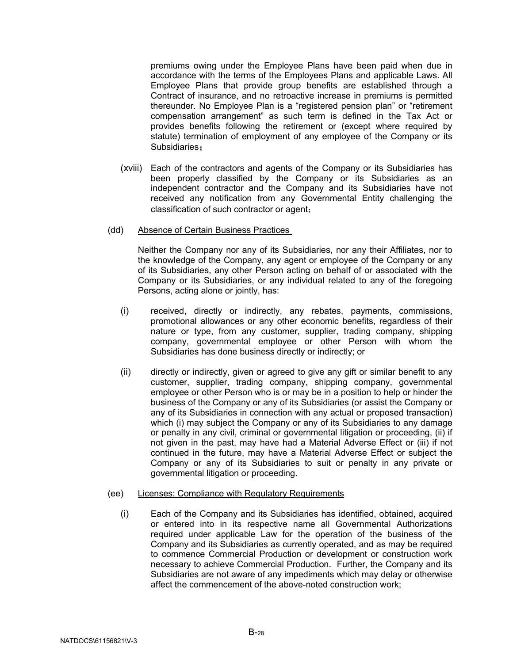premiums owing under the Employee Plans have been paid when due in accordance with the terms of the Employees Plans and applicable Laws. All Employee Plans that provide group benefits are established through a Contract of insurance, and no retroactive increase in premiums is permitted thereunder. No Employee Plan is a "registered pension plan" or "retirement compensation arrangement" as such term is defined in the Tax Act or provides benefits following the retirement or (except where required by statute) termination of employment of any employee of the Company or its Subsidiaries;

(xviii) Each of the contractors and agents of the Company or its Subsidiaries has been properly classified by the Company or its Subsidiaries as an independent contractor and the Company and its Subsidiaries have not received any notification from any Governmental Entity challenging the classification of such contractor or agent;

#### (dd) Absence of Certain Business Practices

Neither the Company nor any of its Subsidiaries, nor any their Affiliates, nor to the knowledge of the Company, any agent or employee of the Company or any of its Subsidiaries, any other Person acting on behalf of or associated with the Company or its Subsidiaries, or any individual related to any of the foregoing Persons, acting alone or jointly, has:

- (i) received, directly or indirectly, any rebates, payments, commissions, promotional allowances or any other economic benefits, regardless of their nature or type, from any customer, supplier, trading company, shipping company, governmental employee or other Person with whom the Subsidiaries has done business directly or indirectly; or
- (ii) directly or indirectly, given or agreed to give any gift or similar benefit to any customer, supplier, trading company, shipping company, governmental employee or other Person who is or may be in a position to help or hinder the business of the Company or any of its Subsidiaries (or assist the Company or any of its Subsidiaries in connection with any actual or proposed transaction) which (i) may subject the Company or any of its Subsidiaries to any damage or penalty in any civil, criminal or governmental litigation or proceeding, (ii) if not given in the past, may have had a Material Adverse Effect or (iii) if not continued in the future, may have a Material Adverse Effect or subject the Company or any of its Subsidiaries to suit or penalty in any private or governmental litigation or proceeding.

#### (ee) Licenses; Compliance with Regulatory Requirements

(i) Each of the Company and its Subsidiaries has identified, obtained, acquired or entered into in its respective name all Governmental Authorizations required under applicable Law for the operation of the business of the Company and its Subsidiaries as currently operated, and as may be required to commence Commercial Production or development or construction work necessary to achieve Commercial Production. Further, the Company and its Subsidiaries are not aware of any impediments which may delay or otherwise affect the commencement of the above-noted construction work;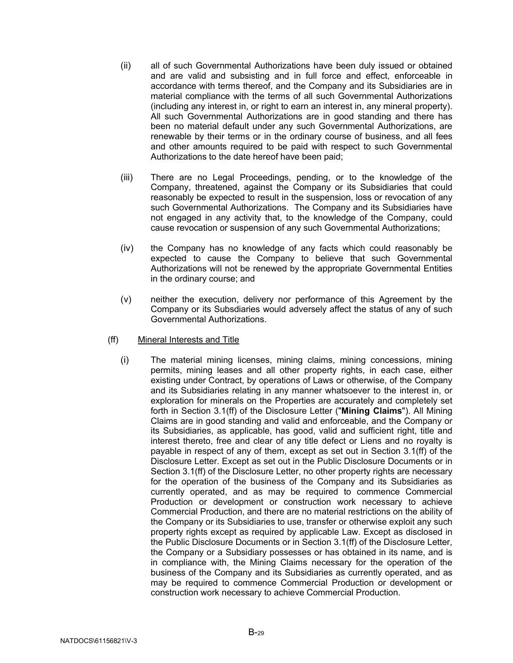- (ii) all of such Governmental Authorizations have been duly issued or obtained and are valid and subsisting and in full force and effect, enforceable in accordance with terms thereof, and the Company and its Subsidiaries are in material compliance with the terms of all such Governmental Authorizations (including any interest in, or right to earn an interest in, any mineral property). All such Governmental Authorizations are in good standing and there has been no material default under any such Governmental Authorizations, are renewable by their terms or in the ordinary course of business, and all fees and other amounts required to be paid with respect to such Governmental Authorizations to the date hereof have been paid;
- (iii) There are no Legal Proceedings, pending, or to the knowledge of the Company, threatened, against the Company or its Subsidiaries that could reasonably be expected to result in the suspension, loss or revocation of any such Governmental Authorizations. The Company and its Subsidiaries have not engaged in any activity that, to the knowledge of the Company, could cause revocation or suspension of any such Governmental Authorizations;
- (iv) the Company has no knowledge of any facts which could reasonably be expected to cause the Company to believe that such Governmental Authorizations will not be renewed by the appropriate Governmental Entities in the ordinary course; and
- (v) neither the execution, delivery nor performance of this Agreement by the Company or its Subsdiaries would adversely affect the status of any of such Governmental Authorizations.
- <span id="page-31-1"></span><span id="page-31-0"></span>(ff) Mineral Interests and Title
	- (i) The material mining licenses, mining claims, mining concessions, mining permits, mining leases and all other property rights, in each case, either existing under Contract, by operations of Laws or otherwise, of the Company and its Subsidiaries relating in any manner whatsoever to the interest in, or exploration for minerals on the Properties are accurately and completely set forth in Section [3.1\(ff\)](#page-31-1) of the Disclosure Letter ("**Mining Claims**"). All Mining Claims are in good standing and valid and enforceable, and the Company or its Subsidiaries, as applicable, has good, valid and sufficient right, title and interest thereto, free and clear of any title defect or Liens and no royalty is payable in respect of any of them, except as set out in Section [3.1\(ff\)](#page-31-1) of the Disclosure Letter. Except as set out in the Public Disclosure Documents or in Section [3.1\(ff\)](#page-31-1) of the Disclosure Letter, no other property rights are necessary for the operation of the business of the Company and its Subsidiaries as currently operated, and as may be required to commence Commercial Production or development or construction work necessary to achieve Commercial Production, and there are no material restrictions on the ability of the Company or its Subsidiaries to use, transfer or otherwise exploit any such property rights except as required by applicable Law. Except as disclosed in the Public Disclosure Documents or in Section [3.1\(ff\)](#page-31-1) of the Disclosure Letter, the Company or a Subsidiary possesses or has obtained in its name, and is in compliance with, the Mining Claims necessary for the operation of the business of the Company and its Subsidiaries as currently operated, and as may be required to commence Commercial Production or development or construction work necessary to achieve Commercial Production.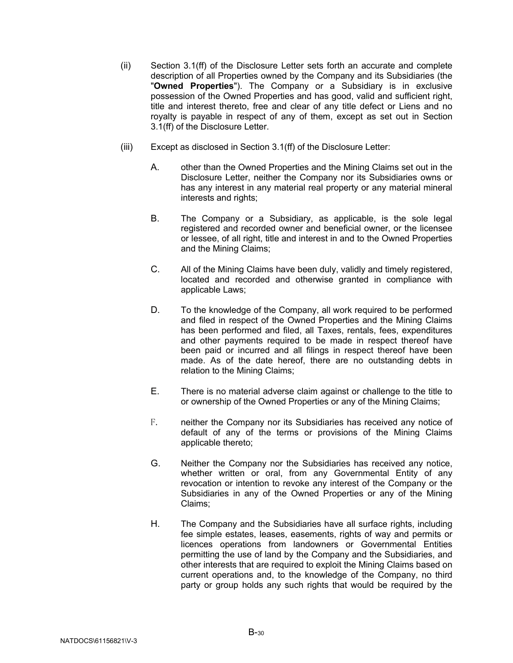- (ii) Section [3.1\(ff\)](#page-31-1) of the Disclosure Letter sets forth an accurate and complete description of all Properties owned by the Company and its Subsidiaries (the "**Owned Properties**"). The Company or a Subsidiary is in exclusive possession of the Owned Properties and has good, valid and sufficient right, title and interest thereto, free and clear of any title defect or Liens and no royalty is payable in respect of any of them, except as set out in Section [3.1\(ff\)](#page-31-1) of the Disclosure Letter.
- (iii) Except as disclosed in Section [3.1\(ff\)](#page-31-1) of the Disclosure Letter:
	- A. other than the Owned Properties and the Mining Claims set out in the Disclosure Letter, neither the Company nor its Subsidiaries owns or has any interest in any material real property or any material mineral interests and rights;
	- B. The Company or a Subsidiary, as applicable, is the sole legal registered and recorded owner and beneficial owner, or the licensee or lessee, of all right, title and interest in and to the Owned Properties and the Mining Claims;
	- C. All of the Mining Claims have been duly, validly and timely registered, located and recorded and otherwise granted in compliance with applicable Laws;
	- D. To the knowledge of the Company, all work required to be performed and filed in respect of the Owned Properties and the Mining Claims has been performed and filed, all Taxes, rentals, fees, expenditures and other payments required to be made in respect thereof have been paid or incurred and all filings in respect thereof have been made. As of the date hereof, there are no outstanding debts in relation to the Mining Claims;
	- E. There is no material adverse claim against or challenge to the title to or ownership of the Owned Properties or any of the Mining Claims;
	- F. neither the Company nor its Subsidiaries has received any notice of default of any of the terms or provisions of the Mining Claims applicable thereto;
	- G. Neither the Company nor the Subsidiaries has received any notice, whether written or oral, from any Governmental Entity of any revocation or intention to revoke any interest of the Company or the Subsidiaries in any of the Owned Properties or any of the Mining Claims;
	- H. The Company and the Subsidiaries have all surface rights, including fee simple estates, leases, easements, rights of way and permits or licences operations from landowners or Governmental Entities permitting the use of land by the Company and the Subsidiaries, and other interests that are required to exploit the Mining Claims based on current operations and, to the knowledge of the Company, no third party or group holds any such rights that would be required by the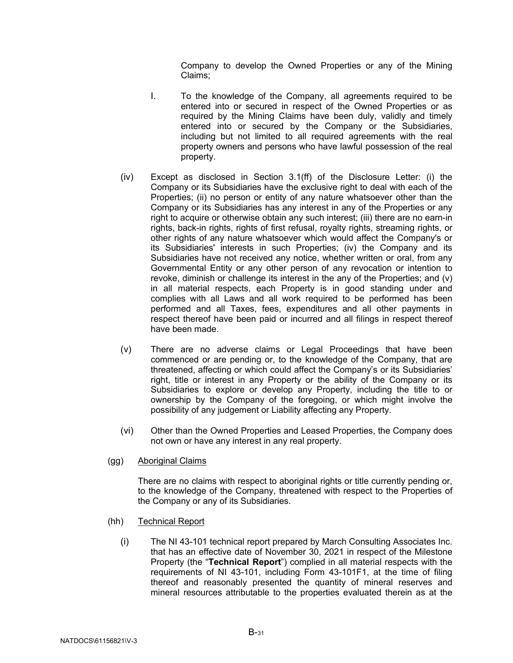Company to develop the Owned Properties or any of the Mining Claims;

- I. To the knowledge of the Company, all agreements required to be entered into or secured in respect of the Owned Properties or as required by the Mining Claims have been duly, validly and timely entered into or secured by the Company or the Subsidiaries, including but not limited to all required agreements with the real property owners and persons who have lawful possession of the real property.
- (iv) Except as disclosed in Section [3.1\(ff\)](#page-31-1) of the Disclosure Letter: (i) the Company or its Subsidiaries have the exclusive right to deal with each of the Properties; (ii) no person or entity of any nature whatsoever other than the Company or its Subsidiaries has any interest in any of the Properties or any right to acquire or otherwise obtain any such interest; (iii) there are no earn-in rights, back-in rights, rights of first refusal, royalty rights, streaming rights, or other rights of any nature whatsoever which would affect the Company's or its Subsidiaries' interests in such Properties; (iv) the Company and its Subsidiaries have not received any notice, whether written or oral, from any Governmental Entity or any other person of any revocation or intention to revoke, diminish or challenge its interest in the any of the Properties; and (v) in all material respects, each Property is in good standing under and complies with all Laws and all work required to be performed has been performed and all Taxes, fees, expenditures and all other payments in respect thereof have been paid or incurred and all filings in respect thereof have been made.
- (v) There are no adverse claims or Legal Proceedings that have been commenced or are pending or, to the knowledge of the Company, that are threatened, affecting or which could affect the Company's or its Subsidiaries' right, title or interest in any Property or the ability of the Company or its Subsidiaries to explore or develop any Property, including the title to or ownership by the Company of the foregoing, or which might involve the possibility of any judgement or Liability affecting any Property.
- (vi) Other than the Owned Properties and Leased Properties, the Company does not own or have any interest in any real property.
- (gg) Aboriginal Claims

There are no claims with respect to aboriginal rights or title currently pending or, to the knowledge of the Company, threatened with respect to the Properties of the Company or any of its Subsidiaries.

- (hh) Technical Report
	- (i) The NI 43-101 technical report prepared by March Consulting Associates Inc. that has an effective date of November 30, 2021 in respect of the Milestone Property (the "**Technical Report**") complied in all material respects with the requirements of NI 43-101, including Form 43-101F1, at the time of filing thereof and reasonably presented the quantity of mineral reserves and mineral resources attributable to the properties evaluated therein as at the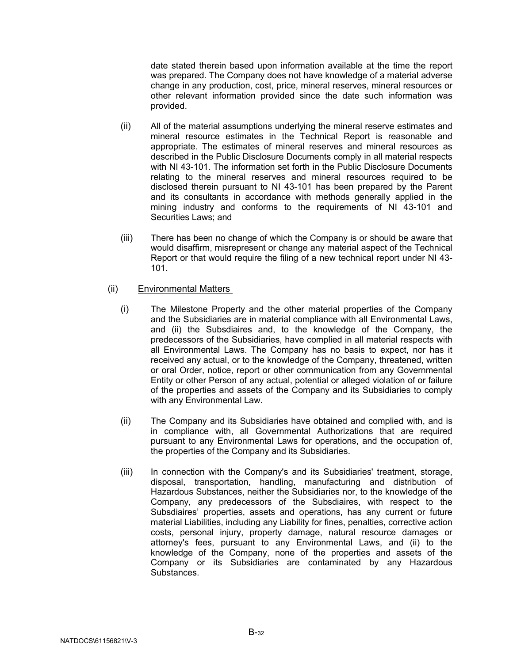date stated therein based upon information available at the time the report was prepared. The Company does not have knowledge of a material adverse change in any production, cost, price, mineral reserves, mineral resources or other relevant information provided since the date such information was provided.

- (ii) All of the material assumptions underlying the mineral reserve estimates and mineral resource estimates in the Technical Report is reasonable and appropriate. The estimates of mineral reserves and mineral resources as described in the Public Disclosure Documents comply in all material respects with NI 43-101. The information set forth in the Public Disclosure Documents relating to the mineral reserves and mineral resources required to be disclosed therein pursuant to NI 43-101 has been prepared by the Parent and its consultants in accordance with methods generally applied in the mining industry and conforms to the requirements of NI 43-101 and Securities Laws; and
- (iii) There has been no change of which the Company is or should be aware that would disaffirm, misrepresent or change any material aspect of the Technical Report or that would require the filing of a new technical report under NI 43- 101.

## (ii) Environmental Matters

- (i) The Milestone Property and the other material properties of the Company and the Subsidiaries are in material compliance with all Environmental Laws, and (ii) the Subsdiaires and, to the knowledge of the Company, the predecessors of the Subsidiaries, have complied in all material respects with all Environmental Laws. The Company has no basis to expect, nor has it received any actual, or to the knowledge of the Company, threatened, written or oral Order, notice, report or other communication from any Governmental Entity or other Person of any actual, potential or alleged violation of or failure of the properties and assets of the Company and its Subsidiaries to comply with any Environmental Law.
- (ii) The Company and its Subsidiaries have obtained and complied with, and is in compliance with, all Governmental Authorizations that are required pursuant to any Environmental Laws for operations, and the occupation of, the properties of the Company and its Subsidiaries.
- (iii) In connection with the Company's and its Subsidiaries' treatment, storage, disposal, transportation, handling, manufacturing and distribution of Hazardous Substances, neither the Subsidiaries nor, to the knowledge of the Company, any predecessors of the Subsdiaires, with respect to the Subsdiaires' properties, assets and operations, has any current or future material Liabilities, including any Liability for fines, penalties, corrective action costs, personal injury, property damage, natural resource damages or attorney's fees, pursuant to any Environmental Laws, and (ii) to the knowledge of the Company, none of the properties and assets of the Company or its Subsidiaries are contaminated by any Hazardous **Substances**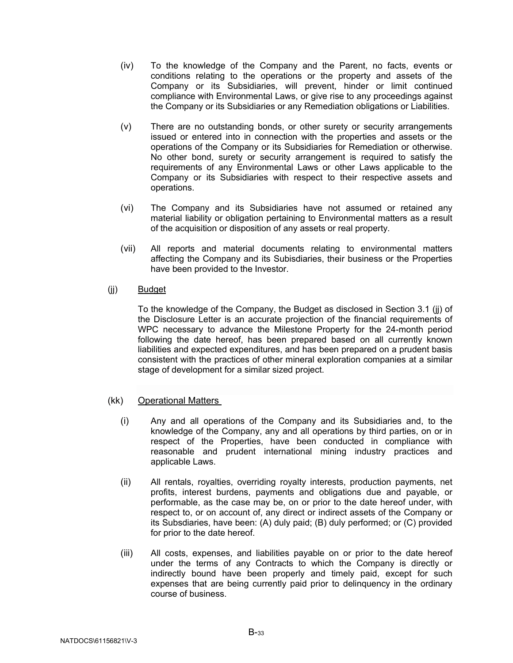- (iv) To the knowledge of the Company and the Parent, no facts, events or conditions relating to the operations or the property and assets of the Company or its Subsidiaries, will prevent, hinder or limit continued compliance with Environmental Laws, or give rise to any proceedings against the Company or its Subsidiaries or any Remediation obligations or Liabilities.
- (v) There are no outstanding bonds, or other surety or security arrangements issued or entered into in connection with the properties and assets or the operations of the Company or its Subsidiaries for Remediation or otherwise. No other bond, surety or security arrangement is required to satisfy the requirements of any Environmental Laws or other Laws applicable to the Company or its Subsidiaries with respect to their respective assets and operations.
- (vi) The Company and its Subsidiaries have not assumed or retained any material liability or obligation pertaining to Environmental matters as a result of the acquisition or disposition of any assets or real property.
- (vii) All reports and material documents relating to environmental matters affecting the Company and its Subisdiaries, their business or the Properties have been provided to the Investor.
- (jj) Budget

To the knowledge of the Company, the Budget as disclosed in Section 3.1 (jj) of the Disclosure Letter is an accurate projection of the financial requirements of WPC necessary to advance the Milestone Property for the 24-month period following the date hereof, has been prepared based on all currently known liabilities and expected expenditures, and has been prepared on a prudent basis consistent with the practices of other mineral exploration companies at a similar stage of development for a similar sized project.

- (kk) Operational Matters
	- (i) Any and all operations of the Company and its Subsidiaries and, to the knowledge of the Company, any and all operations by third parties, on or in respect of the Properties, have been conducted in compliance with reasonable and prudent international mining industry practices and applicable Laws.
	- (ii) All rentals, royalties, overriding royalty interests, production payments, net profits, interest burdens, payments and obligations due and payable, or performable, as the case may be, on or prior to the date hereof under, with respect to, or on account of, any direct or indirect assets of the Company or its Subsdiaries, have been: (A) duly paid; (B) duly performed; or (C) provided for prior to the date hereof.
	- (iii) All costs, expenses, and liabilities payable on or prior to the date hereof under the terms of any Contracts to which the Company is directly or indirectly bound have been properly and timely paid, except for such expenses that are being currently paid prior to delinquency in the ordinary course of business.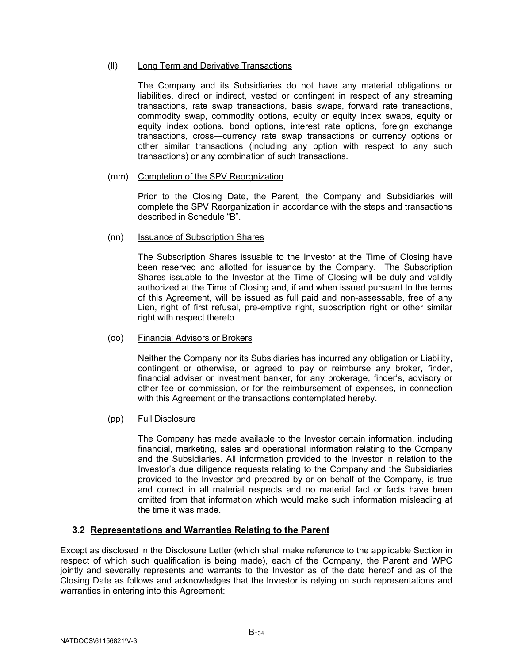## (ll) Long Term and Derivative Transactions

The Company and its Subsidiaries do not have any material obligations or liabilities, direct or indirect, vested or contingent in respect of any streaming transactions, rate swap transactions, basis swaps, forward rate transactions, commodity swap, commodity options, equity or equity index swaps, equity or equity index options, bond options, interest rate options, foreign exchange transactions, cross—currency rate swap transactions or currency options or other similar transactions (including any option with respect to any such transactions) or any combination of such transactions.

#### (mm) Completion of the SPV Reorgnization

Prior to the Closing Date, the Parent, the Company and Subsidiaries will complete the SPV Reorganization in accordance with the steps and transactions described in Schedule "B".

#### (nn) Issuance of Subscription Shares

The Subscription Shares issuable to the Investor at the Time of Closing have been reserved and allotted for issuance by the Company. The Subscription Shares issuable to the Investor at the Time of Closing will be duly and validly authorized at the Time of Closing and, if and when issued pursuant to the terms of this Agreement, will be issued as full paid and non-assessable, free of any Lien, right of first refusal, pre-emptive right, subscription right or other similar right with respect thereto.

## (oo) Financial Advisors or Brokers

Neither the Company nor its Subsidiaries has incurred any obligation or Liability, contingent or otherwise, or agreed to pay or reimburse any broker, finder, financial adviser or investment banker, for any brokerage, finder's, advisory or other fee or commission, or for the reimbursement of expenses, in connection with this Agreement or the transactions contemplated hereby.

## (pp) Full Disclosure

The Company has made available to the Investor certain information, including financial, marketing, sales and operational information relating to the Company and the Subsidiaries. All information provided to the Investor in relation to the Investor's due diligence requests relating to the Company and the Subsidiaries provided to the Investor and prepared by or on behalf of the Company, is true and correct in all material respects and no material fact or facts have been omitted from that information which would make such information misleading at the time it was made.

## <span id="page-36-0"></span>**3.2 Representations and Warranties Relating to the Parent**

Except as disclosed in the Disclosure Letter (which shall make reference to the applicable Section in respect of which such qualification is being made), each of the Company, the Parent and WPC jointly and severally represents and warrants to the Investor as of the date hereof and as of the Closing Date as follows and acknowledges that the Investor is relying on such representations and warranties in entering into this Agreement: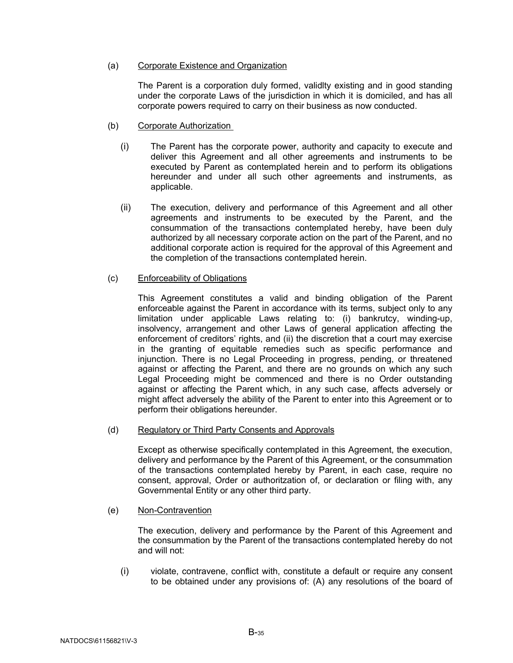## (a) Corporate Existence and Organization

The Parent is a corporation duly formed, validlty existing and in good standing under the corporate Laws of the jurisdiction in which it is domiciled, and has all corporate powers required to carry on their business as now conducted.

- (b) Corporate Authorization
	- (i) The Parent has the corporate power, authority and capacity to execute and deliver this Agreement and all other agreements and instruments to be executed by Parent as contemplated herein and to perform its obligations hereunder and under all such other agreements and instruments, as applicable.
	- (ii) The execution, delivery and performance of this Agreement and all other agreements and instruments to be executed by the Parent, and the consummation of the transactions contemplated hereby, have been duly authorized by all necessary corporate action on the part of the Parent, and no additional corporate action is required for the approval of this Agreement and the completion of the transactions contemplated herein.

# (c) Enforceability of Obligations

This Agreement constitutes a valid and binding obligation of the Parent enforceable against the Parent in accordance with its terms, subject only to any limitation under applicable Laws relating to: (i) bankrutcy, winding-up, insolvency, arrangement and other Laws of general application affecting the enforcement of creditors' rights, and (ii) the discretion that a court may exercise in the granting of equitable remedies such as specific performance and injunction. There is no Legal Proceeding in progress, pending, or threatened against or affecting the Parent, and there are no grounds on which any such Legal Proceeding might be commenced and there is no Order outstanding against or affecting the Parent which, in any such case, affects adversely or might affect adversely the ability of the Parent to enter into this Agreement or to perform their obligations hereunder.

## (d) Regulatory or Third Party Consents and Approvals

Except as otherwise specifically contemplated in this Agreement, the execution, delivery and performance by the Parent of this Agreement, or the consummation of the transactions contemplated hereby by Parent, in each case, require no consent, approval, Order or authoritzation of, or declaration or filing with, any Governmental Entity or any other third party.

## (e) Non-Contravention

The execution, delivery and performance by the Parent of this Agreement and the consummation by the Parent of the transactions contemplated hereby do not and will not:

(i) violate, contravene, conflict with, constitute a default or require any consent to be obtained under any provisions of: (A) any resolutions of the board of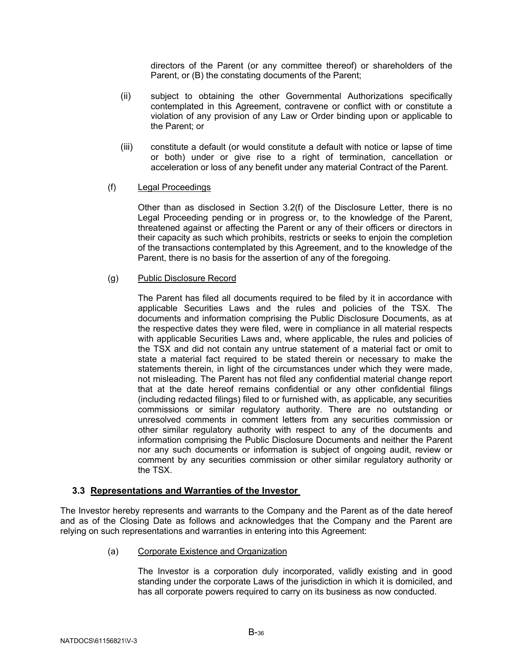directors of the Parent (or any committee thereof) or shareholders of the Parent, or (B) the constating documents of the Parent;

- (ii) subject to obtaining the other Governmental Authorizations specifically contemplated in this Agreement, contravene or conflict with or constitute a violation of any provision of any Law or Order binding upon or applicable to the Parent; or
- (iii) constitute a default (or would constitute a default with notice or lapse of time or both) under or give rise to a right of termination, cancellation or acceleration or loss of any benefit under any material Contract of the Parent.

## (f) Legal Proceedings

Other than as disclosed in Section 3.2(f) of the Disclosure Letter, there is no Legal Proceeding pending or in progress or, to the knowledge of the Parent, threatened against or affecting the Parent or any of their officers or directors in their capacity as such which prohibits, restricts or seeks to enjoin the completion of the transactions contemplated by this Agreement, and to the knowledge of the Parent, there is no basis for the assertion of any of the foregoing.

## (g) Public Disclosure Record

The Parent has filed all documents required to be filed by it in accordance with applicable Securities Laws and the rules and policies of the TSX. The documents and information comprising the Public Disclosure Documents, as at the respective dates they were filed, were in compliance in all material respects with applicable Securities Laws and, where applicable, the rules and policies of the TSX and did not contain any untrue statement of a material fact or omit to state a material fact required to be stated therein or necessary to make the statements therein, in light of the circumstances under which they were made, not misleading. The Parent has not filed any confidential material change report that at the date hereof remains confidential or any other confidential filings (including redacted filings) filed to or furnished with, as applicable, any securities commissions or similar regulatory authority. There are no outstanding or unresolved comments in comment letters from any securities commission or other similar regulatory authority with respect to any of the documents and information comprising the Public Disclosure Documents and neither the Parent nor any such documents or information is subject of ongoing audit, review or comment by any securities commission or other similar regulatory authority or the TSX.

# <span id="page-38-0"></span>**3.3 Representations and Warranties of the Investor**

The Investor hereby represents and warrants to the Company and the Parent as of the date hereof and as of the Closing Date as follows and acknowledges that the Company and the Parent are relying on such representations and warranties in entering into this Agreement:

(a) Corporate Existence and Organization

The Investor is a corporation duly incorporated, validly existing and in good standing under the corporate Laws of the jurisdiction in which it is domiciled, and has all corporate powers required to carry on its business as now conducted.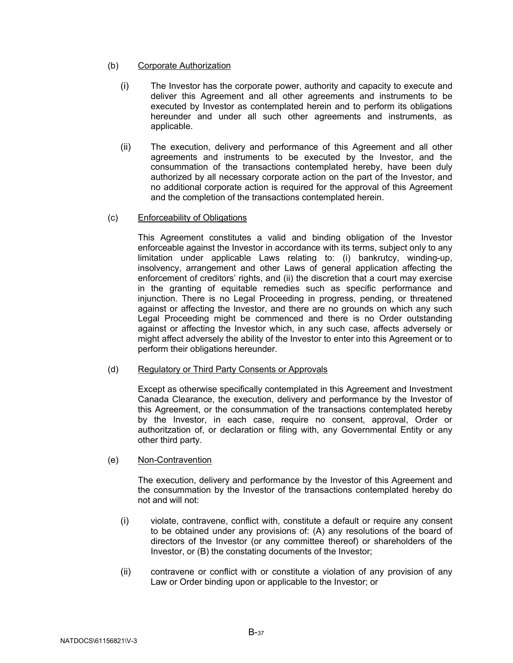## (b) Corporate Authorization

- (i) The Investor has the corporate power, authority and capacity to execute and deliver this Agreement and all other agreements and instruments to be executed by Investor as contemplated herein and to perform its obligations hereunder and under all such other agreements and instruments, as applicable.
- (ii) The execution, delivery and performance of this Agreement and all other agreements and instruments to be executed by the Investor, and the consummation of the transactions contemplated hereby, have been duly authorized by all necessary corporate action on the part of the Investor, and no additional corporate action is required for the approval of this Agreement and the completion of the transactions contemplated herein.
- (c) Enforceability of Obligations

This Agreement constitutes a valid and binding obligation of the Investor enforceable against the Investor in accordance with its terms, subject only to any limitation under applicable Laws relating to: (i) bankrutcy, winding-up, insolvency, arrangement and other Laws of general application affecting the enforcement of creditors' rights, and (ii) the discretion that a court may exercise in the granting of equitable remedies such as specific performance and injunction. There is no Legal Proceeding in progress, pending, or threatened against or affecting the Investor, and there are no grounds on which any such Legal Proceeding might be commenced and there is no Order outstanding against or affecting the Investor which, in any such case, affects adversely or might affect adversely the ability of the Investor to enter into this Agreement or to perform their obligations hereunder.

(d) Regulatory or Third Party Consents or Approvals

Except as otherwise specifically contemplated in this Agreement and Investment Canada Clearance, the execution, delivery and performance by the Investor of this Agreement, or the consummation of the transactions contemplated hereby by the Investor, in each case, require no consent, approval, Order or authoritzation of, or declaration or filing with, any Governmental Entity or any other third party.

(e) Non-Contravention

The execution, delivery and performance by the Investor of this Agreement and the consummation by the Investor of the transactions contemplated hereby do not and will not:

- (i) violate, contravene, conflict with, constitute a default or require any consent to be obtained under any provisions of: (A) any resolutions of the board of directors of the Investor (or any committee thereof) or shareholders of the Investor, or (B) the constating documents of the Investor;
- (ii) contravene or conflict with or constitute a violation of any provision of any Law or Order binding upon or applicable to the Investor; or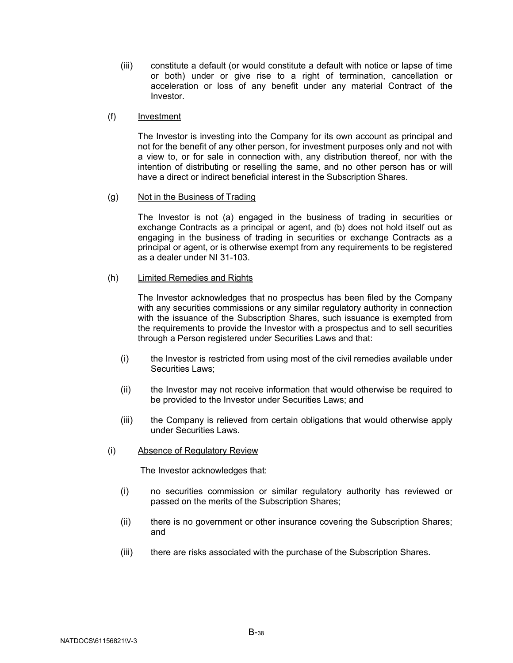(iii) constitute a default (or would constitute a default with notice or lapse of time or both) under or give rise to a right of termination, cancellation or acceleration or loss of any benefit under any material Contract of the Investor.

#### (f) Investment

The Investor is investing into the Company for its own account as principal and not for the benefit of any other person, for investment purposes only and not with a view to, or for sale in connection with, any distribution thereof, nor with the intention of distributing or reselling the same, and no other person has or will have a direct or indirect beneficial interest in the Subscription Shares.

#### (g) Not in the Business of Trading

The Investor is not (a) engaged in the business of trading in securities or exchange Contracts as a principal or agent, and (b) does not hold itself out as engaging in the business of trading in securities or exchange Contracts as a principal or agent, or is otherwise exempt from any requirements to be registered as a dealer under NI 31-103.

#### (h) Limited Remedies and Rights

The Investor acknowledges that no prospectus has been filed by the Company with any securities commissions or any similar regulatory authority in connection with the issuance of the Subscription Shares, such issuance is exempted from the requirements to provide the Investor with a prospectus and to sell securities through a Person registered under Securities Laws and that:

- (i) the Investor is restricted from using most of the civil remedies available under Securities Laws;
- (ii) the Investor may not receive information that would otherwise be required to be provided to the Investor under Securities Laws; and
- (iii) the Company is relieved from certain obligations that would otherwise apply under Securities Laws.
- (i) Absence of Regulatory Review

The Investor acknowledges that:

- (i) no securities commission or similar regulatory authority has reviewed or passed on the merits of the Subscription Shares;
- (ii) there is no government or other insurance covering the Subscription Shares; and
- (iii) there are risks associated with the purchase of the Subscription Shares.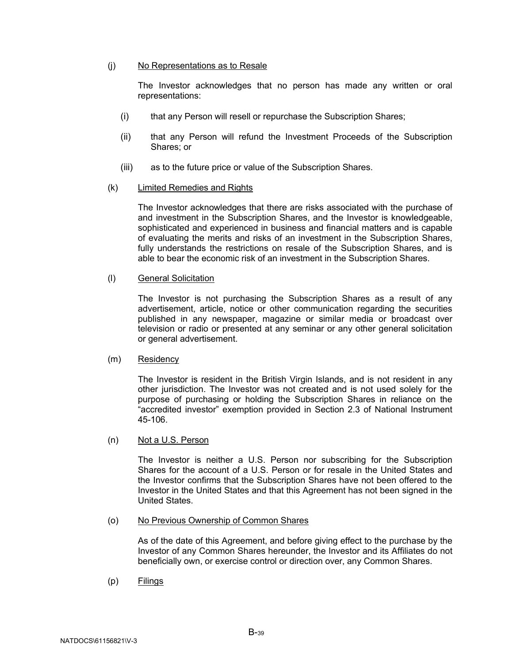#### (j) No Representations as to Resale

The Investor acknowledges that no person has made any written or oral representations:

- (i) that any Person will resell or repurchase the Subscription Shares;
- (ii) that any Person will refund the Investment Proceeds of the Subscription Shares; or
- (iii) as to the future price or value of the Subscription Shares.

#### (k) Limited Remedies and Rights

The Investor acknowledges that there are risks associated with the purchase of and investment in the Subscription Shares, and the Investor is knowledgeable, sophisticated and experienced in business and financial matters and is capable of evaluating the merits and risks of an investment in the Subscription Shares, fully understands the restrictions on resale of the Subscription Shares, and is able to bear the economic risk of an investment in the Subscription Shares.

#### (l) General Solicitation

The Investor is not purchasing the Subscription Shares as a result of any advertisement, article, notice or other communication regarding the securities published in any newspaper, magazine or similar media or broadcast over television or radio or presented at any seminar or any other general solicitation or general advertisement.

#### (m) Residency

The Investor is resident in the British Virgin Islands, and is not resident in any other jurisdiction. The Investor was not created and is not used solely for the purpose of purchasing or holding the Subscription Shares in reliance on the "accredited investor" exemption provided in Section 2.3 of National Instrument 45-106.

(n) Not a U.S. Person

The Investor is neither a U.S. Person nor subscribing for the Subscription Shares for the account of a U.S. Person or for resale in the United States and the Investor confirms that the Subscription Shares have not been offered to the Investor in the United States and that this Agreement has not been signed in the United States.

#### (o) No Previous Ownership of Common Shares

As of the date of this Agreement, and before giving effect to the purchase by the Investor of any Common Shares hereunder, the Investor and its Affiliates do not beneficially own, or exercise control or direction over, any Common Shares.

(p) Filings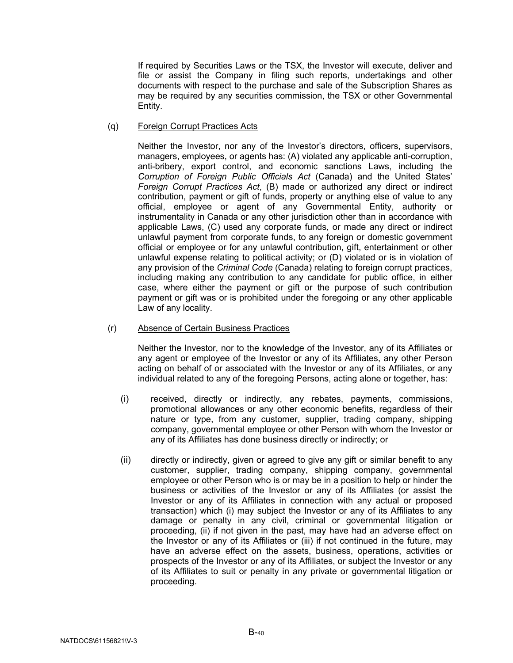If required by Securities Laws or the TSX, the Investor will execute, deliver and file or assist the Company in filing such reports, undertakings and other documents with respect to the purchase and sale of the Subscription Shares as may be required by any securities commission, the TSX or other Governmental Entity.

(q) Foreign Corrupt Practices Acts

Neither the Investor, nor any of the Investor's directors, officers, supervisors, managers, employees, or agents has: (A) violated any applicable anti-corruption, anti-bribery, export control, and economic sanctions Laws, including the *Corruption of Foreign Public Officials Act* (Canada) and the United States' *Foreign Corrupt Practices Act*, (B) made or authorized any direct or indirect contribution, payment or gift of funds, property or anything else of value to any official, employee or agent of any Governmental Entity, authority or instrumentality in Canada or any other jurisdiction other than in accordance with applicable Laws, (C) used any corporate funds, or made any direct or indirect unlawful payment from corporate funds, to any foreign or domestic government official or employee or for any unlawful contribution, gift, entertainment or other unlawful expense relating to political activity; or (D) violated or is in violation of any provision of the *Criminal Code* (Canada) relating to foreign corrupt practices, including making any contribution to any candidate for public office, in either case, where either the payment or gift or the purpose of such contribution payment or gift was or is prohibited under the foregoing or any other applicable Law of any locality.

## (r) Absence of Certain Business Practices

Neither the Investor, nor to the knowledge of the Investor, any of its Affiliates or any agent or employee of the Investor or any of its Affiliates, any other Person acting on behalf of or associated with the Investor or any of its Affiliates, or any individual related to any of the foregoing Persons, acting alone or together, has:

- (i) received, directly or indirectly, any rebates, payments, commissions, promotional allowances or any other economic benefits, regardless of their nature or type, from any customer, supplier, trading company, shipping company, governmental employee or other Person with whom the Investor or any of its Affiliates has done business directly or indirectly; or
- (ii) directly or indirectly, given or agreed to give any gift or similar benefit to any customer, supplier, trading company, shipping company, governmental employee or other Person who is or may be in a position to help or hinder the business or activities of the Investor or any of its Affiliates (or assist the Investor or any of its Affiliates in connection with any actual or proposed transaction) which (i) may subject the Investor or any of its Affiliates to any damage or penalty in any civil, criminal or governmental litigation or proceeding, (ii) if not given in the past, may have had an adverse effect on the Investor or any of its Affiliates or (iii) if not continued in the future, may have an adverse effect on the assets, business, operations, activities or prospects of the Investor or any of its Affiliates, or subject the Investor or any of its Affiliates to suit or penalty in any private or governmental litigation or proceeding.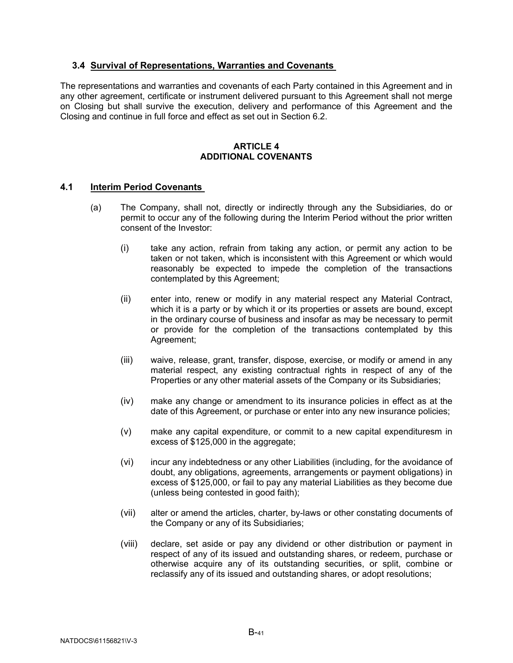# <span id="page-43-0"></span>**3.4 Survival of Representations, Warranties and Covenants**

The representations and warranties and covenants of each Party contained in this Agreement and in any other agreement, certificate or instrument delivered pursuant to this Agreement shall not merge on Closing but shall survive the execution, delivery and performance of this Agreement and the Closing and continue in full force and effect as set out in Section 6.2.

## **ARTICLE 4 ADDITIONAL COVENANTS**

## <span id="page-43-2"></span><span id="page-43-1"></span>**4.1 Interim Period Covenants**

- (a) The Company, shall not, directly or indirectly through any the Subsidiaries, do or permit to occur any of the following during the Interim Period without the prior written consent of the Investor:
	- (i) take any action, refrain from taking any action, or permit any action to be taken or not taken, which is inconsistent with this Agreement or which would reasonably be expected to impede the completion of the transactions contemplated by this Agreement;
	- (ii) enter into, renew or modify in any material respect any Material Contract, which it is a party or by which it or its properties or assets are bound, except in the ordinary course of business and insofar as may be necessary to permit or provide for the completion of the transactions contemplated by this Agreement;
	- (iii) waive, release, grant, transfer, dispose, exercise, or modify or amend in any material respect, any existing contractual rights in respect of any of the Properties or any other material assets of the Company or its Subsidiaries;
	- (iv) make any change or amendment to its insurance policies in effect as at the date of this Agreement, or purchase or enter into any new insurance policies;
	- (v) make any capital expenditure, or commit to a new capital expendituresm in excess of \$125,000 in the aggregate;
	- (vi) incur any indebtedness or any other Liabilities (including, for the avoidance of doubt, any obligations, agreements, arrangements or payment obligations) in excess of \$125,000, or fail to pay any material Liabilities as they become due (unless being contested in good faith);
	- (vii) alter or amend the articles, charter, by-laws or other constating documents of the Company or any of its Subsidiaries;
	- (viii) declare, set aside or pay any dividend or other distribution or payment in respect of any of its issued and outstanding shares, or redeem, purchase or otherwise acquire any of its outstanding securities, or split, combine or reclassify any of its issued and outstanding shares, or adopt resolutions;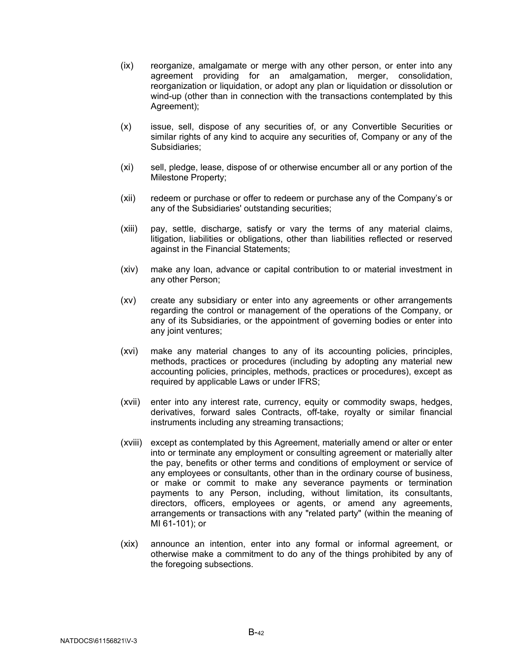- (ix) reorganize, amalgamate or merge with any other person, or enter into any agreement providing for an amalgamation, merger, consolidation, reorganization or liquidation, or adopt any plan or liquidation or dissolution or wind-up (other than in connection with the transactions contemplated by this Agreement);
- (x) issue, sell, dispose of any securities of, or any Convertible Securities or similar rights of any kind to acquire any securities of, Company or any of the Subsidiaries;
- (xi) sell, pledge, lease, dispose of or otherwise encumber all or any portion of the Milestone Property;
- (xii) redeem or purchase or offer to redeem or purchase any of the Company's or any of the Subsidiaries' outstanding securities;
- (xiii) pay, settle, discharge, satisfy or vary the terms of any material claims, litigation, liabilities or obligations, other than liabilities reflected or reserved against in the Financial Statements;
- (xiv) make any loan, advance or capital contribution to or material investment in any other Person;
- (xv) create any subsidiary or enter into any agreements or other arrangements regarding the control or management of the operations of the Company, or any of its Subsidiaries, or the appointment of governing bodies or enter into any joint ventures;
- (xvi) make any material changes to any of its accounting policies, principles, methods, practices or procedures (including by adopting any material new accounting policies, principles, methods, practices or procedures), except as required by applicable Laws or under IFRS;
- (xvii) enter into any interest rate, currency, equity or commodity swaps, hedges, derivatives, forward sales Contracts, off-take, royalty or similar financial instruments including any streaming transactions;
- (xviii) except as contemplated by this Agreement, materially amend or alter or enter into or terminate any employment or consulting agreement or materially alter the pay, benefits or other terms and conditions of employment or service of any employees or consultants, other than in the ordinary course of business, or make or commit to make any severance payments or termination payments to any Person, including, without limitation, its consultants, directors, officers, employees or agents, or amend any agreements, arrangements or transactions with any "related party" (within the meaning of MI 61-101); or
- (xix) announce an intention, enter into any formal or informal agreement, or otherwise make a commitment to do any of the things prohibited by any of the foregoing subsections.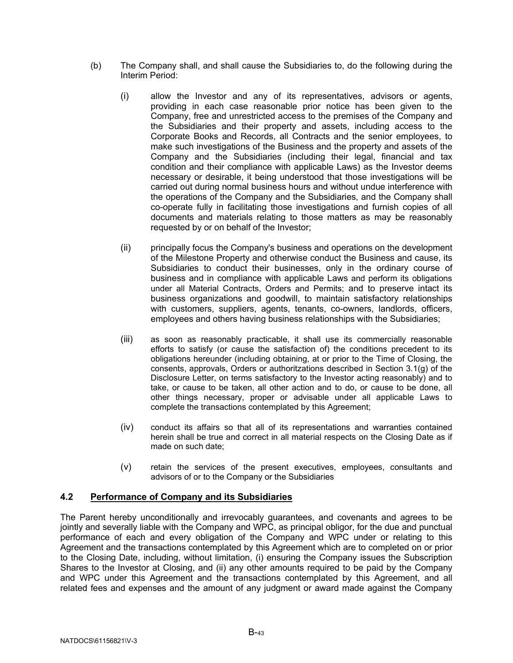- (b) The Company shall, and shall cause the Subsidiaries to, do the following during the Interim Period:
	- (i) allow the Investor and any of its representatives, advisors or agents, providing in each case reasonable prior notice has been given to the Company, free and unrestricted access to the premises of the Company and the Subsidiaries and their property and assets, including access to the Corporate Books and Records, all Contracts and the senior employees, to make such investigations of the Business and the property and assets of the Company and the Subsidiaries (including their legal, financial and tax condition and their compliance with applicable Laws) as the Investor deems necessary or desirable, it being understood that those investigations will be carried out during normal business hours and without undue interference with the operations of the Company and the Subsidiaries, and the Company shall co-operate fully in facilitating those investigations and furnish copies of all documents and materials relating to those matters as may be reasonably requested by or on behalf of the Investor;
	- (ii) principally focus the Company's business and operations on the development of the Milestone Property and otherwise conduct the Business and cause, its Subsidiaries to conduct their businesses, only in the ordinary course of business and in compliance with applicable Laws and perform its obligations under all Material Contracts, Orders and Permits; and to preserve intact its business organizations and goodwill, to maintain satisfactory relationships with customers, suppliers, agents, tenants, co-owners, landlords, officers, employees and others having business relationships with the Subsidiaries;
	- (iii) as soon as reasonably practicable, it shall use its commercially reasonable efforts to satisfy (or cause the satisfaction of) the conditions precedent to its obligations hereunder (including obtaining, at or prior to the Time of Closing, the consents, approvals, Orders or authoritzations described in Section [3.1\(g\)](#page-17-0) of the Disclosure Letter, on terms satisfactory to the Investor acting reasonably) and to take, or cause to be taken, all other action and to do, or cause to be done, all other things necessary, proper or advisable under all applicable Laws to complete the transactions contemplated by this Agreement;
	- (iv) conduct its affairs so that all of its representations and warranties contained herein shall be true and correct in all material respects on the Closing Date as if made on such date;
	- (v) retain the services of the present executives, employees, consultants and advisors of or to the Company or the Subsidiaries

## <span id="page-45-0"></span>**4.2 Performance of Company and its Subsidiaries**

The Parent hereby unconditionally and irrevocably guarantees, and covenants and agrees to be jointly and severally liable with the Company and WPC, as principal obligor, for the due and punctual performance of each and every obligation of the Company and WPC under or relating to this Agreement and the transactions contemplated by this Agreement which are to completed on or prior to the Closing Date, including, without limitation, (i) ensuring the Company issues the Subscription Shares to the Investor at Closing, and (ii) any other amounts required to be paid by the Company and WPC under this Agreement and the transactions contemplated by this Agreement, and all related fees and expenses and the amount of any judgment or award made against the Company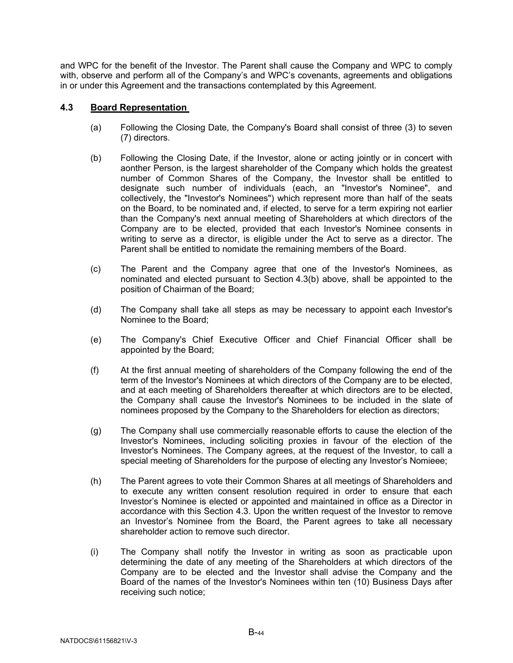and WPC for the benefit of the Investor. The Parent shall cause the Company and WPC to comply with, observe and perform all of the Company's and WPC's covenants, agreements and obligations in or under this Agreement and the transactions contemplated by this Agreement.

# <span id="page-46-1"></span><span id="page-46-0"></span>**4.3 Board Representation**

- (a) Following the Closing Date, the Company's Board shall consist of three (3) to seven (7) directors.
- <span id="page-46-2"></span>(b) Following the Closing Date, if the Investor, alone or acting jointly or in concert with aonther Person, is the largest shareholder of the Company which holds the greatest number of Common Shares of the Company, the Investor shall be entitled to designate such number of individuals (each, an "Investor's Nominee", and collectively, the "Investor's Nominees") which represent more than half of the seats on the Board, to be nominated and, if elected, to serve for a term expiring not earlier than the Company's next annual meeting of Shareholders at which directors of the Company are to be elected, provided that each Investor's Nominee consents in writing to serve as a director, is eligible under the Act to serve as a director. The Parent shall be entitled to nomidate the remaining members of the Board.
- (c) The Parent and the Company agree that one of the Investor's Nominees, as nominated and elected pursuant to Section [4.3\(b\)](#page-46-2) above, shall be appointed to the position of Chairman of the Board;
- (d) The Company shall take all steps as may be necessary to appoint each Investor's Nominee to the Board;
- (e) The Company's Chief Executive Officer and Chief Financial Officer shall be appointed by the Board;
- (f) At the first annual meeting of shareholders of the Company following the end of the term of the Investor's Nominees at which directors of the Company are to be elected, and at each meeting of Shareholders thereafter at which directors are to be elected, the Company shall cause the Investor's Nominees to be included in the slate of nominees proposed by the Company to the Shareholders for election as directors;
- (g) The Company shall use commercially reasonable efforts to cause the election of the Investor's Nominees, including soliciting proxies in favour of the election of the Investor's Nominees. The Company agrees, at the request of the Investor, to call a special meeting of Shareholders for the purpose of electing any Investor's Nomieee;
- <span id="page-46-3"></span>(h) The Parent agrees to vote their Common Shares at all meetings of Shareholders and to execute any written consent resolution required in order to ensure that each Investor's Nominee is elected or appointed and maintained in office as a Director in accordance with this Section [4.3.](#page-46-0) Upon the written request of the Investor to remove an Investor's Nominee from the Board, the Parent agrees to take all necessary shareholder action to remove such director.
- (i) The Company shall notify the Investor in writing as soon as practicable upon determining the date of any meeting of the Shareholders at which directors of the Company are to be elected and the Investor shall advise the Company and the Board of the names of the Investor's Nominees within ten (10) Business Days after receiving such notice;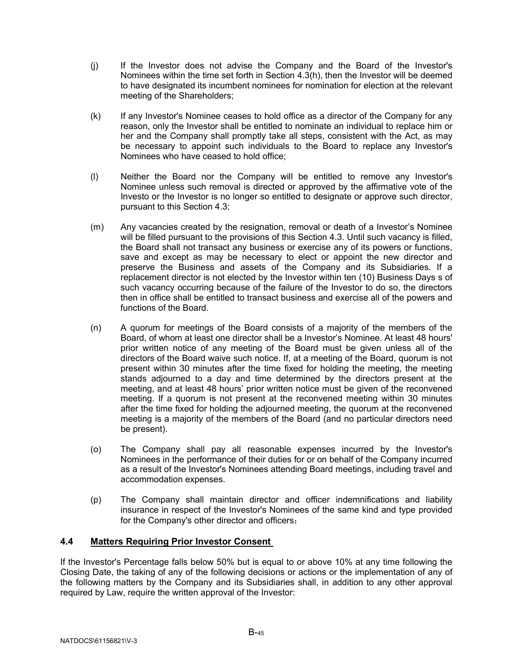- (j) If the Investor does not advise the Company and the Board of the Investor's Nominees within the time set forth in Section [4.3\(h\),](#page-46-3) then the Investor will be deemed to have designated its incumbent nominees for nomination for election at the relevant meeting of the Shareholders;
- (k) If any Investor's Nominee ceases to hold office as a director of the Company for any reason, only the Investor shall be entitled to nominate an individual to replace him or her and the Company shall promptly take all steps, consistent with the Act, as may be necessary to appoint such individuals to the Board to replace any Investor's Nominees who have ceased to hold office;
- (l) Neither the Board nor the Company will be entitled to remove any Investor's Nominee unless such removal is directed or approved by the affirmative vote of the Investo or the Investor is no longer so entitled to designate or approve such director, pursuant to this Section [4.3;](#page-46-0)
- (m) Any vacancies created by the resignation, removal or death of a Investor's Nominee will be filled pursuant to the provisions of this Section [4.3.](#page-46-0) Until such vacancy is filled, the Board shall not transact any business or exercise any of its powers or functions, save and except as may be necessary to elect or appoint the new director and preserve the Business and assets of the Company and its Subsidiaries. If a replacement director is not elected by the Investor within ten (10) Business Days s of such vacancy occurring because of the failure of the Investor to do so, the directors then in office shall be entitled to transact business and exercise all of the powers and functions of the Board.
- (n) A quorum for meetings of the Board consists of a majority of the members of the Board, of whom at least one director shall be a Investor's Nominee. At least 48 hours' prior written notice of any meeting of the Board must be given unless all of the directors of the Board waive such notice. If, at a meeting of the Board, quorum is not present within 30 minutes after the time fixed for holding the meeting, the meeting stands adjourned to a day and time determined by the directors present at the meeting, and at least 48 hours' prior written notice must be given of the reconvened meeting. If a quorum is not present at the reconvened meeting within 30 minutes after the time fixed for holding the adjourned meeting, the quorum at the reconvened meeting is a majority of the members of the Board (and no particular directors need be present).
- (o) The Company shall pay all reasonable expenses incurred by the Investor's Nominees in the performance of their duties for or on behalf of the Company incurred as a result of the Investor's Nominees attending Board meetings, including travel and accommodation expenses.
- (p) The Company shall maintain director and officer indemnifications and liability insurance in respect of the Investor's Nominees of the same kind and type provided for the Company's other director and officers;

# <span id="page-47-0"></span>**4.4 Matters Requiring Prior Investor Consent**

If the Investor's Percentage falls below 50% but is equal to or above 10% at any time following the Closing Date, the taking of any of the following decisions or actions or the implementation of any of the following matters by the Company and its Subsidiaries shall, in addition to any other approval required by Law, require the written approval of the Investor: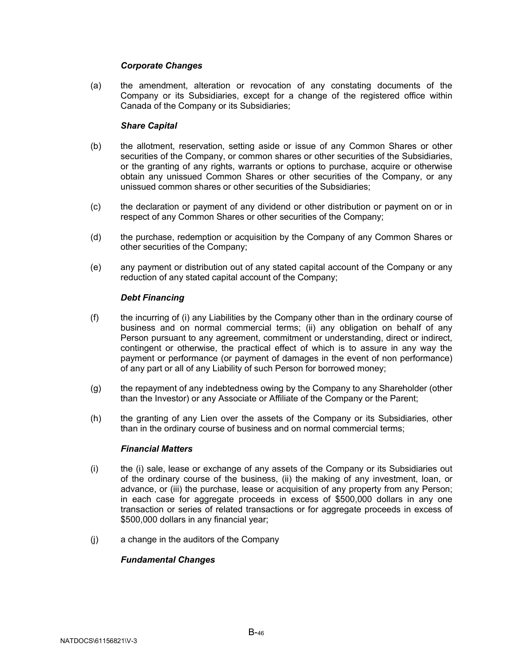## *Corporate Changes*

(a) the amendment, alteration or revocation of any constating documents of the Company or its Subsidiaries, except for a change of the registered office within Canada of the Company or its Subsidiaries;

## *Share Capital*

- (b) the allotment, reservation, setting aside or issue of any Common Shares or other securities of the Company, or common shares or other securities of the Subsidiaries, or the granting of any rights, warrants or options to purchase, acquire or otherwise obtain any unissued Common Shares or other securities of the Company, or any unissued common shares or other securities of the Subsidiaries;
- (c) the declaration or payment of any dividend or other distribution or payment on or in respect of any Common Shares or other securities of the Company;
- (d) the purchase, redemption or acquisition by the Company of any Common Shares or other securities of the Company;
- (e) any payment or distribution out of any stated capital account of the Company or any reduction of any stated capital account of the Company;

# *Debt Financing*

- (f) the incurring of (i) any Liabilities by the Company other than in the ordinary course of business and on normal commercial terms; (ii) any obligation on behalf of any Person pursuant to any agreement, commitment or understanding, direct or indirect, contingent or otherwise, the practical effect of which is to assure in any way the payment or performance (or payment of damages in the event of non performance) of any part or all of any Liability of such Person for borrowed money;
- (g) the repayment of any indebtedness owing by the Company to any Shareholder (other than the Investor) or any Associate or Affiliate of the Company or the Parent;
- (h) the granting of any Lien over the assets of the Company or its Subsidiaries, other than in the ordinary course of business and on normal commercial terms;

## *Financial Matters*

- (i) the (i) sale, lease or exchange of any assets of the Company or its Subsidiaries out of the ordinary course of the business, (ii) the making of any investment, loan, or advance, or (iii) the purchase, lease or acquisition of any property from any Person; in each case for aggregate proceeds in excess of \$500,000 dollars in any one transaction or series of related transactions or for aggregate proceeds in excess of \$500,000 dollars in any financial year;
- (j) a change in the auditors of the Company

## *Fundamental Changes*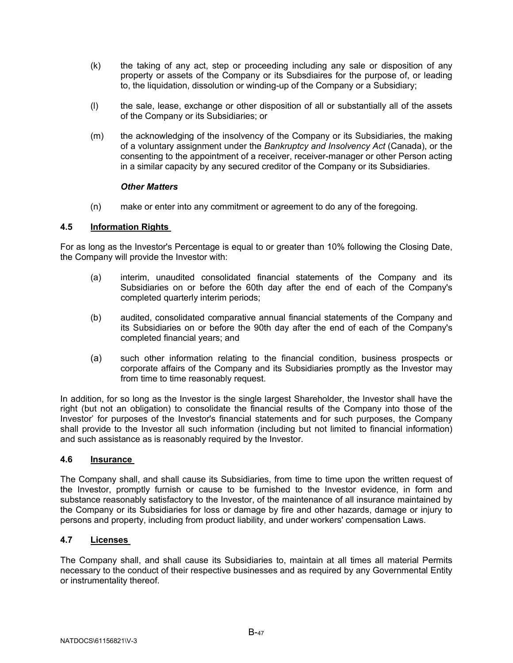- (k) the taking of any act, step or proceeding including any sale or disposition of any property or assets of the Company or its Subsdiaires for the purpose of, or leading to, the liquidation, dissolution or winding-up of the Company or a Subsidiary;
- (l) the sale, lease, exchange or other disposition of all or substantially all of the assets of the Company or its Subsidiaries; or
- (m) the acknowledging of the insolvency of the Company or its Subsidiaries, the making of a voluntary assignment under the *Bankruptcy and Insolvency Act* (Canada), or the consenting to the appointment of a receiver, receiver-manager or other Person acting in a similar capacity by any secured creditor of the Company or its Subsidiaries.

#### *Other Matters*

(n) make or enter into any commitment or agreement to do any of the foregoing.

#### <span id="page-49-0"></span>**4.5 Information Rights**

For as long as the Investor's Percentage is equal to or greater than 10% following the Closing Date, the Company will provide the Investor with:

- (a) interim, unaudited consolidated financial statements of the Company and its Subsidiaries on or before the 60th day after the end of each of the Company's completed quarterly interim periods;
- (b) audited, consolidated comparative annual financial statements of the Company and its Subsidiaries on or before the 90th day after the end of each of the Company's completed financial years; and
- (a) such other information relating to the financial condition, business prospects or corporate affairs of the Company and its Subsidiaries promptly as the Investor may from time to time reasonably request.

In addition, for so long as the Investor is the single largest Shareholder, the Investor shall have the right (but not an obligation) to consolidate the financial results of the Company into those of the Investor' for purposes of the Investor's financial statements and for such purposes, the Company shall provide to the Investor all such information (including but not limited to financial information) and such assistance as is reasonably required by the Investor.

#### <span id="page-49-1"></span>**4.6 Insurance**

The Company shall, and shall cause its Subsidiaries, from time to time upon the written request of the Investor, promptly furnish or cause to be furnished to the Investor evidence, in form and substance reasonably satisfactory to the Investor, of the maintenance of all insurance maintained by the Company or its Subsidiaries for loss or damage by fire and other hazards, damage or injury to persons and property, including from product liability, and under workers' compensation Laws.

# <span id="page-49-2"></span>**4.7 Licenses**

The Company shall, and shall cause its Subsidiaries to, maintain at all times all material Permits necessary to the conduct of their respective businesses and as required by any Governmental Entity or instrumentality thereof.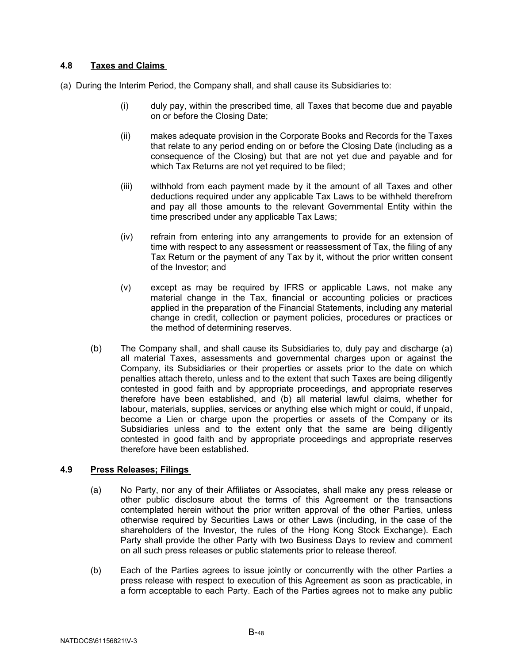# <span id="page-50-0"></span>**4.8 Taxes and Claims**

- (a) During the Interim Period, the Company shall, and shall cause its Subsidiaries to:
	- (i) duly pay, within the prescribed time, all Taxes that become due and payable on or before the Closing Date;
	- (ii) makes adequate provision in the Corporate Books and Records for the Taxes that relate to any period ending on or before the Closing Date (including as a consequence of the Closing) but that are not yet due and payable and for which Tax Returns are not yet required to be filed;
	- (iii) withhold from each payment made by it the amount of all Taxes and other deductions required under any applicable Tax Laws to be withheld therefrom and pay all those amounts to the relevant Governmental Entity within the time prescribed under any applicable Tax Laws;
	- (iv) refrain from entering into any arrangements to provide for an extension of time with respect to any assessment or reassessment of Tax, the filing of any Tax Return or the payment of any Tax by it, without the prior written consent of the Investor; and
	- (v) except as may be required by IFRS or applicable Laws, not make any material change in the Tax, financial or accounting policies or practices applied in the preparation of the Financial Statements, including any material change in credit, collection or payment policies, procedures or practices or the method of determining reserves.
	- (b) The Company shall, and shall cause its Subsidiaries to, duly pay and discharge (a) all material Taxes, assessments and governmental charges upon or against the Company, its Subsidiaries or their properties or assets prior to the date on which penalties attach thereto, unless and to the extent that such Taxes are being diligently contested in good faith and by appropriate proceedings, and appropriate reserves therefore have been established, and (b) all material lawful claims, whether for labour, materials, supplies, services or anything else which might or could, if unpaid, become a Lien or charge upon the properties or assets of the Company or its Subsidiaries unless and to the extent only that the same are being diligently contested in good faith and by appropriate proceedings and appropriate reserves therefore have been established.

# <span id="page-50-1"></span>**4.9 Press Releases; Filings**

- (a) No Party, nor any of their Affiliates or Associates, shall make any press release or other public disclosure about the terms of this Agreement or the transactions contemplated herein without the prior written approval of the other Parties, unless otherwise required by Securities Laws or other Laws (including, in the case of the shareholders of the Investor, the rules of the Hong Kong Stock Exchange). Each Party shall provide the other Party with two Business Days to review and comment on all such press releases or public statements prior to release thereof.
- (b) Each of the Parties agrees to issue jointly or concurrently with the other Parties a press release with respect to execution of this Agreement as soon as practicable, in a form acceptable to each Party. Each of the Parties agrees not to make any public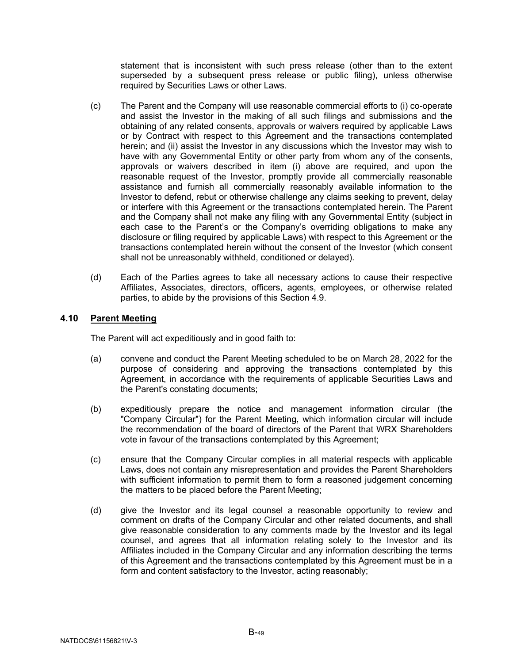statement that is inconsistent with such press release (other than to the extent superseded by a subsequent press release or public filing), unless otherwise required by Securities Laws or other Laws.

- (c) The Parent and the Company will use reasonable commercial efforts to (i) co-operate and assist the Investor in the making of all such filings and submissions and the obtaining of any related consents, approvals or waivers required by applicable Laws or by Contract with respect to this Agreement and the transactions contemplated herein; and (ii) assist the Investor in any discussions which the Investor may wish to have with any Governmental Entity or other party from whom any of the consents, approvals or waivers described in item (i) above are required, and upon the reasonable request of the Investor, promptly provide all commercially reasonable assistance and furnish all commercially reasonably available information to the Investor to defend, rebut or otherwise challenge any claims seeking to prevent, delay or interfere with this Agreement or the transactions contemplated herein. The Parent and the Company shall not make any filing with any Governmental Entity (subject in each case to the Parent's or the Company's overriding obligations to make any disclosure or filing required by applicable Laws) with respect to this Agreement or the transactions contemplated herein without the consent of the Investor (which consent shall not be unreasonably withheld, conditioned or delayed).
- (d) Each of the Parties agrees to take all necessary actions to cause their respective Affiliates, Associates, directors, officers, agents, employees, or otherwise related parties, to abide by the provisions of this Section [4.9.](#page-50-1)

# <span id="page-51-0"></span>**4.10 Parent Meeting**

The Parent will act expeditiously and in good faith to:

- (a) convene and conduct the Parent Meeting scheduled to be on March 28, 2022 for the purpose of considering and approving the transactions contemplated by this Agreement, in accordance with the requirements of applicable Securities Laws and the Parent's constating documents;
- (b) expeditiously prepare the notice and management information circular (the "Company Circular") for the Parent Meeting, which information circular will include the recommendation of the board of directors of the Parent that WRX Shareholders vote in favour of the transactions contemplated by this Agreement;
- (c) ensure that the Company Circular complies in all material respects with applicable Laws, does not contain any misrepresentation and provides the Parent Shareholders with sufficient information to permit them to form a reasoned judgement concerning the matters to be placed before the Parent Meeting;
- (d) give the Investor and its legal counsel a reasonable opportunity to review and comment on drafts of the Company Circular and other related documents, and shall give reasonable consideration to any comments made by the Investor and its legal counsel, and agrees that all information relating solely to the Investor and its Affiliates included in the Company Circular and any information describing the terms of this Agreement and the transactions contemplated by this Agreement must be in a form and content satisfactory to the Investor, acting reasonably;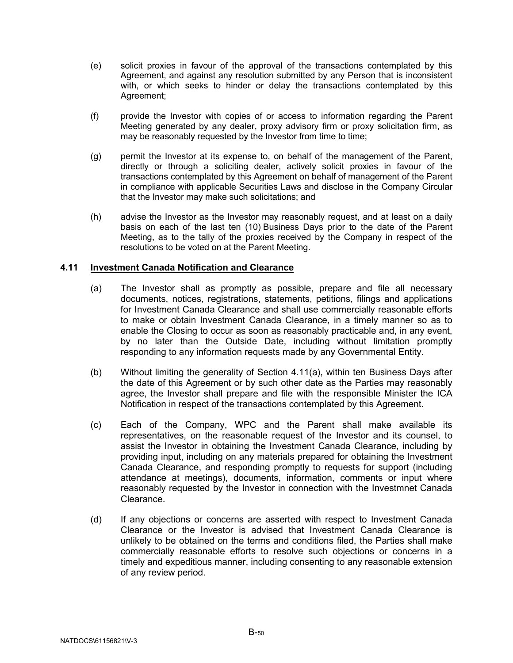- (e) solicit proxies in favour of the approval of the transactions contemplated by this Agreement, and against any resolution submitted by any Person that is inconsistent with, or which seeks to hinder or delay the transactions contemplated by this Agreement;
- (f) provide the Investor with copies of or access to information regarding the Parent Meeting generated by any dealer, proxy advisory firm or proxy solicitation firm, as may be reasonably requested by the Investor from time to time;
- (g) permit the Investor at its expense to, on behalf of the management of the Parent, directly or through a soliciting dealer, actively solicit proxies in favour of the transactions contemplated by this Agreement on behalf of management of the Parent in compliance with applicable Securities Laws and disclose in the Company Circular that the Investor may make such solicitations; and
- (h) advise the Investor as the Investor may reasonably request, and at least on a daily basis on each of the last ten (10) Business Days prior to the date of the Parent Meeting, as to the tally of the proxies received by the Company in respect of the resolutions to be voted on at the Parent Meeting.

# <span id="page-52-1"></span><span id="page-52-0"></span>**4.11 Investment Canada Notification and Clearance**

- (a) The Investor shall as promptly as possible, prepare and file all necessary documents, notices, registrations, statements, petitions, filings and applications for Investment Canada Clearance and shall use commercially reasonable efforts to make or obtain Investment Canada Clearance, in a timely manner so as to enable the Closing to occur as soon as reasonably practicable and, in any event, by no later than the Outside Date, including without limitation promptly responding to any information requests made by any Governmental Entity.
- (b) Without limiting the generality of Section [4.11\(a\),](#page-52-1) within ten Business Days after the date of this Agreement or by such other date as the Parties may reasonably agree, the Investor shall prepare and file with the responsible Minister the ICA Notification in respect of the transactions contemplated by this Agreement.
- (c) Each of the Company, WPC and the Parent shall make available its representatives, on the reasonable request of the Investor and its counsel, to assist the Investor in obtaining the Investment Canada Clearance, including by providing input, including on any materials prepared for obtaining the Investment Canada Clearance, and responding promptly to requests for support (including attendance at meetings), documents, information, comments or input where reasonably requested by the Investor in connection with the Investmnet Canada Clearance.
- (d) If any objections or concerns are asserted with respect to Investment Canada Clearance or the Investor is advised that Investment Canada Clearance is unlikely to be obtained on the terms and conditions filed, the Parties shall make commercially reasonable efforts to resolve such objections or concerns in a timely and expeditious manner, including consenting to any reasonable extension of any review period.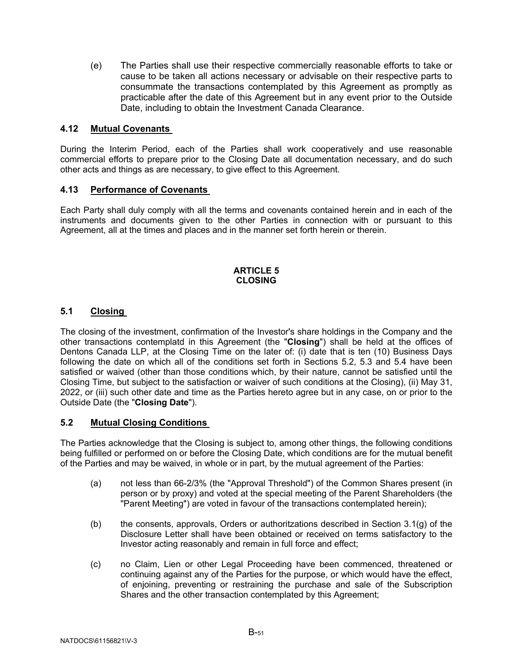(e) The Parties shall use their respective commercially reasonable efforts to take or cause to be taken all actions necessary or advisable on their respective parts to consummate the transactions contemplated by this Agreement as promptly as practicable after the date of this Agreement but in any event prior to the Outside Date, including to obtain the Investment Canada Clearance.

# <span id="page-53-0"></span>**4.12 Mutual Covenants**

During the Interim Period, each of the Parties shall work cooperatively and use reasonable commercial efforts to prepare prior to the Closing Date all documentation necessary, and do such other acts and things as are necessary, to give effect to this Agreement.

# <span id="page-53-1"></span>**4.13 Performance of Covenants**

Each Party shall duly comply with all the terms and covenants contained herein and in each of the instruments and documents given to the other Parties in connection with or pursuant to this Agreement, all at the times and places and in the manner set forth herein or therein.

#### **ARTICLE 5 CLOSING**

# <span id="page-53-3"></span><span id="page-53-2"></span>**5.1 Closing**

The closing of the investment, confirmation of the Investor's share holdings in the Company and the other transactions contemplatd in this Agreement (the "**Closing**") shall be held at the offices of Dentons Canada LLP, at the Closing Time on the later of: (i) date that is ten (10) Business Days following the date on which all of the conditions set forth in Sections [5.2,](#page-53-4) [5.3](#page-54-0) and [5.4](#page-54-1) have been satisfied or waived (other than those conditions which, by their nature, cannot be satisfied until the Closing Time, but subject to the satisfaction or waiver of such conditions at the Closing), (ii) May 31, 2022, or (iii) such other date and time as the Parties hereto agree but in any case, on or prior to the Outside Date (the "**Closing Date**").

## <span id="page-53-4"></span>**5.2 Mutual Closing Conditions**

The Parties acknowledge that the Closing is subject to, among other things, the following conditions being fulfilled or performed on or before the Closing Date, which conditions are for the mutual benefit of the Parties and may be waived, in whole or in part, by the mutual agreement of the Parties:

- <span id="page-53-5"></span>(a) not less than 66-2/3% (the "Approval Threshold") of the Common Shares present (in person or by proxy) and voted at the special meeting of the Parent Shareholders (the "Parent Meeting") are voted in favour of the transactions contemplated herein);
- (b) the consents, approvals, Orders or authoritzations described in Section [3.1\(g\)](#page-17-0) of the Disclosure Letter shall have been obtained or received on terms satisfactory to the Investor acting reasonably and remain in full force and effect;
- (c) no Claim, Lien or other Legal Proceeding have been commenced, threatened or continuing against any of the Parties for the purpose, or which would have the effect, of enjoining, preventing or restraining the purchase and sale of the Subscription Shares and the other transaction contemplated by this Agreement;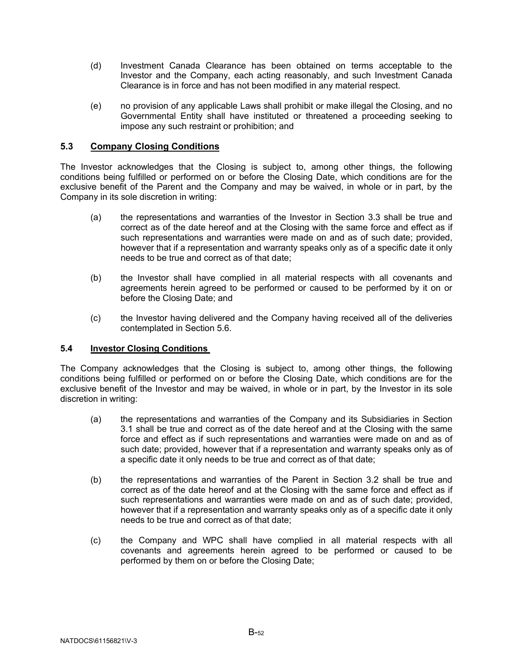- (d) Investment Canada Clearance has been obtained on terms acceptable to the Investor and the Company, each acting reasonably, and such Investment Canada Clearance is in force and has not been modified in any material respect.
- (e) no provision of any applicable Laws shall prohibit or make illegal the Closing, and no Governmental Entity shall have instituted or threatened a proceeding seeking to impose any such restraint or prohibition; and

# <span id="page-54-0"></span>**5.3 Company Closing Conditions**

The Investor acknowledges that the Closing is subject to, among other things, the following conditions being fulfilled or performed on or before the Closing Date, which conditions are for the exclusive benefit of the Parent and the Company and may be waived, in whole or in part, by the Company in its sole discretion in writing:

- <span id="page-54-5"></span>(a) the representations and warranties of the Investor in Section 3.3 shall be true and correct as of the date hereof and at the Closing with the same force and effect as if such representations and warranties were made on and as of such date; provided, however that if a representation and warranty speaks only as of a specific date it only needs to be true and correct as of that date;
- <span id="page-54-6"></span>(b) the Investor shall have complied in all material respects with all covenants and agreements herein agreed to be performed or caused to be performed by it on or before the Closing Date; and
- (c) the Investor having delivered and the Company having received all of the deliveries contemplated in Section [5.6.](#page-56-0)

## <span id="page-54-1"></span>**5.4 Investor Closing Conditions**

The Company acknowledges that the Closing is subject to, among other things, the following conditions being fulfilled or performed on or before the Closing Date, which conditions are for the exclusive benefit of the Investor and may be waived, in whole or in part, by the Investor in its sole discretion in writing:

- <span id="page-54-2"></span>(a) the representations and warranties of the Company and its Subsidiaries in Section [3.1](#page-15-5) shall be true and correct as of the date hereof and at the Closing with the same force and effect as if such representations and warranties were made on and as of such date; provided, however that if a representation and warranty speaks only as of a specific date it only needs to be true and correct as of that date;
- <span id="page-54-3"></span>(b) the representations and warranties of the Parent in Section [3.2](#page-36-0) shall be true and correct as of the date hereof and at the Closing with the same force and effect as if such representations and warranties were made on and as of such date; provided, however that if a representation and warranty speaks only as of a specific date it only needs to be true and correct as of that date;
- <span id="page-54-4"></span>(c) the Company and WPC shall have complied in all material respects with all covenants and agreements herein agreed to be performed or caused to be performed by them on or before the Closing Date;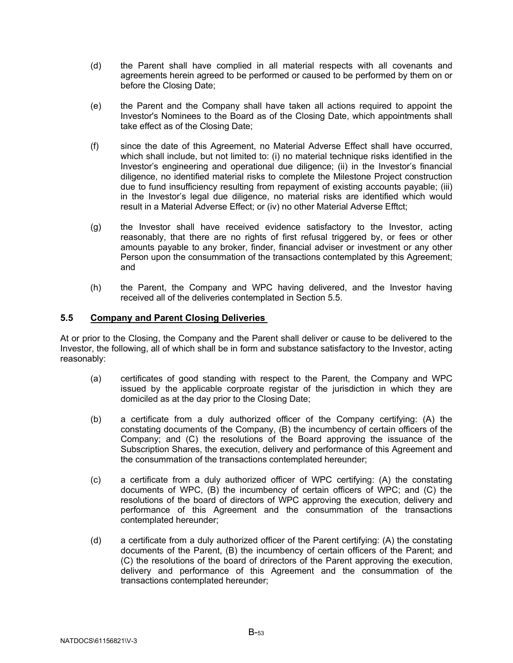- <span id="page-55-2"></span>(d) the Parent shall have complied in all material respects with all covenants and agreements herein agreed to be performed or caused to be performed by them on or before the Closing Date;
- (e) the Parent and the Company shall have taken all actions required to appoint the Investor's Nominees to the Board as of the Closing Date, which appointments shall take effect as of the Closing Date;
- <span id="page-55-1"></span>(f) since the date of this Agreement, no Material Adverse Effect shall have occurred, which shall include, but not limited to: (i) no material technique risks identified in the Investor's engineering and operational due diligence; (ii) in the Investor's financial diligence, no identified material risks to complete the Milestone Project construction due to fund insufficiency resulting from repayment of existing accounts payable; (iii) in the Investor's legal due diligence, no material risks are identified which would result in a Material Adverse Effect; or (iv) no other Material Adverse Efftct;
- (g) the Investor shall have received evidence satisfactory to the Investor, acting reasonably, that there are no rights of first refusal triggered by, or fees or other amounts payable to any broker, finder, financial adviser or investment or any other Person upon the consummation of the transactions contemplated by this Agreement; and
- (h) the Parent, the Company and WPC having delivered, and the Investor having received all of the deliveries contemplated in Section [5.5.](#page-55-0)

# <span id="page-55-0"></span>**5.5 Company and Parent Closing Deliveries**

At or prior to the Closing, the Company and the Parent shall deliver or cause to be delivered to the Investor, the following, all of which shall be in form and substance satisfactory to the Investor, acting reasonably:

- (a) certificates of good standing with respect to the Parent, the Company and WPC issued by the applicable corproate registar of the jurisdiction in which they are domiciled as at the day prior to the Closing Date;
- (b) a certificate from a duly authorized officer of the Company certifying: (A) the constating documents of the Company, (B) the incumbency of certain officers of the Company; and (C) the resolutions of the Board approving the issuance of the Subscription Shares, the execution, delivery and performance of this Agreement and the consummation of the transactions contemplated hereunder;
- (c) a certificate from a duly authorized officer of WPC certifying: (A) the constating documents of WPC, (B) the incumbency of certain officers of WPC; and (C) the resolutions of the board of directors of WPC approving the execution, delivery and performance of this Agreement and the consummation of the transactions contemplated hereunder;
- (d) a certificate from a duly authorized officer of the Parent certifying: (A) the constating documents of the Parent, (B) the incumbency of certain officers of the Parent; and (C) the resolutions of the board of drirectors of the Parent approving the execution, delivery and performance of this Agreement and the consummation of the transactions contemplated hereunder;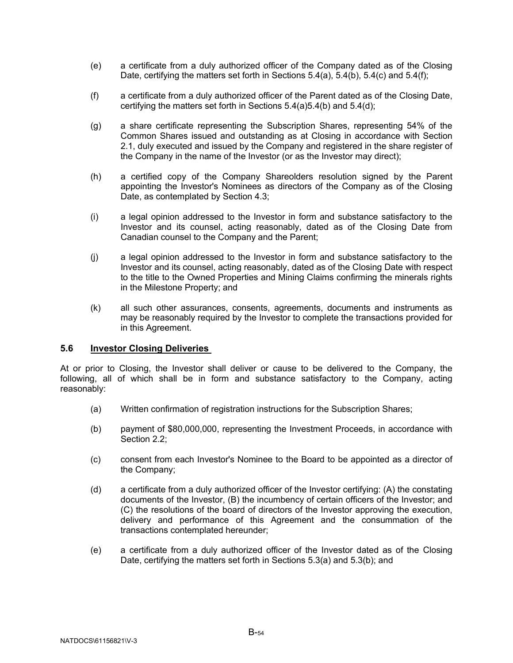- (e) a certificate from a duly authorized officer of the Company dated as of the Closing Date, certifying the matters set forth in Sections  $5.4(a)$ ,  $5.4(b)$ ,  $5.4(c)$  and  $5.4(f)$ ;
- (f) a certificate from a duly authorized officer of the Parent dated as of the Closing Date, certifying the matters set forth in Sections [5.4\(a\)](#page-54-2)[5.4\(b\)](#page-54-3) and [5.4\(d\);](#page-55-2)
- (g) a share certificate representing the Subscription Shares, representing 54% of the Common Shares issued and outstanding as at Closing in accordance with Section [2.1,](#page-15-1) duly executed and issued by the Company and registered in the share register of the Company in the name of the Investor (or as the Investor may direct);
- (h) a certified copy of the Company Shareolders resolution signed by the Parent appointing the Investor's Nominees as directors of the Company as of the Closing Date, as contemplated by Section [4.3;](#page-46-0)
- (i) a legal opinion addressed to the Investor in form and substance satisfactory to the Investor and its counsel, acting reasonably, dated as of the Closing Date from Canadian counsel to the Company and the Parent;
- (j) a legal opinion addressed to the Investor in form and substance satisfactory to the Investor and its counsel, acting reasonably, dated as of the Closing Date with respect to the title to the Owned Properties and Mining Claims confirming the minerals rights in the Milestone Property; and
- (k) all such other assurances, consents, agreements, documents and instruments as may be reasonably required by the Investor to complete the transactions provided for in this Agreement.

## <span id="page-56-0"></span>**5.6 Investor Closing Deliveries**

At or prior to Closing, the Investor shall deliver or cause to be delivered to the Company, the following, all of which shall be in form and substance satisfactory to the Company, acting reasonably:

- (a) Written confirmation of registration instructions for the Subscription Shares;
- (b) payment of \$80,000,000, representing the Investment Proceeds, in accordance with Section 2.2:
- (c) consent from each Investor's Nominee to the Board to be appointed as a director of the Company;
- (d) a certificate from a duly authorized officer of the Investor certifying: (A) the constating documents of the Investor, (B) the incumbency of certain officers of the Investor; and (C) the resolutions of the board of directors of the Investor approving the execution, delivery and performance of this Agreement and the consummation of the transactions contemplated hereunder;
- (e) a certificate from a duly authorized officer of the Investor dated as of the Closing Date, certifying the matters set forth in Sections [5.3\(a\)](#page-54-5) and [5.3\(b\);](#page-54-6) and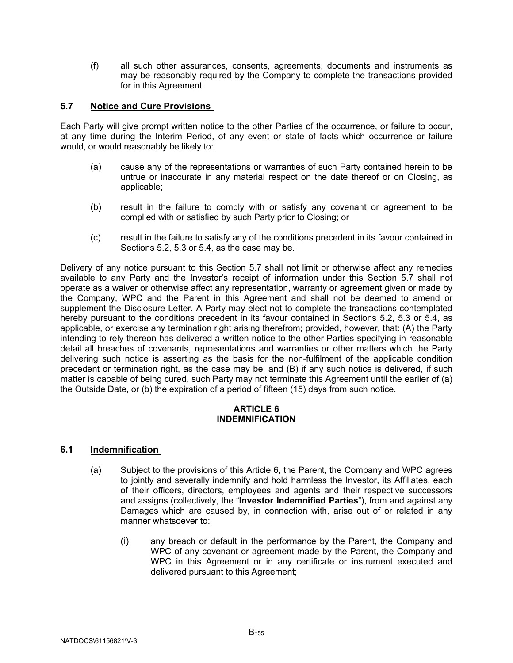(f) all such other assurances, consents, agreements, documents and instruments as may be reasonably required by the Company to complete the transactions provided for in this Agreement.

# <span id="page-57-0"></span>**5.7 Notice and Cure Provisions**

Each Party will give prompt written notice to the other Parties of the occurrence, or failure to occur, at any time during the Interim Period, of any event or state of facts which occurrence or failure would, or would reasonably be likely to:

- (a) cause any of the representations or warranties of such Party contained herein to be untrue or inaccurate in any material respect on the date thereof or on Closing, as applicable;
- (b) result in the failure to comply with or satisfy any covenant or agreement to be complied with or satisfied by such Party prior to Closing; or
- (c) result in the failure to satisfy any of the conditions precedent in its favour contained in Sections [5.2,](#page-53-4) [5.3](#page-54-0) or [5.4,](#page-54-1) as the case may be.

Delivery of any notice pursuant to this Section [5.7](#page-57-0) shall not limit or otherwise affect any remedies available to any Party and the Investor's receipt of information under this Section [5.7](#page-57-0) shall not operate as a waiver or otherwise affect any representation, warranty or agreement given or made by the Company, WPC and the Parent in this Agreement and shall not be deemed to amend or supplement the Disclosure Letter. A Party may elect not to complete the transactions contemplated hereby pursuant to the conditions precedent in its favour contained in Sections [5.2,](#page-53-4) [5.3](#page-54-0) or [5.4,](#page-54-1) as applicable, or exercise any termination right arising therefrom; provided, however, that: (A) the Party intending to rely thereon has delivered a written notice to the other Parties specifying in reasonable detail all breaches of covenants, representations and warranties or other matters which the Party delivering such notice is asserting as the basis for the non-fulfilment of the applicable condition precedent or termination right, as the case may be, and (B) if any such notice is delivered, if such matter is capable of being cured, such Party may not terminate this Agreement until the earlier of (a) the Outside Date, or (b) the expiration of a period of fifteen (15) days from such notice.

#### **ARTICLE 6 INDEMNIFICATION**

## <span id="page-57-2"></span><span id="page-57-1"></span>**6.1 Indemnification**

- (a) Subject to the provisions of this [Article 6,](#page-57-1) the Parent, the Company and WPC agrees to jointly and severally indemnify and hold harmless the Investor, its Affiliates, each of their officers, directors, employees and agents and their respective successors and assigns (collectively, the "**Investor Indemnified Parties**"), from and against any Damages which are caused by, in connection with, arise out of or related in any manner whatsoever to:
	- (i) any breach or default in the performance by the Parent, the Company and WPC of any covenant or agreement made by the Parent, the Company and WPC in this Agreement or in any certificate or instrument executed and delivered pursuant to this Agreement;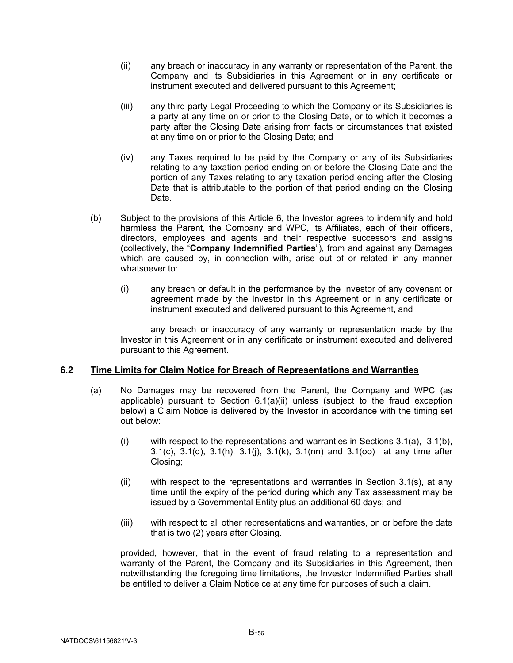- <span id="page-58-1"></span>(ii) any breach or inaccuracy in any warranty or representation of the Parent, the Company and its Subsidiaries in this Agreement or in any certificate or instrument executed and delivered pursuant to this Agreement;
- (iii) any third party Legal Proceeding to which the Company or its Subsidiaries is a party at any time on or prior to the Closing Date, or to which it becomes a party after the Closing Date arising from facts or circumstances that existed at any time on or prior to the Closing Date; and
- (iv) any Taxes required to be paid by the Company or any of its Subsidiaries relating to any taxation period ending on or before the Closing Date and the portion of any Taxes relating to any taxation period ending after the Closing Date that is attributable to the portion of that period ending on the Closing Date.
- (b) Subject to the provisions of this [Article 6,](#page-57-1) the Investor agrees to indemnify and hold harmless the Parent, the Company and WPC, its Affiliates, each of their officers, directors, employees and agents and their respective successors and assigns (collectively, the "**Company Indemnified Parties**"), from and against any Damages which are caused by, in connection with, arise out of or related in any manner whatsoever to:
	- (i) any breach or default in the performance by the Investor of any covenant or agreement made by the Investor in this Agreement or in any certificate or instrument executed and delivered pursuant to this Agreement, and

<span id="page-58-2"></span>any breach or inaccuracy of any warranty or representation made by the Investor in this Agreement or in any certificate or instrument executed and delivered pursuant to this Agreement.

## <span id="page-58-0"></span>**6.2 Time Limits for Claim Notice for Breach of Representations and Warranties**

- (a) No Damages may be recovered from the Parent, the Company and WPC (as applicable) pursuant to Section [6.1\(a\)\(ii\)](#page-58-1) unless (subject to the fraud exception below) a Claim Notice is delivered by the Investor in accordance with the timing set out below:
	- (i) with respect to the representations and warranties in Sections  $3.1(a)$ ,  $3.1(b)$ , [3.1\(c\),](#page-16-2) [3.1\(d\),](#page-16-0) [3.1\(h\),](#page-17-1) [3.1\(j\),](#page-18-0) [3.1\(k\),](#page-18-1) 3.1(nn) and 3.1(oo) at any time after Closing;
	- (ii) with respect to the representations and warranties in Section [3.1\(s\),](#page-21-0) at any time until the expiry of the period during which any Tax assessment may be issued by a Governmental Entity plus an additional 60 days; and
	- (iii) with respect to all other representations and warranties, on or before the date that is two (2) years after Closing.

provided, however, that in the event of fraud relating to a representation and warranty of the Parent, the Company and its Subsidiaries in this Agreement, then notwithstanding the foregoing time limitations, the Investor Indemnified Parties shall be entitled to deliver a Claim Notice ce at any time for purposes of such a claim.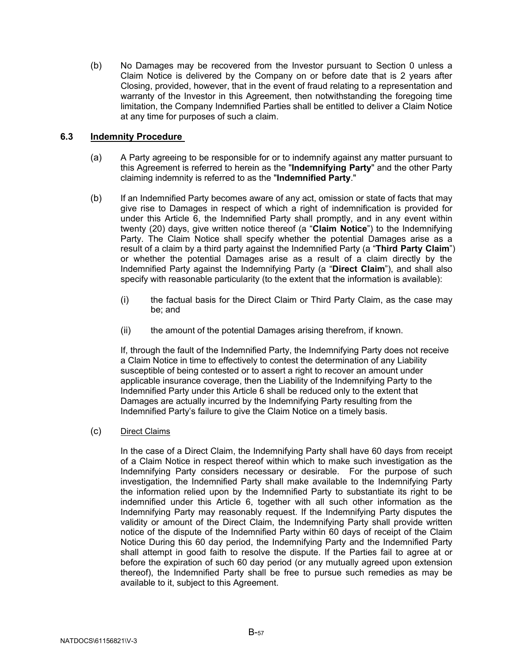(b) No Damages may be recovered from the Investor pursuant to Section [0](#page-58-2) unless a Claim Notice is delivered by the Company on or before date that is 2 years after Closing, provided, however, that in the event of fraud relating to a representation and warranty of the Investor in this Agreement, then notwithstanding the foregoing time limitation, the Company Indemnified Parties shall be entitled to deliver a Claim Notice at any time for purposes of such a claim.

# <span id="page-59-0"></span>**6.3 Indemnity Procedure**

- (a) A Party agreeing to be responsible for or to indemnify against any matter pursuant to this Agreement is referred to herein as the "**Indemnifying Party**" and the other Party claiming indemnity is referred to as the "**Indemnified Party**."
- (b) If an Indemnified Party becomes aware of any act, omission or state of facts that may give rise to Damages in respect of which a right of indemnification is provided for under this [Article 6,](#page-57-1) the Indemnified Party shall promptly, and in any event within twenty (20) days, give written notice thereof (a "**Claim Notice**") to the Indemnifying Party. The Claim Notice shall specify whether the potential Damages arise as a result of a claim by a third party against the Indemnified Party (a "**Third Party Claim**") or whether the potential Damages arise as a result of a claim directly by the Indemnified Party against the Indemnifying Party (a "**Direct Claim**"), and shall also specify with reasonable particularity (to the extent that the information is available):
	- (i) the factual basis for the Direct Claim or Third Party Claim, as the case may be; and
	- (ii) the amount of the potential Damages arising therefrom, if known.

If, through the fault of the Indemnified Party, the Indemnifying Party does not receive a Claim Notice in time to effectively to contest the determination of any Liability susceptible of being contested or to assert a right to recover an amount under applicable insurance coverage, then the Liability of the Indemnifying Party to the Indemnified Party under this [Article 6](#page-57-1) shall be reduced only to the extent that Damages are actually incurred by the Indemnifying Party resulting from the Indemnified Party's failure to give the Claim Notice on a timely basis.

(c) Direct Claims

In the case of a Direct Claim, the Indemnifying Party shall have 60 days from receipt of a Claim Notice in respect thereof within which to make such investigation as the Indemnifying Party considers necessary or desirable. For the purpose of such investigation, the Indemnified Party shall make available to the Indemnifying Party the information relied upon by the Indemnified Party to substantiate its right to be indemnified under this Article 6, together with all such other information as the Indemnifying Party may reasonably request. If the Indemnifying Party disputes the validity or amount of the Direct Claim, the Indemnifying Party shall provide written notice of the dispute of the Indemnified Party within 60 days of receipt of the Claim Notice During this 60 day period, the Indemnifying Party and the Indemnified Party shall attempt in good faith to resolve the dispute. If the Parties fail to agree at or before the expiration of such 60 day period (or any mutually agreed upon extension thereof), the Indemnified Party shall be free to pursue such remedies as may be available to it, subject to this Agreement.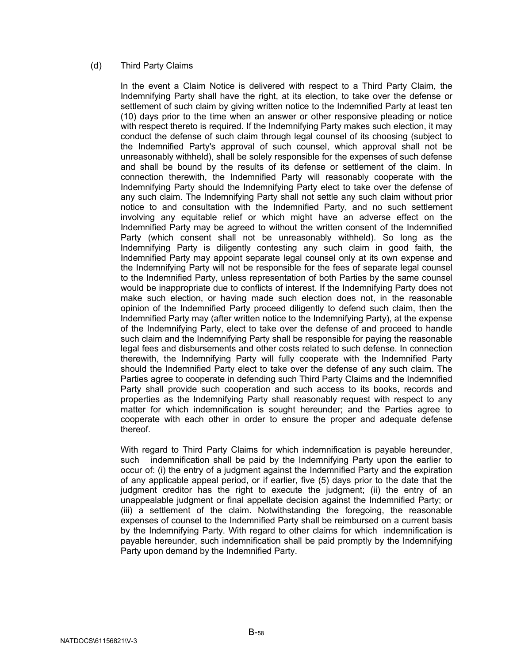## (d) Third Party Claims

In the event a Claim Notice is delivered with respect to a Third Party Claim, the Indemnifying Party shall have the right, at its election, to take over the defense or settlement of such claim by giving written notice to the Indemnified Party at least ten (10) days prior to the time when an answer or other responsive pleading or notice with respect thereto is required. If the Indemnifying Party makes such election, it may conduct the defense of such claim through legal counsel of its choosing (subject to the Indemnified Party's approval of such counsel, which approval shall not be unreasonably withheld), shall be solely responsible for the expenses of such defense and shall be bound by the results of its defense or settlement of the claim. In connection therewith, the Indemnified Party will reasonably cooperate with the Indemnifying Party should the Indemnifying Party elect to take over the defense of any such claim. The Indemnifying Party shall not settle any such claim without prior notice to and consultation with the Indemnified Party, and no such settlement involving any equitable relief or which might have an adverse effect on the Indemnified Party may be agreed to without the written consent of the Indemnified Party (which consent shall not be unreasonably withheld). So long as the Indemnifying Party is diligently contesting any such claim in good faith, the Indemnified Party may appoint separate legal counsel only at its own expense and the Indemnifying Party will not be responsible for the fees of separate legal counsel to the Indemnified Party, unless representation of both Parties by the same counsel would be inappropriate due to conflicts of interest. If the Indemnifying Party does not make such election, or having made such election does not, in the reasonable opinion of the Indemnified Party proceed diligently to defend such claim, then the Indemnified Party may (after written notice to the Indemnifying Party), at the expense of the Indemnifying Party, elect to take over the defense of and proceed to handle such claim and the Indemnifying Party shall be responsible for paying the reasonable legal fees and disbursements and other costs related to such defense. In connection therewith, the Indemnifying Party will fully cooperate with the Indemnified Party should the Indemnified Party elect to take over the defense of any such claim. The Parties agree to cooperate in defending such Third Party Claims and the Indemnified Party shall provide such cooperation and such access to its books, records and properties as the Indemnifying Party shall reasonably request with respect to any matter for which indemnification is sought hereunder; and the Parties agree to cooperate with each other in order to ensure the proper and adequate defense thereof.

With regard to Third Party Claims for which indemnification is payable hereunder, such indemnification shall be paid by the Indemnifying Party upon the earlier to occur of: (i) the entry of a judgment against the Indemnified Party and the expiration of any applicable appeal period, or if earlier, five (5) days prior to the date that the judgment creditor has the right to execute the judgment; (ii) the entry of an unappealable judgment or final appellate decision against the Indemnified Party; or (iii) a settlement of the claim. Notwithstanding the foregoing, the reasonable expenses of counsel to the Indemnified Party shall be reimbursed on a current basis by the Indemnifying Party. With regard to other claims for which indemnification is payable hereunder, such indemnification shall be paid promptly by the Indemnifying Party upon demand by the Indemnified Party.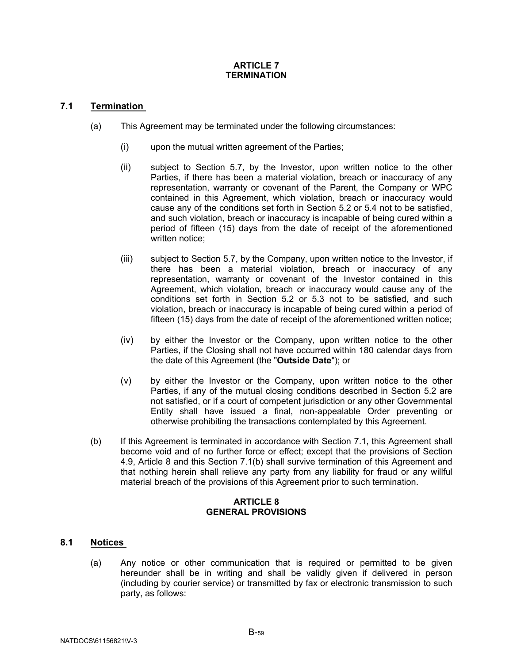#### **ARTICLE 7 TERMINATION**

# <span id="page-61-1"></span><span id="page-61-0"></span>**7.1 Termination**

- (a) This Agreement may be terminated under the following circumstances:
	- (i) upon the mutual written agreement of the Parties;
	- (ii) subject to Section [5.7,](#page-57-0) by the Investor, upon written notice to the other Parties, if there has been a material violation, breach or inaccuracy of any representation, warranty or covenant of the Parent, the Company or WPC contained in this Agreement, which violation, breach or inaccuracy would cause any of the conditions set forth in Section [5.2](#page-53-4) or [5.4](#page-54-1) not to be satisfied, and such violation, breach or inaccuracy is incapable of being cured within a period of fifteen (15) days from the date of receipt of the aforementioned written notice;
	- (iii) subject to Section [5.7,](#page-57-0) by the Company, upon written notice to the Investor, if there has been a material violation, breach or inaccuracy of any representation, warranty or covenant of the Investor contained in this Agreement, which violation, breach or inaccuracy would cause any of the conditions set forth in Section [5.2](#page-53-4) or [5.3](#page-54-0) not to be satisfied, and such violation, breach or inaccuracy is incapable of being cured within a period of fifteen (15) days from the date of receipt of the aforementioned written notice;
	- (iv) by either the Investor or the Company, upon written notice to the other Parties, if the Closing shall not have occurred within 180 calendar days from the date of this Agreement (the "**Outside Date**"); or
	- (v) by either the Investor or the Company, upon written notice to the other Parties, if any of the mutual closing conditions described in Section [5.2](#page-53-4) are not satisfied, or if a court of competent jurisdiction or any other Governmental Entity shall have issued a final, non-appealable Order preventing or otherwise prohibiting the transactions contemplated by this Agreement.
- <span id="page-61-5"></span>(b) If this Agreement is terminated in accordance with Section [7.1,](#page-61-1) this Agreement shall become void and of no further force or effect; except that the provisions of Section [4.9,](#page-50-1) [Article 8](#page-61-4) and this Section [7.1\(b\)](#page-61-5) shall survive termination of this Agreement and that nothing herein shall relieve any party from any liability for fraud or any willful material breach of the provisions of this Agreement prior to such termination.

## **ARTICLE 8 GENERAL PROVISIONS**

# <span id="page-61-4"></span><span id="page-61-3"></span><span id="page-61-2"></span>**8.1 Notices**

(a) Any notice or other communication that is required or permitted to be given hereunder shall be in writing and shall be validly given if delivered in person (including by courier service) or transmitted by fax or electronic transmission to such party, as follows: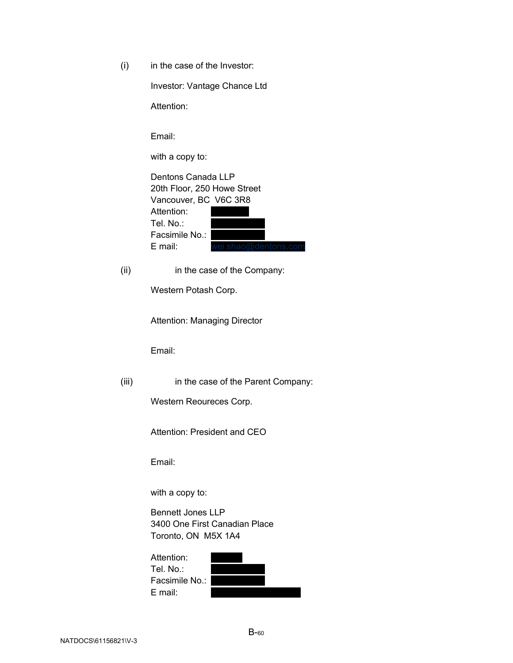(i) in the case of the Investor:

Investor: Vantage Chance Ltd

Attention:

Email:

with a copy to:

| Dentons Canada LLP          |                      |  |  |  |  |  |
|-----------------------------|----------------------|--|--|--|--|--|
| 20th Floor, 250 Howe Street |                      |  |  |  |  |  |
| Vancouver, BC V6C 3R8       |                      |  |  |  |  |  |
| Attention:                  |                      |  |  |  |  |  |
| Tel. No∴                    |                      |  |  |  |  |  |
| Facsimile No.:              |                      |  |  |  |  |  |
| E mail:                     | wei.shao@dentons.com |  |  |  |  |  |
|                             |                      |  |  |  |  |  |

(ii) in the case of the Company:

Western Potash Corp.

Attention: Managing Director

Email:

(iii) in the case of the Parent Company:

Western Reoureces Corp.

Attention: President and CEO

Email:

with a copy to:

Bennett Jones LLP 3400 One First Canadian Place Toronto, ON M5X 1A4

| Attention:     |  |
|----------------|--|
| Tel. No.:      |  |
| Facsimile No.: |  |
| E mail:        |  |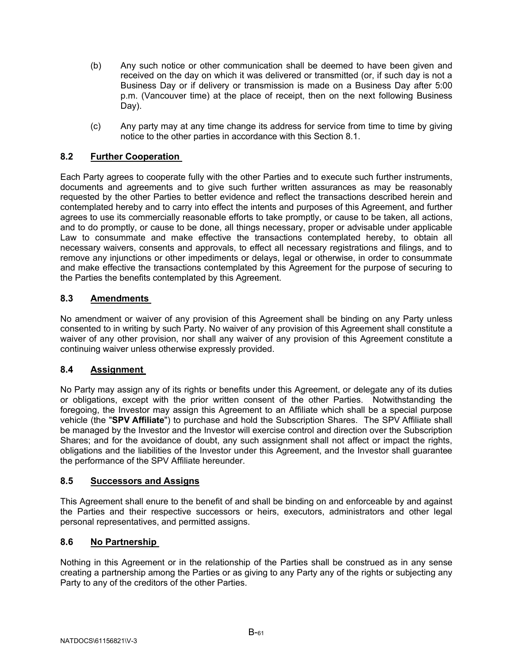- (b) Any such notice or other communication shall be deemed to have been given and received on the day on which it was delivered or transmitted (or, if such day is not a Business Day or if delivery or transmission is made on a Business Day after 5:00 p.m. (Vancouver time) at the place of receipt, then on the next following Business Day).
- (c) Any party may at any time change its address for service from time to time by giving notice to the other parties in accordance with this Section [8.1.](#page-61-3)

# <span id="page-63-0"></span>**8.2 Further Cooperation**

Each Party agrees to cooperate fully with the other Parties and to execute such further instruments, documents and agreements and to give such further written assurances as may be reasonably requested by the other Parties to better evidence and reflect the transactions described herein and contemplated hereby and to carry into effect the intents and purposes of this Agreement, and further agrees to use its commercially reasonable efforts to take promptly, or cause to be taken, all actions, and to do promptly, or cause to be done, all things necessary, proper or advisable under applicable Law to consummate and make effective the transactions contemplated hereby, to obtain all necessary waivers, consents and approvals, to effect all necessary registrations and filings, and to remove any injunctions or other impediments or delays, legal or otherwise, in order to consummate and make effective the transactions contemplated by this Agreement for the purpose of securing to the Parties the benefits contemplated by this Agreement.

# <span id="page-63-1"></span>**8.3 Amendments**

No amendment or waiver of any provision of this Agreement shall be binding on any Party unless consented to in writing by such Party. No waiver of any provision of this Agreement shall constitute a waiver of any other provision, nor shall any waiver of any provision of this Agreement constitute a continuing waiver unless otherwise expressly provided.

## <span id="page-63-2"></span>**8.4 Assignment**

No Party may assign any of its rights or benefits under this Agreement, or delegate any of its duties or obligations, except with the prior written consent of the other Parties. Notwithstanding the foregoing, the Investor may assign this Agreement to an Affiliate which shall be a special purpose vehicle (the "**SPV Affiliate**") to purchase and hold the Subscription Shares. The SPV Affiliate shall be managed by the Investor and the Investor will exercise control and direction over the Subscription Shares; and for the avoidance of doubt, any such assignment shall not affect or impact the rights, obligations and the liabilities of the Investor under this Agreement, and the Investor shall guarantee the performance of the SPV Affiliate hereunder.

## <span id="page-63-3"></span>**8.5 Successors and Assigns**

This Agreement shall enure to the benefit of and shall be binding on and enforceable by and against the Parties and their respective successors or heirs, executors, administrators and other legal personal representatives, and permitted assigns.

# <span id="page-63-4"></span>**8.6 No Partnership**

Nothing in this Agreement or in the relationship of the Parties shall be construed as in any sense creating a partnership among the Parties or as giving to any Party any of the rights or subjecting any Party to any of the creditors of the other Parties.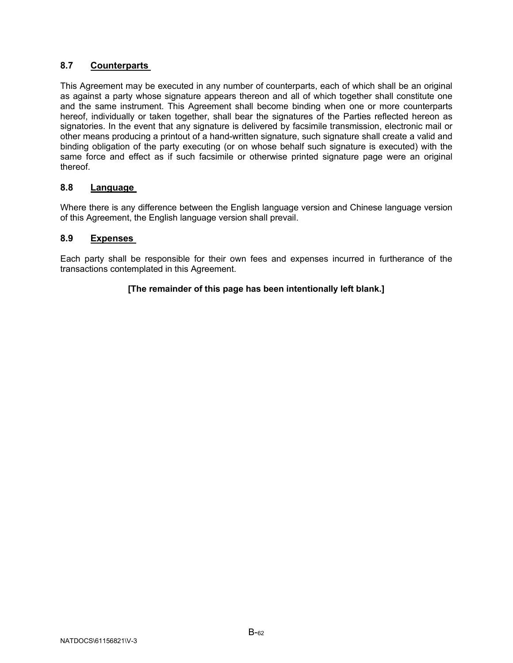# <span id="page-64-0"></span>**8.7 Counterparts**

This Agreement may be executed in any number of counterparts, each of which shall be an original as against a party whose signature appears thereon and all of which together shall constitute one and the same instrument. This Agreement shall become binding when one or more counterparts hereof, individually or taken together, shall bear the signatures of the Parties reflected hereon as signatories. In the event that any signature is delivered by facsimile transmission, electronic mail or other means producing a printout of a hand-written signature, such signature shall create a valid and binding obligation of the party executing (or on whose behalf such signature is executed) with the same force and effect as if such facsimile or otherwise printed signature page were an original thereof.

# <span id="page-64-1"></span>**8.8 Language**

Where there is any difference between the English language version and Chinese language version of this Agreement, the English language version shall prevail.

# <span id="page-64-2"></span>**8.9 Expenses**

Each party shall be responsible for their own fees and expenses incurred in furtherance of the transactions contemplated in this Agreement.

# **[The remainder of this page has been intentionally left blank.]**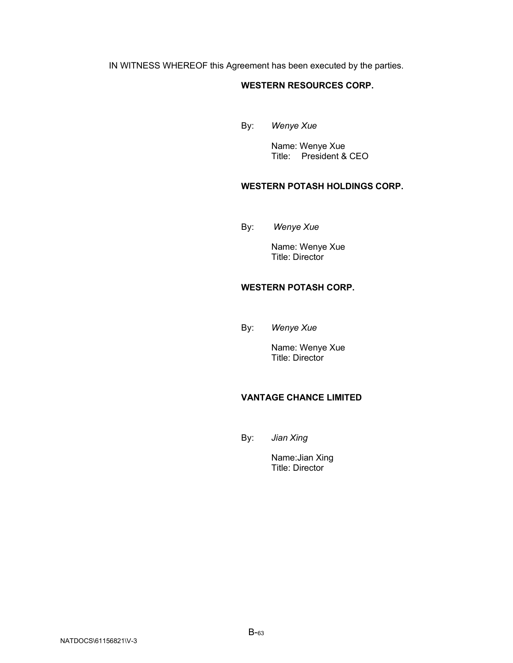IN WITNESS WHEREOF this Agreement has been executed by the parties.

## **WESTERN RESOURCES CORP.**

By: *Wenye Xue*

Name: Wenye Xue Title: President & CEO

# **WESTERN POTASH HOLDINGS CORP.**

By: *Wenye Xue*

Name: Wenye Xue Title: Director

# **WESTERN POTASH CORP.**

By: *Wenye Xue*

Name: Wenye Xue Title: Director

# **VANTAGE CHANCE LIMITED**

By: *Jian Xing*

Name:Jian Xing Title: Director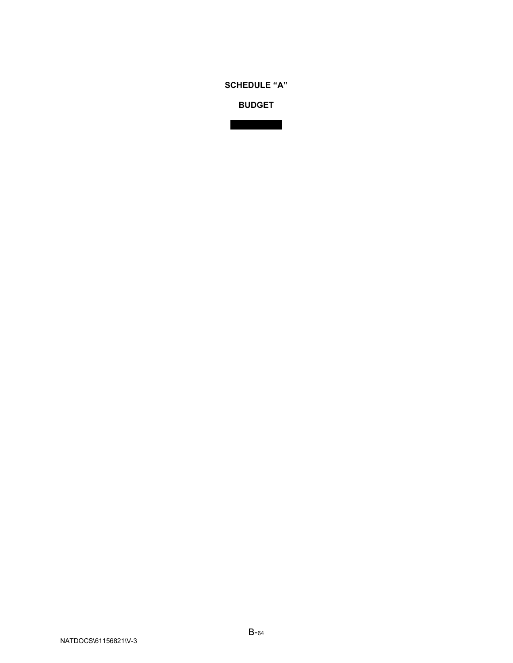**BUDGET**

See attached.

**SCHEDULE "A"**